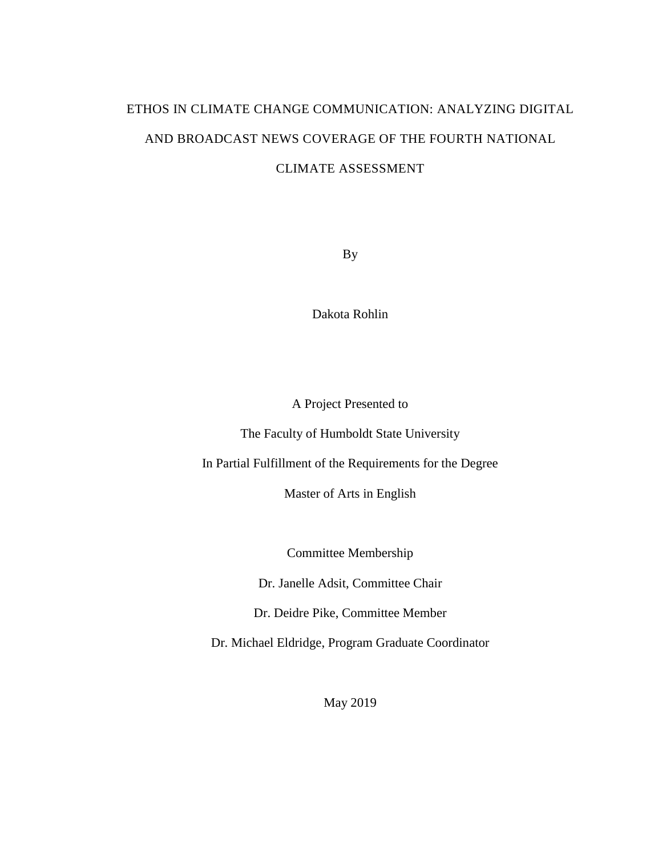# ETHOS IN CLIMATE CHANGE COMMUNICATION: ANALYZING DIGITAL AND BROADCAST NEWS COVERAGE OF THE FOURTH NATIONAL CLIMATE ASSESSMENT

By

Dakota Rohlin

A Project Presented to

The Faculty of Humboldt State University

In Partial Fulfillment of the Requirements for the Degree

Master of Arts in English

Committee Membership

Dr. Janelle Adsit, Committee Chair

Dr. Deidre Pike, Committee Member

Dr. Michael Eldridge, Program Graduate Coordinator

May 2019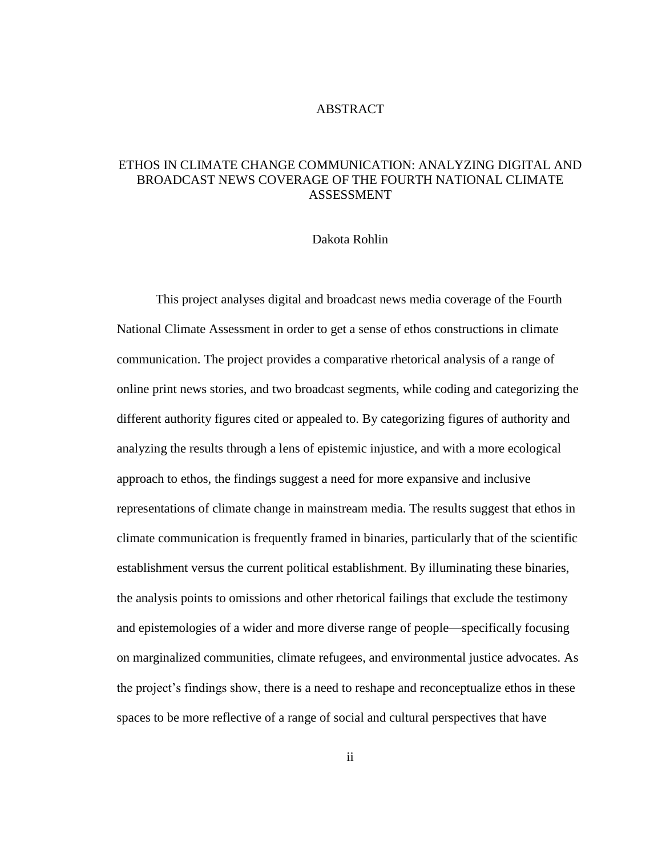#### ABSTRACT

### <span id="page-1-0"></span>ETHOS IN CLIMATE CHANGE COMMUNICATION: ANALYZING DIGITAL AND BROADCAST NEWS COVERAGE OF THE FOURTH NATIONAL CLIMATE ASSESSMENT

#### Dakota Rohlin

This project analyses digital and broadcast news media coverage of the Fourth National Climate Assessment in order to get a sense of ethos constructions in climate communication. The project provides a comparative rhetorical analysis of a range of online print news stories, and two broadcast segments, while coding and categorizing the different authority figures cited or appealed to. By categorizing figures of authority and analyzing the results through a lens of epistemic injustice, and with a more ecological approach to ethos, the findings suggest a need for more expansive and inclusive representations of climate change in mainstream media. The results suggest that ethos in climate communication is frequently framed in binaries, particularly that of the scientific establishment versus the current political establishment. By illuminating these binaries, the analysis points to omissions and other rhetorical failings that exclude the testimony and epistemologies of a wider and more diverse range of people—specifically focusing on marginalized communities, climate refugees, and environmental justice advocates. As the project's findings show, there is a need to reshape and reconceptualize ethos in these spaces to be more reflective of a range of social and cultural perspectives that have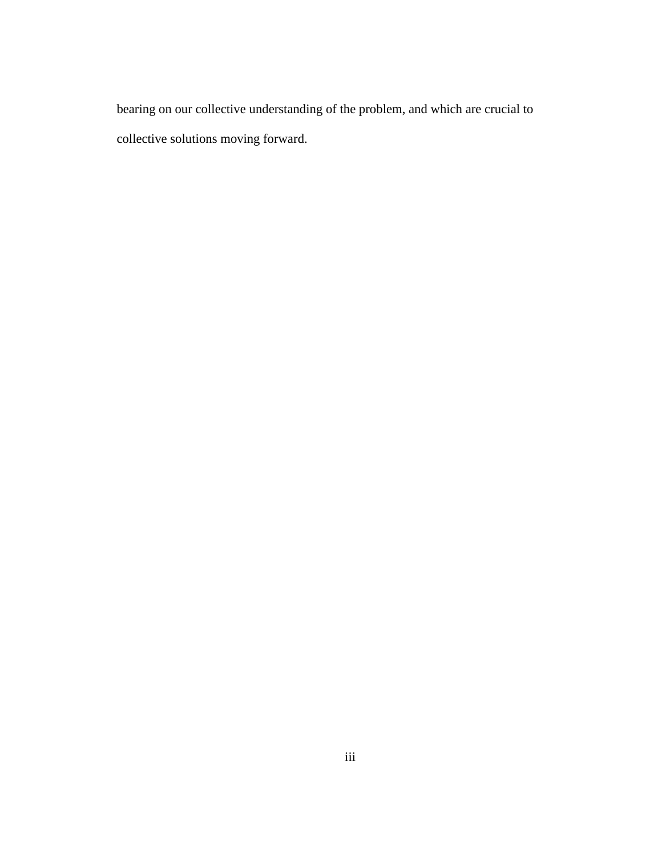bearing on our collective understanding of the problem, and which are crucial to collective solutions moving forward.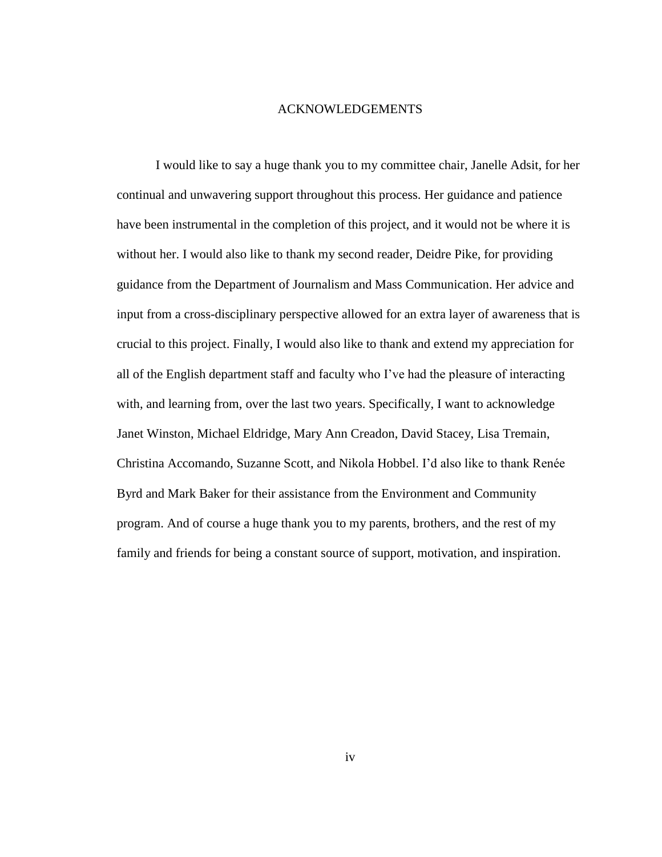#### ACKNOWLEDGEMENTS

<span id="page-3-0"></span>I would like to say a huge thank you to my committee chair, Janelle Adsit, for her continual and unwavering support throughout this process. Her guidance and patience have been instrumental in the completion of this project, and it would not be where it is without her. I would also like to thank my second reader, Deidre Pike, for providing guidance from the Department of Journalism and Mass Communication. Her advice and input from a cross-disciplinary perspective allowed for an extra layer of awareness that is crucial to this project. Finally, I would also like to thank and extend my appreciation for all of the English department staff and faculty who I've had the pleasure of interacting with, and learning from, over the last two years. Specifically, I want to acknowledge Janet Winston, Michael Eldridge, Mary Ann Creadon, David Stacey, Lisa Tremain, Christina Accomando, Suzanne Scott, and Nikola Hobbel. I'd also like to thank Renée Byrd and Mark Baker for their assistance from the Environment and Community program. And of course a huge thank you to my parents, brothers, and the rest of my family and friends for being a constant source of support, motivation, and inspiration.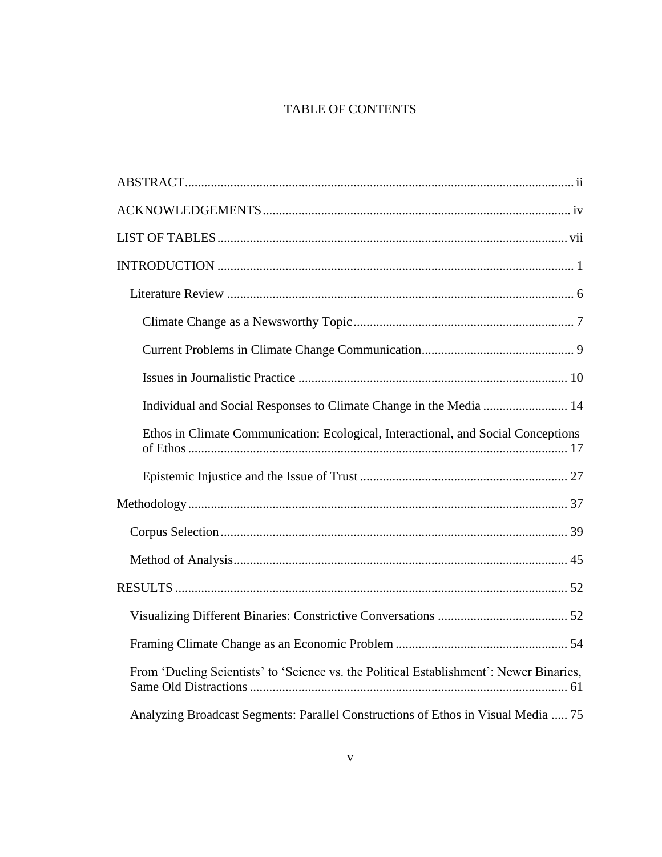# TABLE OF CONTENTS

| Ethos in Climate Communication: Ecological, Interactional, and Social Conceptions       |
|-----------------------------------------------------------------------------------------|
|                                                                                         |
|                                                                                         |
|                                                                                         |
|                                                                                         |
|                                                                                         |
|                                                                                         |
|                                                                                         |
| From 'Dueling Scientists' to 'Science vs. the Political Establishment': Newer Binaries, |
| Analyzing Broadcast Segments: Parallel Constructions of Ethos in Visual Media  75       |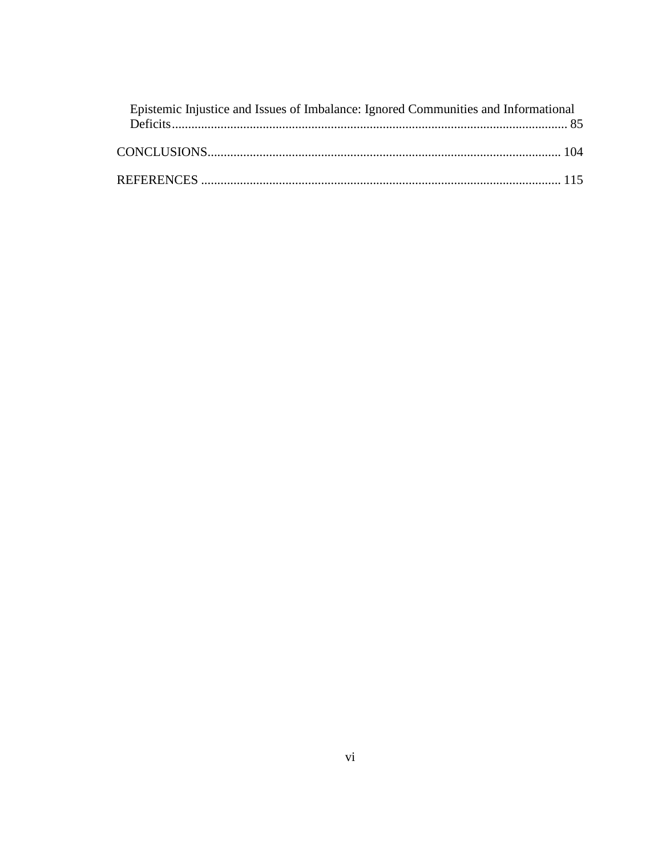| Epistemic Injustice and Issues of Imbalance: Ignored Communities and Informational |  |
|------------------------------------------------------------------------------------|--|
|                                                                                    |  |
|                                                                                    |  |
|                                                                                    |  |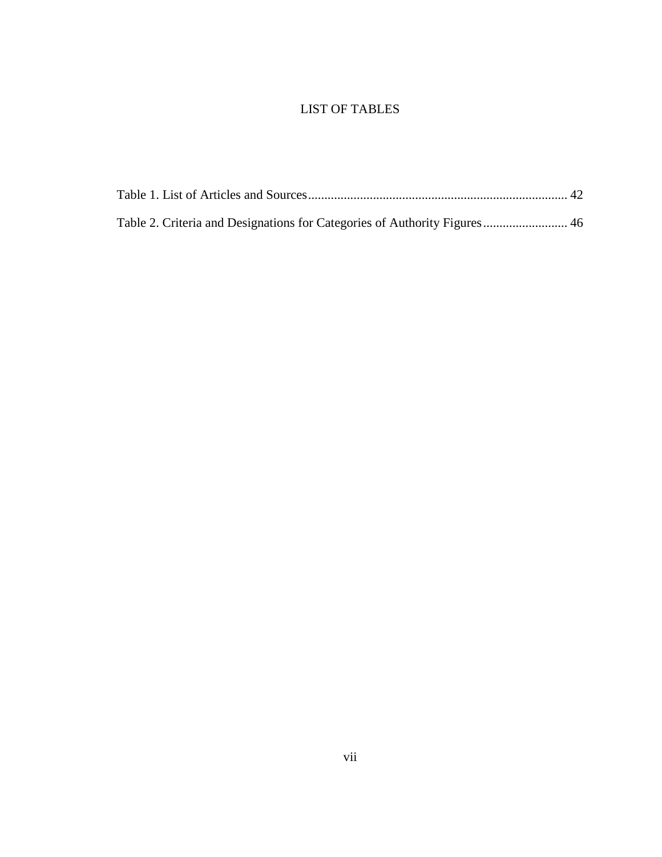## LIST OF TABLES

<span id="page-6-0"></span>

| Table 2. Criteria and Designations for Categories of Authority Figures 46 |  |
|---------------------------------------------------------------------------|--|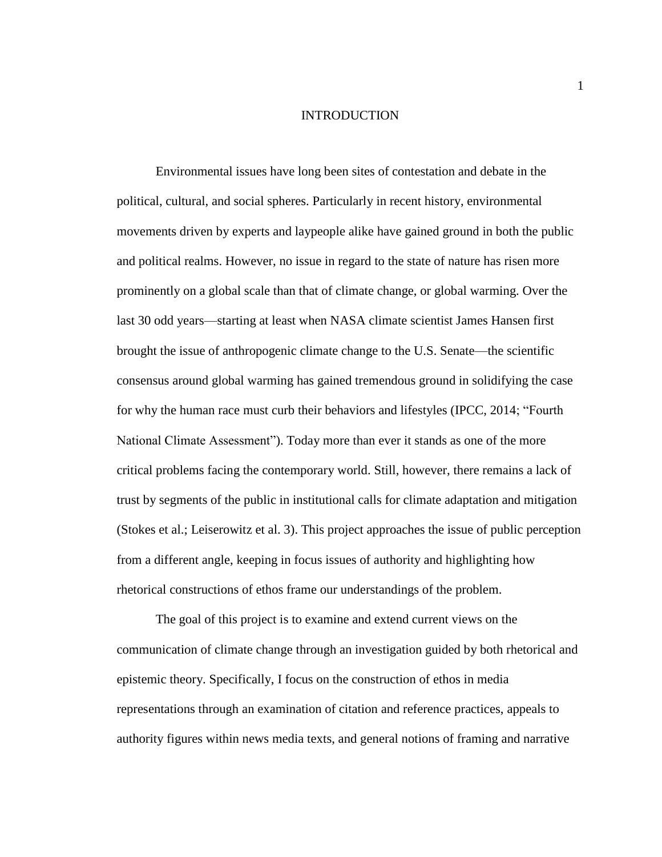#### INTRODUCTION

<span id="page-7-0"></span>Environmental issues have long been sites of contestation and debate in the political, cultural, and social spheres. Particularly in recent history, environmental movements driven by experts and laypeople alike have gained ground in both the public and political realms. However, no issue in regard to the state of nature has risen more prominently on a global scale than that of climate change, or global warming. Over the last 30 odd years—starting at least when NASA climate scientist James Hansen first brought the issue of anthropogenic climate change to the U.S. Senate—the scientific consensus around global warming has gained tremendous ground in solidifying the case for why the human race must curb their behaviors and lifestyles (IPCC, 2014; "Fourth National Climate Assessment"). Today more than ever it stands as one of the more critical problems facing the contemporary world. Still, however, there remains a lack of trust by segments of the public in institutional calls for climate adaptation and mitigation (Stokes et al.; Leiserowitz et al. 3). This project approaches the issue of public perception from a different angle, keeping in focus issues of authority and highlighting how rhetorical constructions of ethos frame our understandings of the problem.

The goal of this project is to examine and extend current views on the communication of climate change through an investigation guided by both rhetorical and epistemic theory. Specifically, I focus on the construction of ethos in media representations through an examination of citation and reference practices, appeals to authority figures within news media texts, and general notions of framing and narrative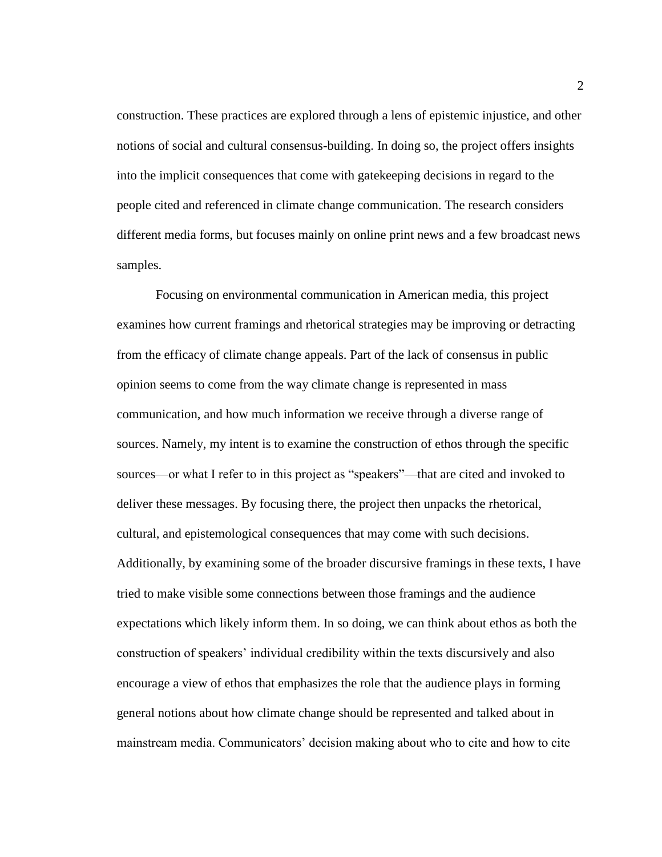construction. These practices are explored through a lens of epistemic injustice, and other notions of social and cultural consensus-building. In doing so, the project offers insights into the implicit consequences that come with gatekeeping decisions in regard to the people cited and referenced in climate change communication. The research considers different media forms, but focuses mainly on online print news and a few broadcast news samples.

Focusing on environmental communication in American media, this project examines how current framings and rhetorical strategies may be improving or detracting from the efficacy of climate change appeals. Part of the lack of consensus in public opinion seems to come from the way climate change is represented in mass communication, and how much information we receive through a diverse range of sources. Namely, my intent is to examine the construction of ethos through the specific sources—or what I refer to in this project as "speakers"—that are cited and invoked to deliver these messages. By focusing there, the project then unpacks the rhetorical, cultural, and epistemological consequences that may come with such decisions. Additionally, by examining some of the broader discursive framings in these texts, I have tried to make visible some connections between those framings and the audience expectations which likely inform them. In so doing, we can think about ethos as both the construction of speakers' individual credibility within the texts discursively and also encourage a view of ethos that emphasizes the role that the audience plays in forming general notions about how climate change should be represented and talked about in mainstream media. Communicators' decision making about who to cite and how to cite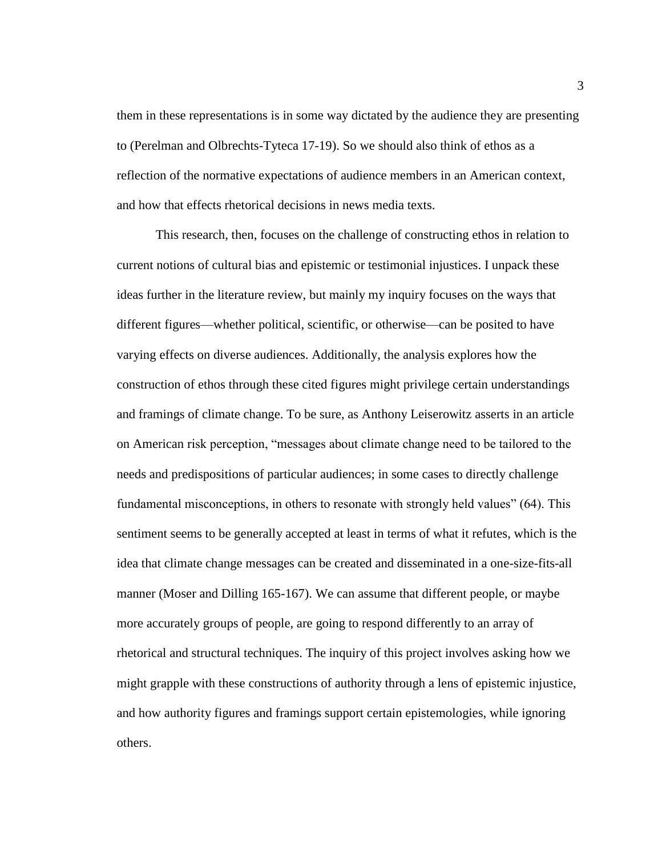them in these representations is in some way dictated by the audience they are presenting to (Perelman and Olbrechts-Tyteca 17-19). So we should also think of ethos as a reflection of the normative expectations of audience members in an American context, and how that effects rhetorical decisions in news media texts.

This research, then, focuses on the challenge of constructing ethos in relation to current notions of cultural bias and epistemic or testimonial injustices. I unpack these ideas further in the literature review, but mainly my inquiry focuses on the ways that different figures—whether political, scientific, or otherwise—can be posited to have varying effects on diverse audiences. Additionally, the analysis explores how the construction of ethos through these cited figures might privilege certain understandings and framings of climate change. To be sure, as Anthony Leiserowitz asserts in an article on American risk perception, "messages about climate change need to be tailored to the needs and predispositions of particular audiences; in some cases to directly challenge fundamental misconceptions, in others to resonate with strongly held values" (64). This sentiment seems to be generally accepted at least in terms of what it refutes, which is the idea that climate change messages can be created and disseminated in a one-size-fits-all manner (Moser and Dilling 165-167). We can assume that different people, or maybe more accurately groups of people, are going to respond differently to an array of rhetorical and structural techniques. The inquiry of this project involves asking how we might grapple with these constructions of authority through a lens of epistemic injustice, and how authority figures and framings support certain epistemologies, while ignoring others.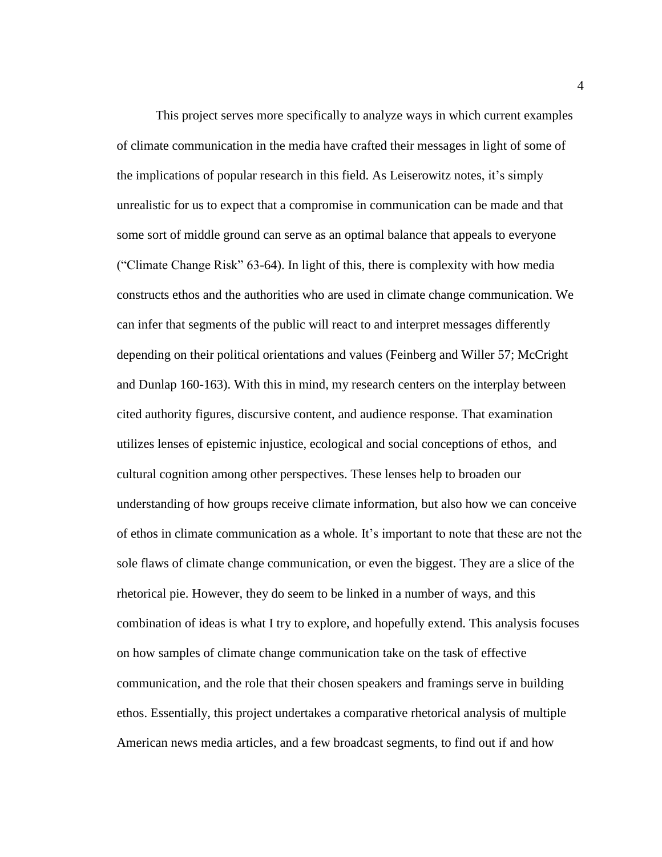This project serves more specifically to analyze ways in which current examples of climate communication in the media have crafted their messages in light of some of the implications of popular research in this field. As Leiserowitz notes, it's simply unrealistic for us to expect that a compromise in communication can be made and that some sort of middle ground can serve as an optimal balance that appeals to everyone ("Climate Change Risk" 63-64). In light of this, there is complexity with how media constructs ethos and the authorities who are used in climate change communication. We can infer that segments of the public will react to and interpret messages differently depending on their political orientations and values (Feinberg and Willer 57; McCright and Dunlap 160-163). With this in mind, my research centers on the interplay between cited authority figures, discursive content, and audience response. That examination utilizes lenses of epistemic injustice, ecological and social conceptions of ethos, and cultural cognition among other perspectives. These lenses help to broaden our understanding of how groups receive climate information, but also how we can conceive of ethos in climate communication as a whole. It's important to note that these are not the sole flaws of climate change communication, or even the biggest. They are a slice of the rhetorical pie. However, they do seem to be linked in a number of ways, and this combination of ideas is what I try to explore, and hopefully extend. This analysis focuses on how samples of climate change communication take on the task of effective communication, and the role that their chosen speakers and framings serve in building ethos. Essentially, this project undertakes a comparative rhetorical analysis of multiple American news media articles, and a few broadcast segments, to find out if and how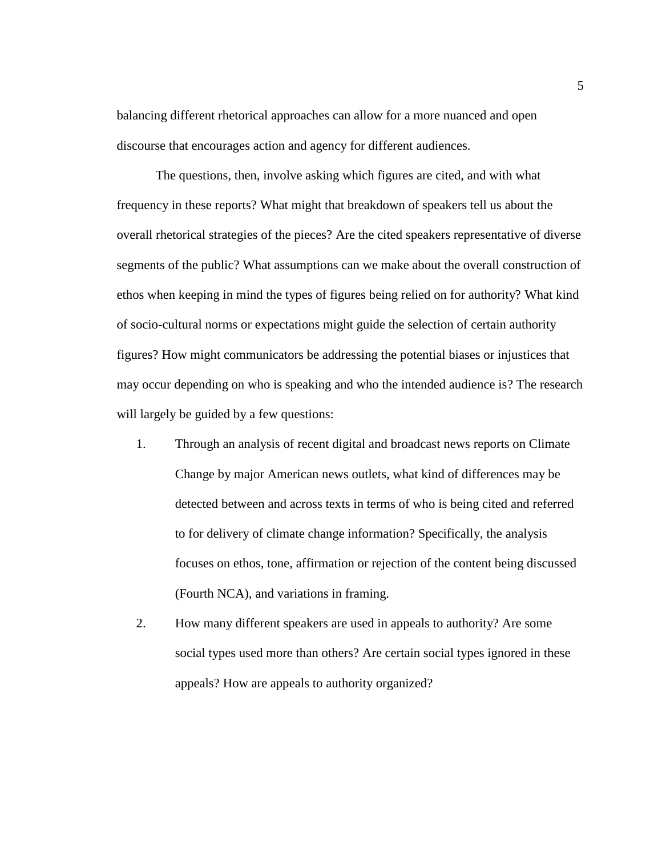balancing different rhetorical approaches can allow for a more nuanced and open discourse that encourages action and agency for different audiences.

The questions, then, involve asking which figures are cited, and with what frequency in these reports? What might that breakdown of speakers tell us about the overall rhetorical strategies of the pieces? Are the cited speakers representative of diverse segments of the public? What assumptions can we make about the overall construction of ethos when keeping in mind the types of figures being relied on for authority? What kind of socio-cultural norms or expectations might guide the selection of certain authority figures? How might communicators be addressing the potential biases or injustices that may occur depending on who is speaking and who the intended audience is? The research will largely be guided by a few questions:

- 1. Through an analysis of recent digital and broadcast news reports on Climate Change by major American news outlets, what kind of differences may be detected between and across texts in terms of who is being cited and referred to for delivery of climate change information? Specifically, the analysis focuses on ethos, tone, affirmation or rejection of the content being discussed (Fourth NCA), and variations in framing.
- 2. How many different speakers are used in appeals to authority? Are some social types used more than others? Are certain social types ignored in these appeals? How are appeals to authority organized?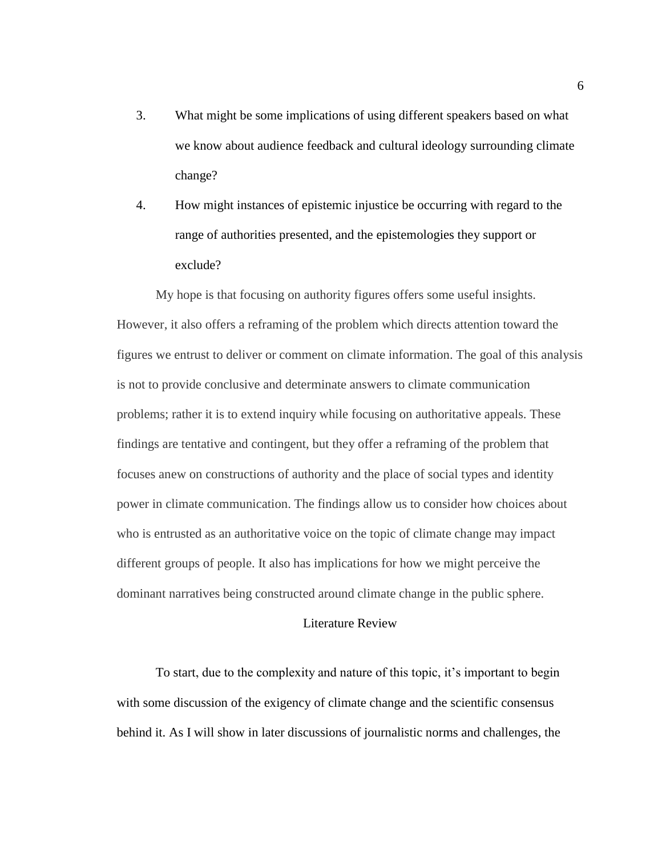- 3. What might be some implications of using different speakers based on what we know about audience feedback and cultural ideology surrounding climate change?
- 4. How might instances of epistemic injustice be occurring with regard to the range of authorities presented, and the epistemologies they support or exclude?

My hope is that focusing on authority figures offers some useful insights. However, it also offers a reframing of the problem which directs attention toward the figures we entrust to deliver or comment on climate information. The goal of this analysis is not to provide conclusive and determinate answers to climate communication problems; rather it is to extend inquiry while focusing on authoritative appeals. These findings are tentative and contingent, but they offer a reframing of the problem that focuses anew on constructions of authority and the place of social types and identity power in climate communication. The findings allow us to consider how choices about who is entrusted as an authoritative voice on the topic of climate change may impact different groups of people. It also has implications for how we might perceive the dominant narratives being constructed around climate change in the public sphere.

#### Literature Review

<span id="page-12-0"></span>To start, due to the complexity and nature of this topic, it's important to begin with some discussion of the exigency of climate change and the scientific consensus behind it. As I will show in later discussions of journalistic norms and challenges, the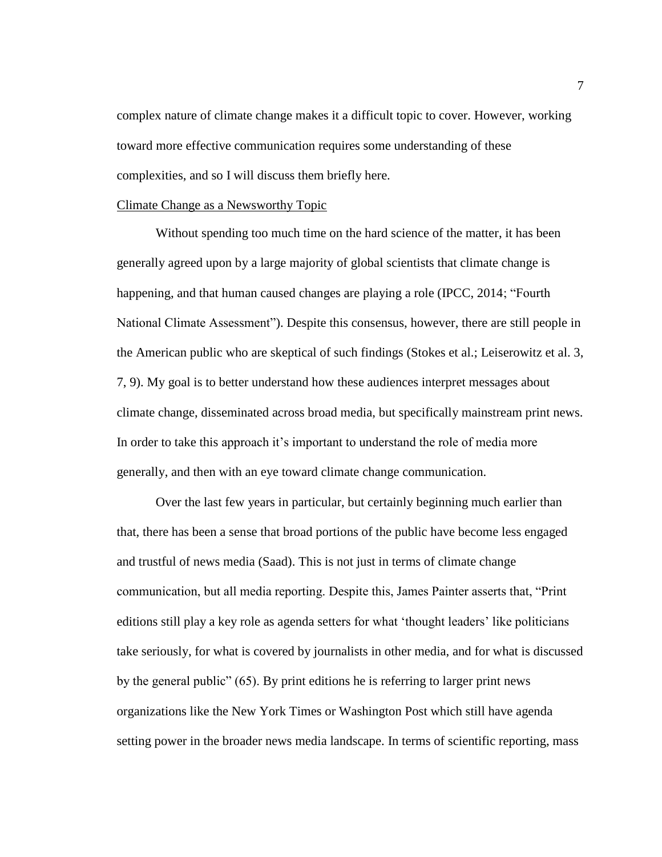complex nature of climate change makes it a difficult topic to cover. However, working toward more effective communication requires some understanding of these complexities, and so I will discuss them briefly here.

#### <span id="page-13-0"></span>Climate Change as a Newsworthy Topic

Without spending too much time on the hard science of the matter, it has been generally agreed upon by a large majority of global scientists that climate change is happening, and that human caused changes are playing a role (IPCC, 2014; "Fourth National Climate Assessment"). Despite this consensus, however, there are still people in the American public who are skeptical of such findings (Stokes et al.; Leiserowitz et al. 3, 7, 9). My goal is to better understand how these audiences interpret messages about climate change, disseminated across broad media, but specifically mainstream print news. In order to take this approach it's important to understand the role of media more generally, and then with an eye toward climate change communication.

Over the last few years in particular, but certainly beginning much earlier than that, there has been a sense that broad portions of the public have become less engaged and trustful of news media (Saad). This is not just in terms of climate change communication, but all media reporting. Despite this, James Painter asserts that, "Print editions still play a key role as agenda setters for what 'thought leaders' like politicians take seriously, for what is covered by journalists in other media, and for what is discussed by the general public" (65). By print editions he is referring to larger print news organizations like the New York Times or Washington Post which still have agenda setting power in the broader news media landscape. In terms of scientific reporting, mass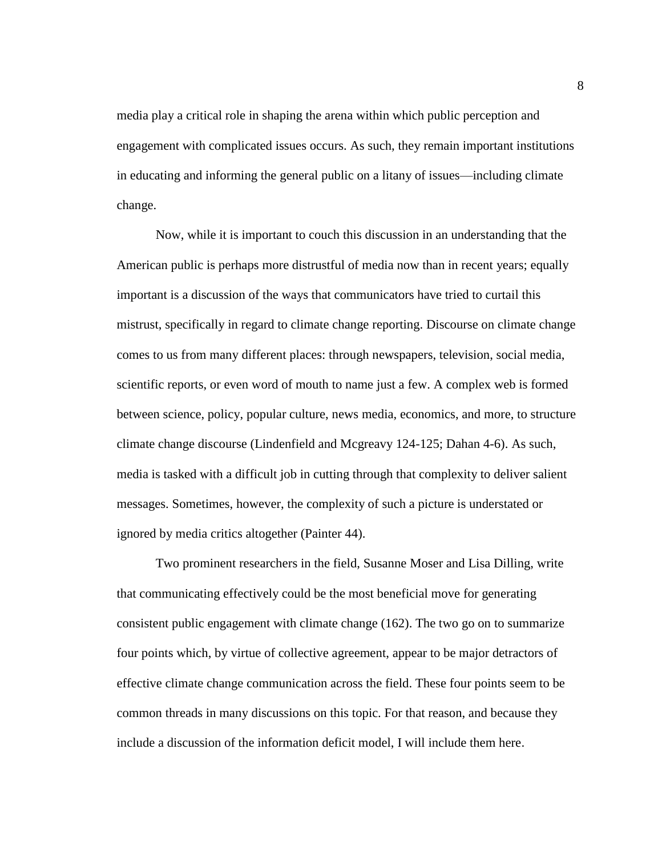media play a critical role in shaping the arena within which public perception and engagement with complicated issues occurs. As such, they remain important institutions in educating and informing the general public on a litany of issues—including climate change.

Now, while it is important to couch this discussion in an understanding that the American public is perhaps more distrustful of media now than in recent years; equally important is a discussion of the ways that communicators have tried to curtail this mistrust, specifically in regard to climate change reporting. Discourse on climate change comes to us from many different places: through newspapers, television, social media, scientific reports, or even word of mouth to name just a few. A complex web is formed between science, policy, popular culture, news media, economics, and more, to structure climate change discourse (Lindenfield and Mcgreavy 124-125; Dahan 4-6). As such, media is tasked with a difficult job in cutting through that complexity to deliver salient messages. Sometimes, however, the complexity of such a picture is understated or ignored by media critics altogether (Painter 44).

Two prominent researchers in the field, Susanne Moser and Lisa Dilling, write that communicating effectively could be the most beneficial move for generating consistent public engagement with climate change (162). The two go on to summarize four points which, by virtue of collective agreement, appear to be major detractors of effective climate change communication across the field. These four points seem to be common threads in many discussions on this topic. For that reason, and because they include a discussion of the information deficit model, I will include them here.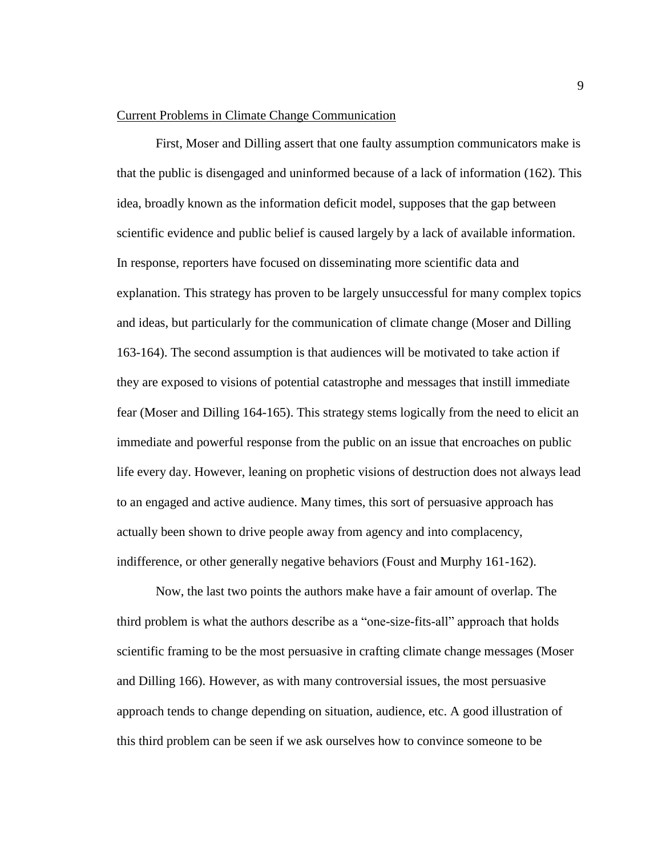#### <span id="page-15-0"></span>Current Problems in Climate Change Communication

First, Moser and Dilling assert that one faulty assumption communicators make is that the public is disengaged and uninformed because of a lack of information (162). This idea, broadly known as the information deficit model, supposes that the gap between scientific evidence and public belief is caused largely by a lack of available information. In response, reporters have focused on disseminating more scientific data and explanation. This strategy has proven to be largely unsuccessful for many complex topics and ideas, but particularly for the communication of climate change (Moser and Dilling 163-164). The second assumption is that audiences will be motivated to take action if they are exposed to visions of potential catastrophe and messages that instill immediate fear (Moser and Dilling 164-165). This strategy stems logically from the need to elicit an immediate and powerful response from the public on an issue that encroaches on public life every day. However, leaning on prophetic visions of destruction does not always lead to an engaged and active audience. Many times, this sort of persuasive approach has actually been shown to drive people away from agency and into complacency, indifference, or other generally negative behaviors (Foust and Murphy 161-162).

Now, the last two points the authors make have a fair amount of overlap. The third problem is what the authors describe as a "one-size-fits-all" approach that holds scientific framing to be the most persuasive in crafting climate change messages (Moser and Dilling 166). However, as with many controversial issues, the most persuasive approach tends to change depending on situation, audience, etc. A good illustration of this third problem can be seen if we ask ourselves how to convince someone to be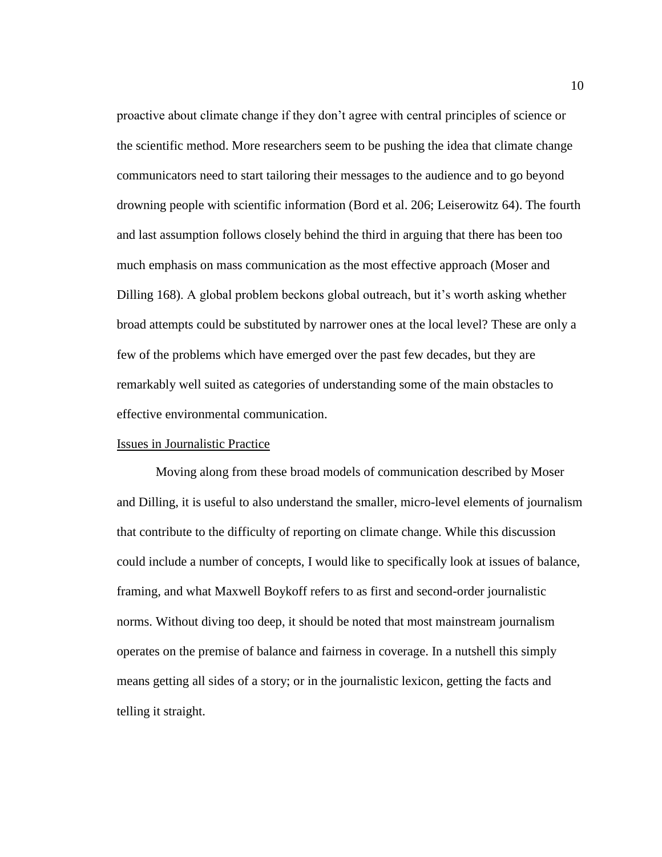proactive about climate change if they don't agree with central principles of science or the scientific method. More researchers seem to be pushing the idea that climate change communicators need to start tailoring their messages to the audience and to go beyond drowning people with scientific information (Bord et al. 206; Leiserowitz 64). The fourth and last assumption follows closely behind the third in arguing that there has been too much emphasis on mass communication as the most effective approach (Moser and Dilling 168). A global problem beckons global outreach, but it's worth asking whether broad attempts could be substituted by narrower ones at the local level? These are only a few of the problems which have emerged over the past few decades, but they are remarkably well suited as categories of understanding some of the main obstacles to effective environmental communication.

#### <span id="page-16-0"></span>Issues in Journalistic Practice

Moving along from these broad models of communication described by Moser and Dilling, it is useful to also understand the smaller, micro-level elements of journalism that contribute to the difficulty of reporting on climate change. While this discussion could include a number of concepts, I would like to specifically look at issues of balance, framing, and what Maxwell Boykoff refers to as first and second-order journalistic norms. Without diving too deep, it should be noted that most mainstream journalism operates on the premise of balance and fairness in coverage. In a nutshell this simply means getting all sides of a story; or in the journalistic lexicon, getting the facts and telling it straight.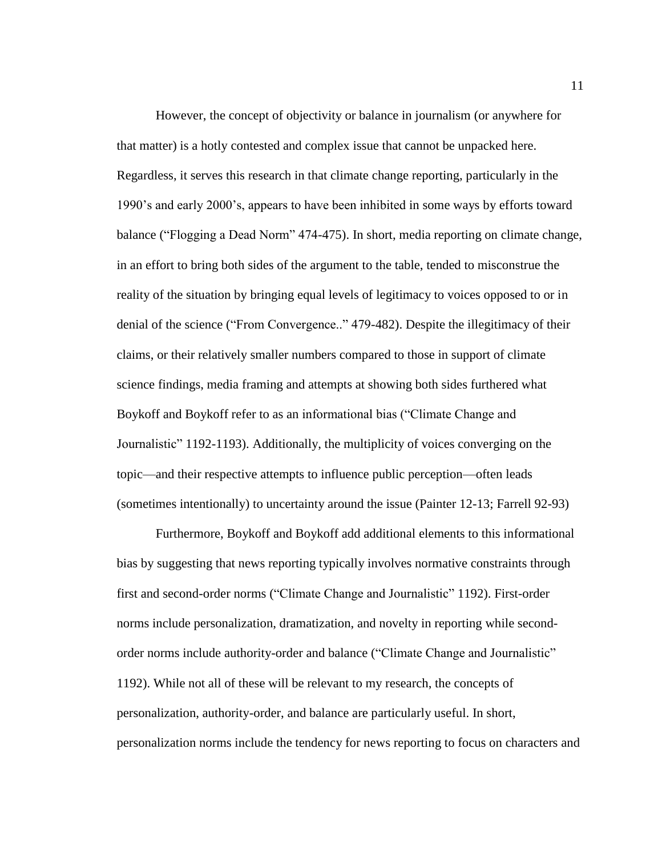However, the concept of objectivity or balance in journalism (or anywhere for that matter) is a hotly contested and complex issue that cannot be unpacked here. Regardless, it serves this research in that climate change reporting, particularly in the 1990's and early 2000's, appears to have been inhibited in some ways by efforts toward balance ("Flogging a Dead Norm" 474-475). In short, media reporting on climate change, in an effort to bring both sides of the argument to the table, tended to misconstrue the reality of the situation by bringing equal levels of legitimacy to voices opposed to or in denial of the science ("From Convergence.." 479-482). Despite the illegitimacy of their claims, or their relatively smaller numbers compared to those in support of climate science findings, media framing and attempts at showing both sides furthered what Boykoff and Boykoff refer to as an informational bias ("Climate Change and Journalistic" 1192-1193). Additionally, the multiplicity of voices converging on the topic—and their respective attempts to influence public perception—often leads (sometimes intentionally) to uncertainty around the issue (Painter 12-13; Farrell 92-93)

Furthermore, Boykoff and Boykoff add additional elements to this informational bias by suggesting that news reporting typically involves normative constraints through first and second-order norms ("Climate Change and Journalistic" 1192). First-order norms include personalization, dramatization, and novelty in reporting while secondorder norms include authority-order and balance ("Climate Change and Journalistic" 1192). While not all of these will be relevant to my research, the concepts of personalization, authority-order, and balance are particularly useful. In short, personalization norms include the tendency for news reporting to focus on characters and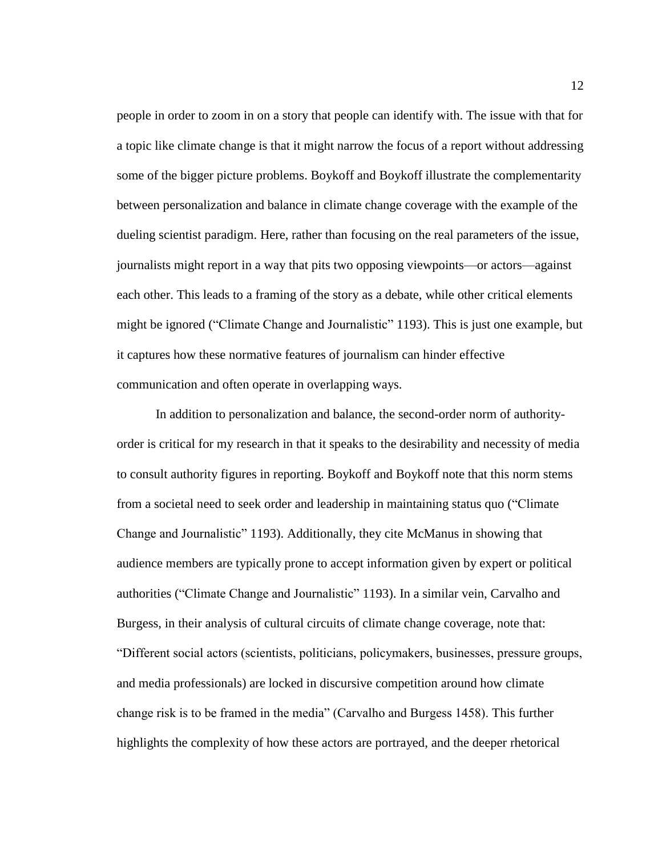people in order to zoom in on a story that people can identify with. The issue with that for a topic like climate change is that it might narrow the focus of a report without addressing some of the bigger picture problems. Boykoff and Boykoff illustrate the complementarity between personalization and balance in climate change coverage with the example of the dueling scientist paradigm. Here, rather than focusing on the real parameters of the issue, journalists might report in a way that pits two opposing viewpoints—or actors—against each other. This leads to a framing of the story as a debate, while other critical elements might be ignored ("Climate Change and Journalistic" 1193). This is just one example, but it captures how these normative features of journalism can hinder effective communication and often operate in overlapping ways.

In addition to personalization and balance, the second-order norm of authorityorder is critical for my research in that it speaks to the desirability and necessity of media to consult authority figures in reporting. Boykoff and Boykoff note that this norm stems from a societal need to seek order and leadership in maintaining status quo ("Climate Change and Journalistic" 1193). Additionally, they cite McManus in showing that audience members are typically prone to accept information given by expert or political authorities ("Climate Change and Journalistic" 1193). In a similar vein, Carvalho and Burgess, in their analysis of cultural circuits of climate change coverage, note that: "Different social actors (scientists, politicians, policymakers, businesses, pressure groups, and media professionals) are locked in discursive competition around how climate change risk is to be framed in the media" (Carvalho and Burgess 1458). This further highlights the complexity of how these actors are portrayed, and the deeper rhetorical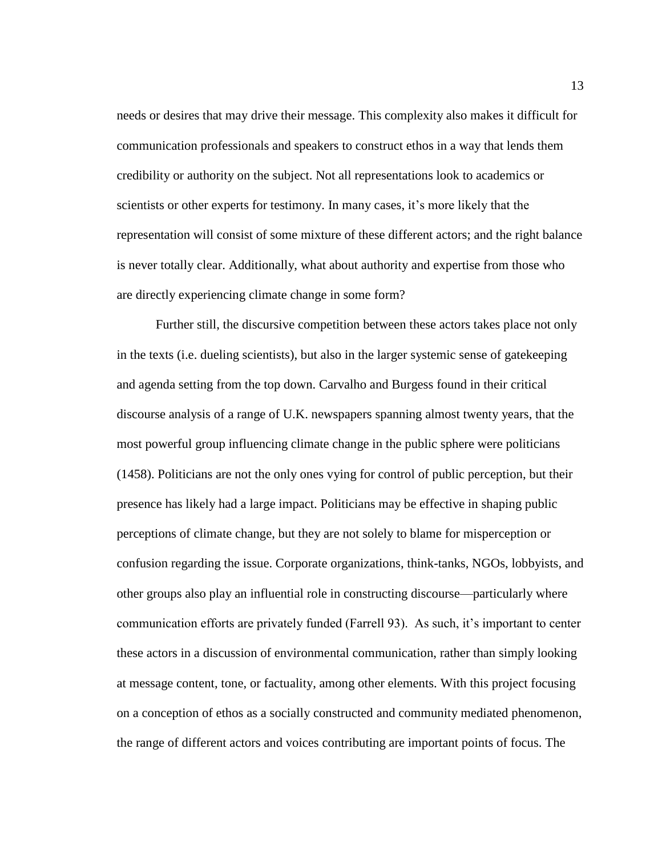needs or desires that may drive their message. This complexity also makes it difficult for communication professionals and speakers to construct ethos in a way that lends them credibility or authority on the subject. Not all representations look to academics or scientists or other experts for testimony. In many cases, it's more likely that the representation will consist of some mixture of these different actors; and the right balance is never totally clear. Additionally, what about authority and expertise from those who are directly experiencing climate change in some form?

Further still, the discursive competition between these actors takes place not only in the texts (i.e. dueling scientists), but also in the larger systemic sense of gatekeeping and agenda setting from the top down. Carvalho and Burgess found in their critical discourse analysis of a range of U.K. newspapers spanning almost twenty years, that the most powerful group influencing climate change in the public sphere were politicians (1458). Politicians are not the only ones vying for control of public perception, but their presence has likely had a large impact. Politicians may be effective in shaping public perceptions of climate change, but they are not solely to blame for misperception or confusion regarding the issue. Corporate organizations, think-tanks, NGOs, lobbyists, and other groups also play an influential role in constructing discourse—particularly where communication efforts are privately funded (Farrell 93). As such, it's important to center these actors in a discussion of environmental communication, rather than simply looking at message content, tone, or factuality, among other elements. With this project focusing on a conception of ethos as a socially constructed and community mediated phenomenon, the range of different actors and voices contributing are important points of focus. The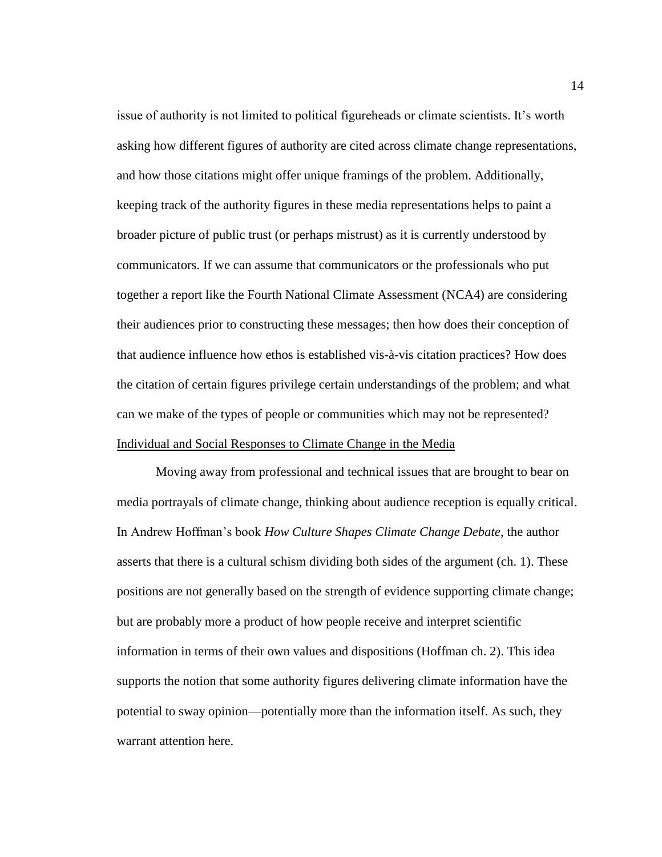issue of authority is not limited to political figureheads or climate scientists. It's worth asking how different figures of authority are cited across climate change representations, and how those citations might offer unique framings of the problem. Additionally, keeping track of the authority figures in these media representations helps to paint a broader picture of public trust (or perhaps mistrust) as it is currently understood by communicators. If we can assume that communicators or the professionals who put together a report like the Fourth National Climate Assessment (NCA4) are considering their audiences prior to constructing these messages; then how does their conception of that audience influence how ethos is established vis-à-vis citation practices? How does the citation of certain figures privilege certain understandings of the problem; and what can we make of the types of people or communities which may not be represented? Individual and Social Responses to Climate Change in the Media

<span id="page-20-0"></span>Moving away from professional and technical issues that are brought to bear on media portrayals of climate change, thinking about audience reception is equally critical. In Andrew Hoffman's book *How Culture Shapes Climate Change Debate*, the author asserts that there is a cultural schism dividing both sides of the argument (ch. 1). These positions are not generally based on the strength of evidence supporting climate change; but are probably more a product of how people receive and interpret scientific information in terms of their own values and dispositions (Hoffman ch. 2). This idea supports the notion that some authority figures delivering climate information have the potential to sway opinion—potentially more than the information itself. As such, they warrant attention here.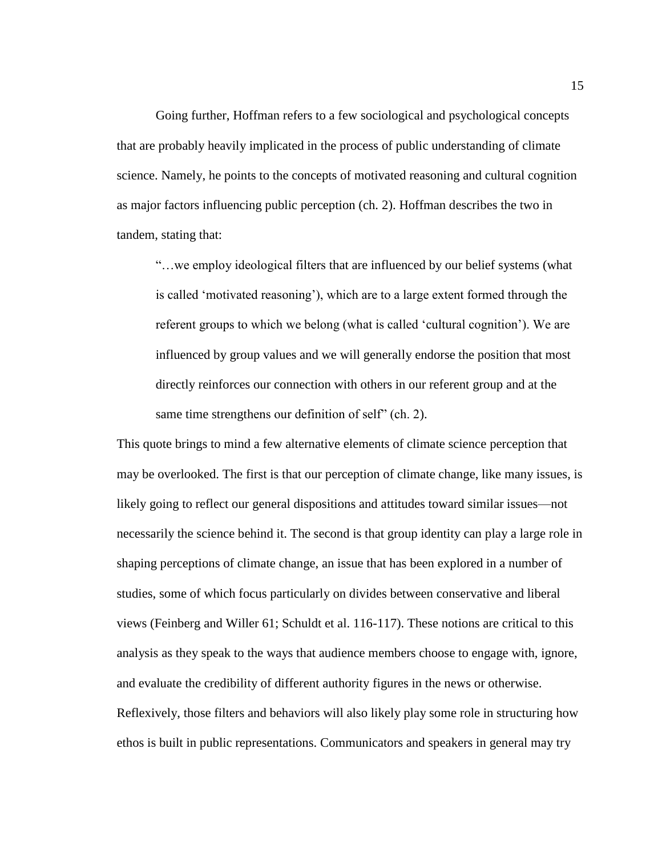Going further, Hoffman refers to a few sociological and psychological concepts that are probably heavily implicated in the process of public understanding of climate science. Namely, he points to the concepts of motivated reasoning and cultural cognition as major factors influencing public perception (ch. 2). Hoffman describes the two in tandem, stating that:

"…we employ ideological filters that are influenced by our belief systems (what is called 'motivated reasoning'), which are to a large extent formed through the referent groups to which we belong (what is called 'cultural cognition'). We are influenced by group values and we will generally endorse the position that most directly reinforces our connection with others in our referent group and at the same time strengthens our definition of self" (ch. 2).

This quote brings to mind a few alternative elements of climate science perception that may be overlooked. The first is that our perception of climate change, like many issues, is likely going to reflect our general dispositions and attitudes toward similar issues—not necessarily the science behind it. The second is that group identity can play a large role in shaping perceptions of climate change, an issue that has been explored in a number of studies, some of which focus particularly on divides between conservative and liberal views (Feinberg and Willer 61; Schuldt et al. 116-117). These notions are critical to this analysis as they speak to the ways that audience members choose to engage with, ignore, and evaluate the credibility of different authority figures in the news or otherwise. Reflexively, those filters and behaviors will also likely play some role in structuring how ethos is built in public representations. Communicators and speakers in general may try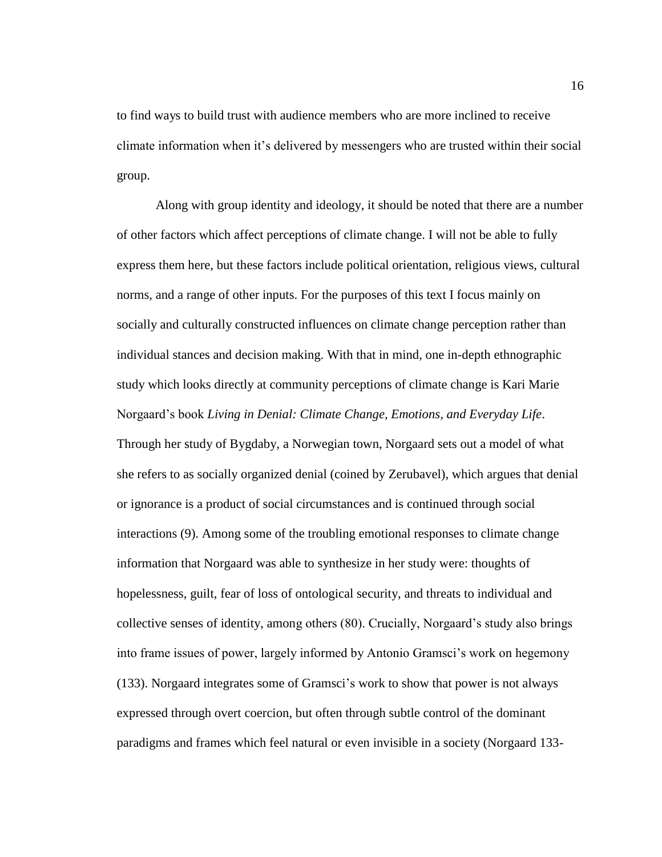to find ways to build trust with audience members who are more inclined to receive climate information when it's delivered by messengers who are trusted within their social group.

Along with group identity and ideology, it should be noted that there are a number of other factors which affect perceptions of climate change. I will not be able to fully express them here, but these factors include political orientation, religious views, cultural norms, and a range of other inputs. For the purposes of this text I focus mainly on socially and culturally constructed influences on climate change perception rather than individual stances and decision making. With that in mind, one in-depth ethnographic study which looks directly at community perceptions of climate change is Kari Marie Norgaard's book *Living in Denial: Climate Change, Emotions, and Everyday Life*. Through her study of Bygdaby, a Norwegian town, Norgaard sets out a model of what she refers to as socially organized denial (coined by Zerubavel), which argues that denial or ignorance is a product of social circumstances and is continued through social interactions (9). Among some of the troubling emotional responses to climate change information that Norgaard was able to synthesize in her study were: thoughts of hopelessness, guilt, fear of loss of ontological security, and threats to individual and collective senses of identity, among others (80). Crucially, Norgaard's study also brings into frame issues of power, largely informed by Antonio Gramsci's work on hegemony (133). Norgaard integrates some of Gramsci's work to show that power is not always expressed through overt coercion, but often through subtle control of the dominant paradigms and frames which feel natural or even invisible in a society (Norgaard 133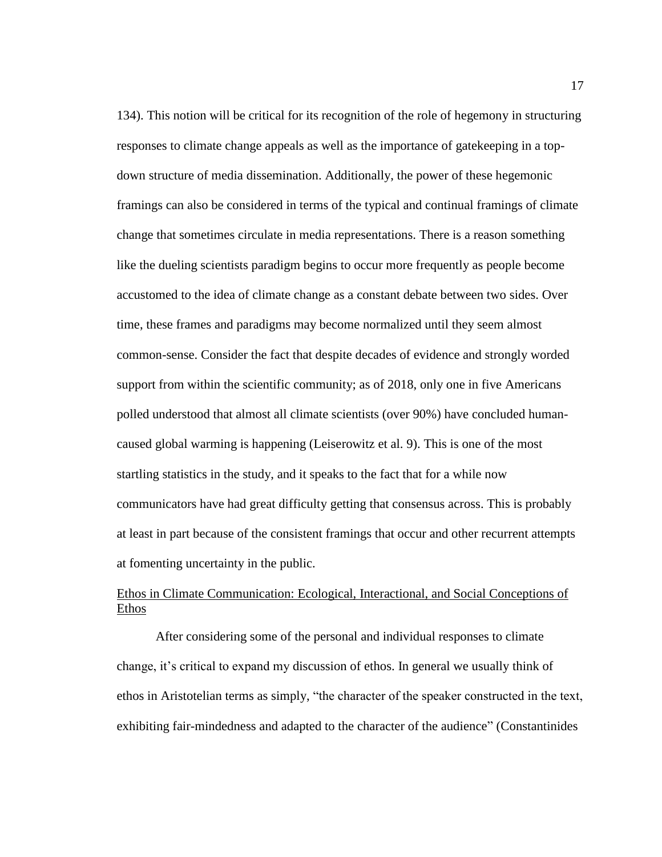134). This notion will be critical for its recognition of the role of hegemony in structuring responses to climate change appeals as well as the importance of gatekeeping in a topdown structure of media dissemination. Additionally, the power of these hegemonic framings can also be considered in terms of the typical and continual framings of climate change that sometimes circulate in media representations. There is a reason something like the dueling scientists paradigm begins to occur more frequently as people become accustomed to the idea of climate change as a constant debate between two sides. Over time, these frames and paradigms may become normalized until they seem almost common-sense. Consider the fact that despite decades of evidence and strongly worded support from within the scientific community; as of 2018, only one in five Americans polled understood that almost all climate scientists (over 90%) have concluded humancaused global warming is happening (Leiserowitz et al. 9). This is one of the most startling statistics in the study, and it speaks to the fact that for a while now communicators have had great difficulty getting that consensus across. This is probably at least in part because of the consistent framings that occur and other recurrent attempts at fomenting uncertainty in the public.

## <span id="page-23-0"></span>Ethos in Climate Communication: Ecological, Interactional, and Social Conceptions of Ethos

After considering some of the personal and individual responses to climate change, it's critical to expand my discussion of ethos. In general we usually think of ethos in Aristotelian terms as simply, "the character of the speaker constructed in the text, exhibiting fair-mindedness and adapted to the character of the audience" (Constantinides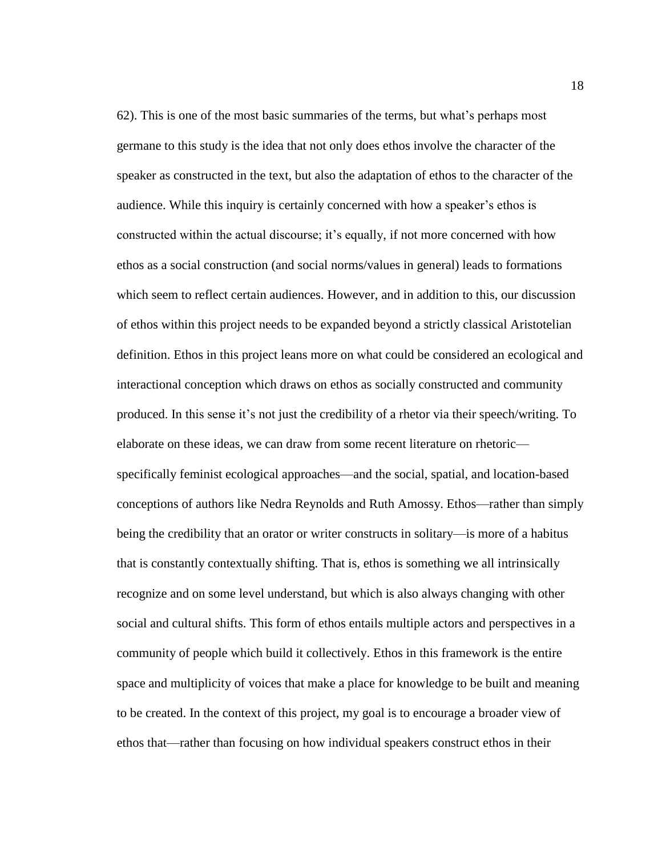62). This is one of the most basic summaries of the terms, but what's perhaps most germane to this study is the idea that not only does ethos involve the character of the speaker as constructed in the text, but also the adaptation of ethos to the character of the audience. While this inquiry is certainly concerned with how a speaker's ethos is constructed within the actual discourse; it's equally, if not more concerned with how ethos as a social construction (and social norms/values in general) leads to formations which seem to reflect certain audiences. However, and in addition to this, our discussion of ethos within this project needs to be expanded beyond a strictly classical Aristotelian definition. Ethos in this project leans more on what could be considered an ecological and interactional conception which draws on ethos as socially constructed and community produced. In this sense it's not just the credibility of a rhetor via their speech/writing. To elaborate on these ideas, we can draw from some recent literature on rhetoric specifically feminist ecological approaches—and the social, spatial, and location-based conceptions of authors like Nedra Reynolds and Ruth Amossy. Ethos—rather than simply being the credibility that an orator or writer constructs in solitary—is more of a habitus that is constantly contextually shifting. That is, ethos is something we all intrinsically recognize and on some level understand, but which is also always changing with other social and cultural shifts. This form of ethos entails multiple actors and perspectives in a community of people which build it collectively. Ethos in this framework is the entire space and multiplicity of voices that make a place for knowledge to be built and meaning to be created. In the context of this project, my goal is to encourage a broader view of ethos that—rather than focusing on how individual speakers construct ethos in their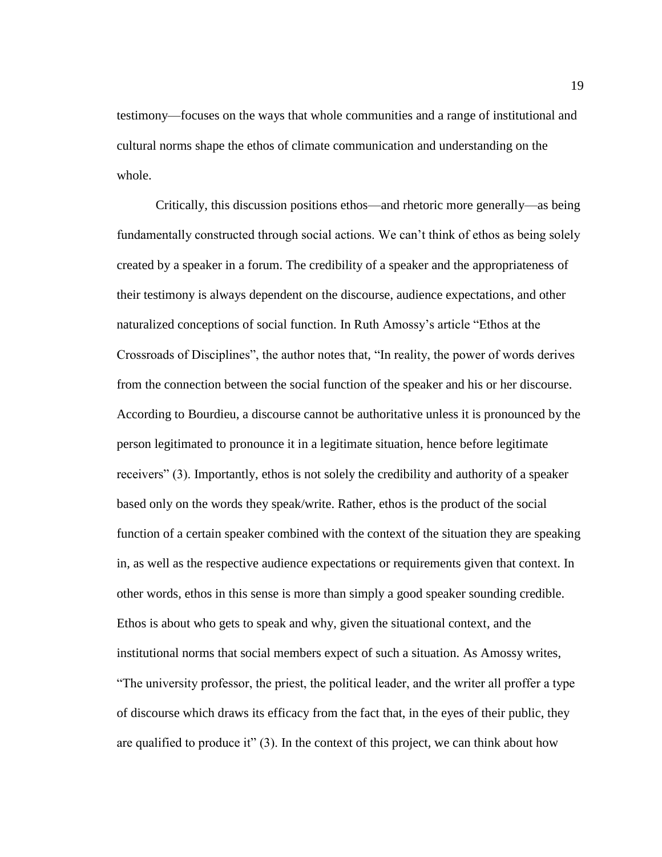testimony—focuses on the ways that whole communities and a range of institutional and cultural norms shape the ethos of climate communication and understanding on the whole.

Critically, this discussion positions ethos—and rhetoric more generally—as being fundamentally constructed through social actions. We can't think of ethos as being solely created by a speaker in a forum. The credibility of a speaker and the appropriateness of their testimony is always dependent on the discourse, audience expectations, and other naturalized conceptions of social function. In Ruth Amossy's article "Ethos at the Crossroads of Disciplines", the author notes that, "In reality, the power of words derives from the connection between the social function of the speaker and his or her discourse. According to Bourdieu, a discourse cannot be authoritative unless it is pronounced by the person legitimated to pronounce it in a legitimate situation, hence before legitimate receivers" (3). Importantly, ethos is not solely the credibility and authority of a speaker based only on the words they speak/write. Rather, ethos is the product of the social function of a certain speaker combined with the context of the situation they are speaking in, as well as the respective audience expectations or requirements given that context. In other words, ethos in this sense is more than simply a good speaker sounding credible. Ethos is about who gets to speak and why, given the situational context, and the institutional norms that social members expect of such a situation. As Amossy writes, "The university professor, the priest, the political leader, and the writer all proffer a type of discourse which draws its efficacy from the fact that, in the eyes of their public, they are qualified to produce it"  $(3)$ . In the context of this project, we can think about how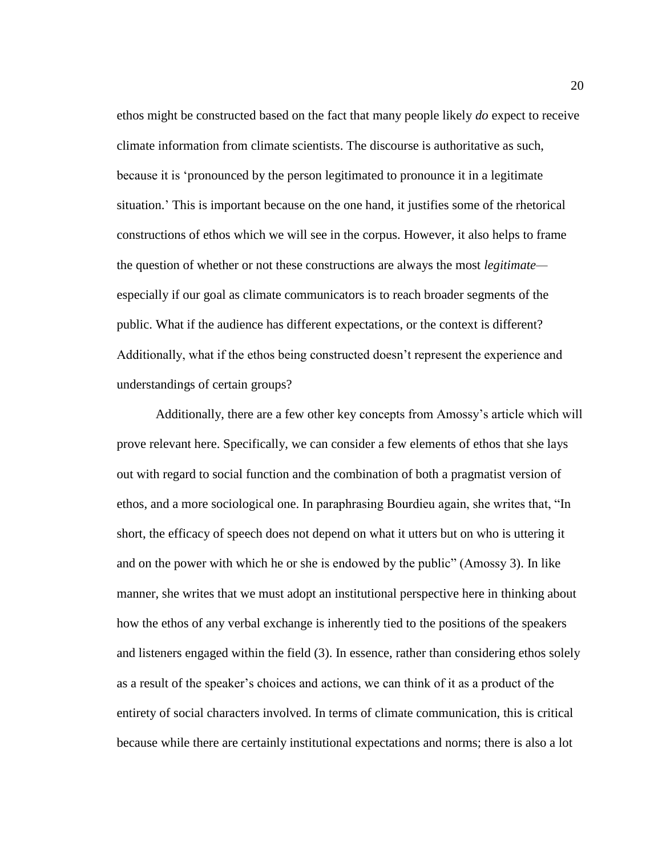ethos might be constructed based on the fact that many people likely *do* expect to receive climate information from climate scientists. The discourse is authoritative as such, because it is 'pronounced by the person legitimated to pronounce it in a legitimate situation.' This is important because on the one hand, it justifies some of the rhetorical constructions of ethos which we will see in the corpus. However, it also helps to frame the question of whether or not these constructions are always the most *legitimate* especially if our goal as climate communicators is to reach broader segments of the public. What if the audience has different expectations, or the context is different? Additionally, what if the ethos being constructed doesn't represent the experience and understandings of certain groups?

Additionally, there are a few other key concepts from Amossy's article which will prove relevant here. Specifically, we can consider a few elements of ethos that she lays out with regard to social function and the combination of both a pragmatist version of ethos, and a more sociological one. In paraphrasing Bourdieu again, she writes that, "In short, the efficacy of speech does not depend on what it utters but on who is uttering it and on the power with which he or she is endowed by the public" (Amossy 3). In like manner, she writes that we must adopt an institutional perspective here in thinking about how the ethos of any verbal exchange is inherently tied to the positions of the speakers and listeners engaged within the field (3). In essence, rather than considering ethos solely as a result of the speaker's choices and actions, we can think of it as a product of the entirety of social characters involved. In terms of climate communication, this is critical because while there are certainly institutional expectations and norms; there is also a lot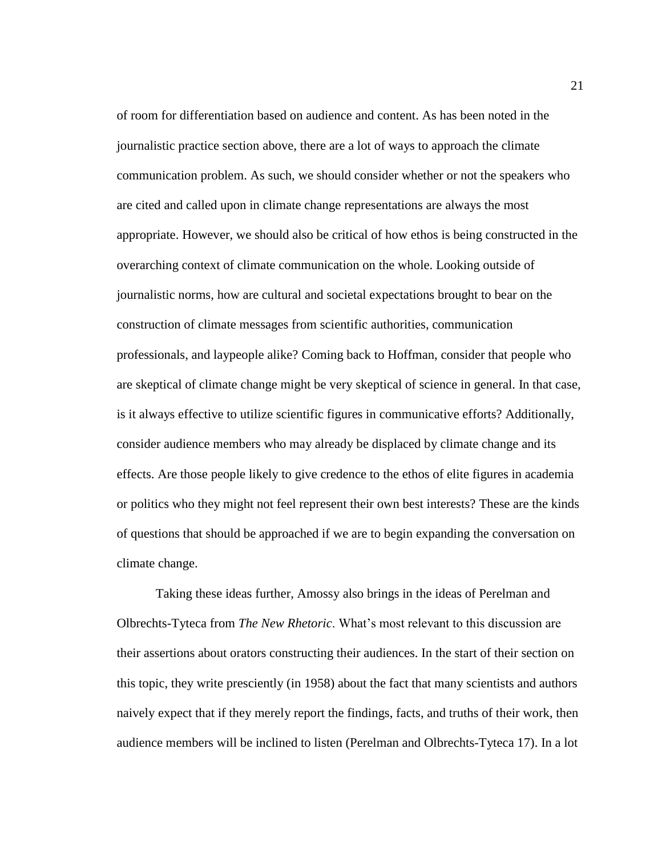of room for differentiation based on audience and content. As has been noted in the journalistic practice section above, there are a lot of ways to approach the climate communication problem. As such, we should consider whether or not the speakers who are cited and called upon in climate change representations are always the most appropriate. However, we should also be critical of how ethos is being constructed in the overarching context of climate communication on the whole. Looking outside of journalistic norms, how are cultural and societal expectations brought to bear on the construction of climate messages from scientific authorities, communication professionals, and laypeople alike? Coming back to Hoffman, consider that people who are skeptical of climate change might be very skeptical of science in general. In that case, is it always effective to utilize scientific figures in communicative efforts? Additionally, consider audience members who may already be displaced by climate change and its effects. Are those people likely to give credence to the ethos of elite figures in academia or politics who they might not feel represent their own best interests? These are the kinds of questions that should be approached if we are to begin expanding the conversation on climate change.

Taking these ideas further, Amossy also brings in the ideas of Perelman and Olbrechts-Tyteca from *The New Rhetoric*. What's most relevant to this discussion are their assertions about orators constructing their audiences. In the start of their section on this topic, they write presciently (in 1958) about the fact that many scientists and authors naively expect that if they merely report the findings, facts, and truths of their work, then audience members will be inclined to listen (Perelman and Olbrechts-Tyteca 17). In a lot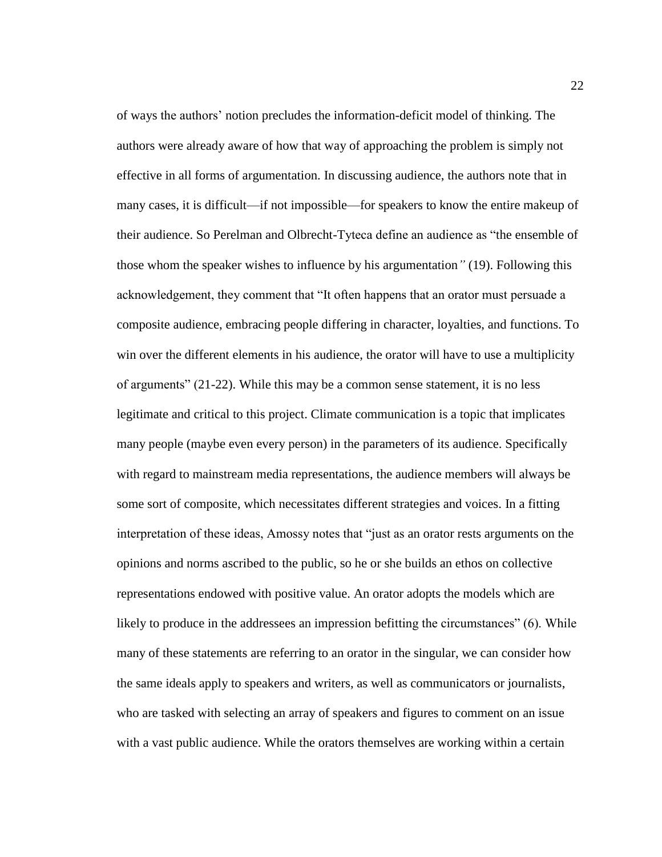of ways the authors' notion precludes the information-deficit model of thinking. The authors were already aware of how that way of approaching the problem is simply not effective in all forms of argumentation. In discussing audience, the authors note that in many cases, it is difficult—if not impossible—for speakers to know the entire makeup of their audience. So Perelman and Olbrecht-Tyteca define an audience as "the ensemble of those whom the speaker wishes to influence by his argumentation*"* (19). Following this acknowledgement, they comment that "It often happens that an orator must persuade a composite audience, embracing people differing in character, loyalties, and functions. To win over the different elements in his audience, the orator will have to use a multiplicity of arguments" (21-22). While this may be a common sense statement, it is no less legitimate and critical to this project. Climate communication is a topic that implicates many people (maybe even every person) in the parameters of its audience. Specifically with regard to mainstream media representations, the audience members will always be some sort of composite, which necessitates different strategies and voices. In a fitting interpretation of these ideas, Amossy notes that "just as an orator rests arguments on the opinions and norms ascribed to the public, so he or she builds an ethos on collective representations endowed with positive value. An orator adopts the models which are likely to produce in the addressees an impression befitting the circumstances" (6). While many of these statements are referring to an orator in the singular, we can consider how the same ideals apply to speakers and writers, as well as communicators or journalists, who are tasked with selecting an array of speakers and figures to comment on an issue with a vast public audience. While the orators themselves are working within a certain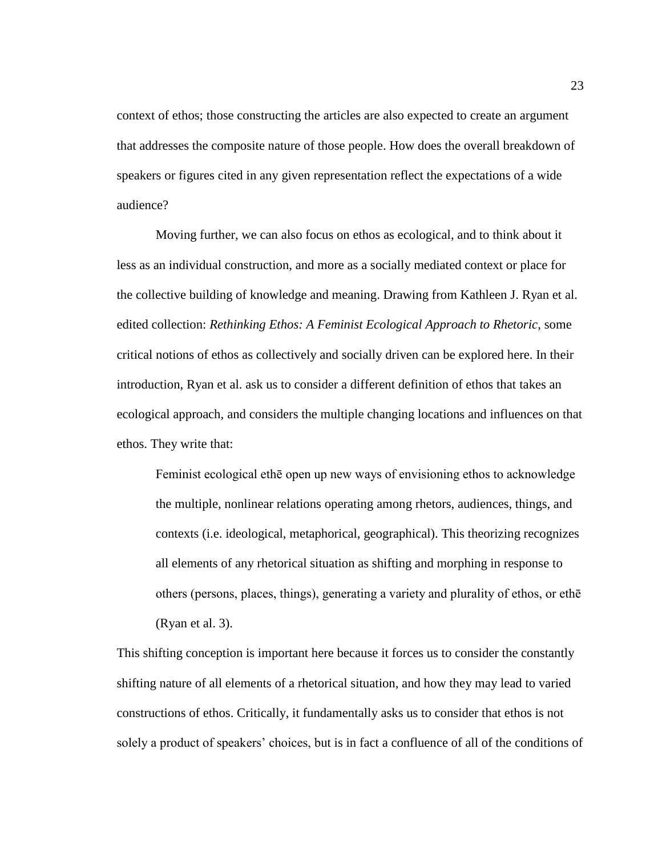context of ethos; those constructing the articles are also expected to create an argument that addresses the composite nature of those people. How does the overall breakdown of speakers or figures cited in any given representation reflect the expectations of a wide audience?

Moving further, we can also focus on ethos as ecological, and to think about it less as an individual construction, and more as a socially mediated context or place for the collective building of knowledge and meaning. Drawing from Kathleen J. Ryan et al. edited collection: *Rethinking Ethos: A Feminist Ecological Approach to Rhetoric*, some critical notions of ethos as collectively and socially driven can be explored here. In their introduction, Ryan et al. ask us to consider a different definition of ethos that takes an ecological approach, and considers the multiple changing locations and influences on that ethos. They write that:

Feminist ecological ethē open up new ways of envisioning ethos to acknowledge the multiple, nonlinear relations operating among rhetors, audiences, things, and contexts (i.e. ideological, metaphorical, geographical). This theorizing recognizes all elements of any rhetorical situation as shifting and morphing in response to others (persons, places, things), generating a variety and plurality of ethos, or ethē (Ryan et al. 3).

This shifting conception is important here because it forces us to consider the constantly shifting nature of all elements of a rhetorical situation, and how they may lead to varied constructions of ethos. Critically, it fundamentally asks us to consider that ethos is not solely a product of speakers' choices, but is in fact a confluence of all of the conditions of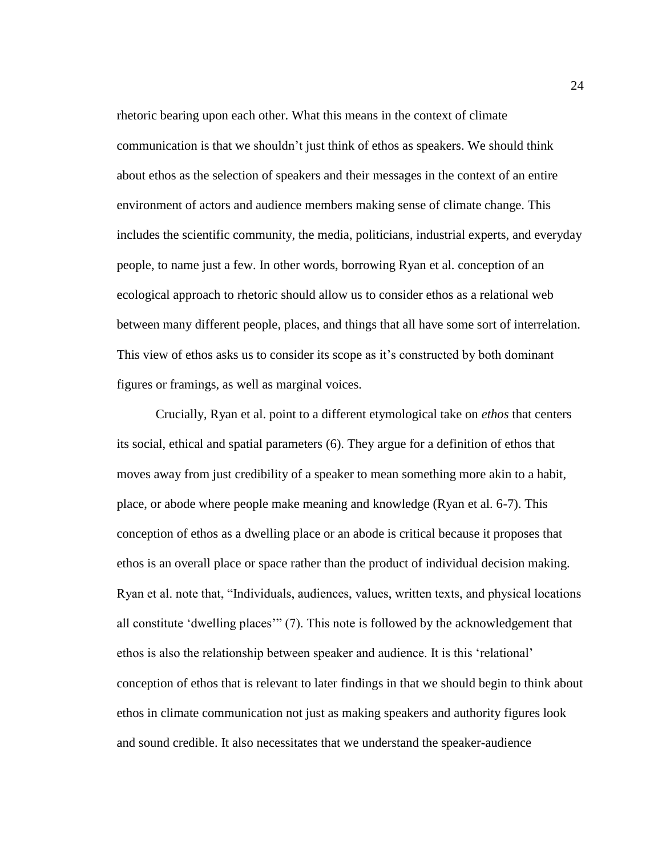rhetoric bearing upon each other. What this means in the context of climate communication is that we shouldn't just think of ethos as speakers. We should think about ethos as the selection of speakers and their messages in the context of an entire environment of actors and audience members making sense of climate change. This includes the scientific community, the media, politicians, industrial experts, and everyday people, to name just a few. In other words, borrowing Ryan et al. conception of an ecological approach to rhetoric should allow us to consider ethos as a relational web between many different people, places, and things that all have some sort of interrelation. This view of ethos asks us to consider its scope as it's constructed by both dominant figures or framings, as well as marginal voices.

Crucially, Ryan et al. point to a different etymological take on *ethos* that centers its social, ethical and spatial parameters (6). They argue for a definition of ethos that moves away from just credibility of a speaker to mean something more akin to a habit, place, or abode where people make meaning and knowledge (Ryan et al. 6-7). This conception of ethos as a dwelling place or an abode is critical because it proposes that ethos is an overall place or space rather than the product of individual decision making. Ryan et al. note that, "Individuals, audiences, values, written texts, and physical locations all constitute 'dwelling places'" (7). This note is followed by the acknowledgement that ethos is also the relationship between speaker and audience. It is this 'relational' conception of ethos that is relevant to later findings in that we should begin to think about ethos in climate communication not just as making speakers and authority figures look and sound credible. It also necessitates that we understand the speaker-audience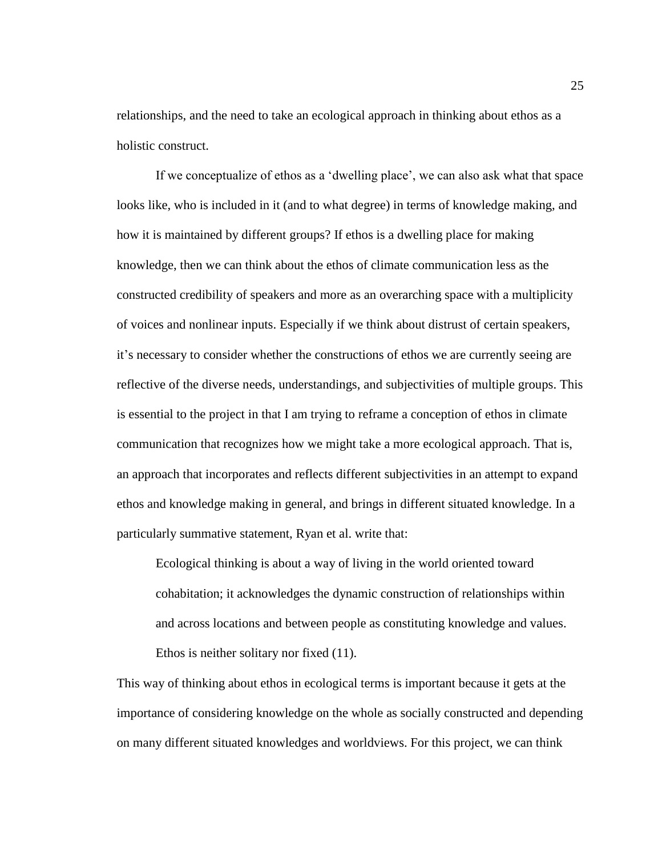relationships, and the need to take an ecological approach in thinking about ethos as a holistic construct.

If we conceptualize of ethos as a 'dwelling place', we can also ask what that space looks like, who is included in it (and to what degree) in terms of knowledge making, and how it is maintained by different groups? If ethos is a dwelling place for making knowledge, then we can think about the ethos of climate communication less as the constructed credibility of speakers and more as an overarching space with a multiplicity of voices and nonlinear inputs. Especially if we think about distrust of certain speakers, it's necessary to consider whether the constructions of ethos we are currently seeing are reflective of the diverse needs, understandings, and subjectivities of multiple groups. This is essential to the project in that I am trying to reframe a conception of ethos in climate communication that recognizes how we might take a more ecological approach. That is, an approach that incorporates and reflects different subjectivities in an attempt to expand ethos and knowledge making in general, and brings in different situated knowledge. In a particularly summative statement, Ryan et al. write that:

Ecological thinking is about a way of living in the world oriented toward cohabitation; it acknowledges the dynamic construction of relationships within and across locations and between people as constituting knowledge and values. Ethos is neither solitary nor fixed (11).

This way of thinking about ethos in ecological terms is important because it gets at the importance of considering knowledge on the whole as socially constructed and depending on many different situated knowledges and worldviews. For this project, we can think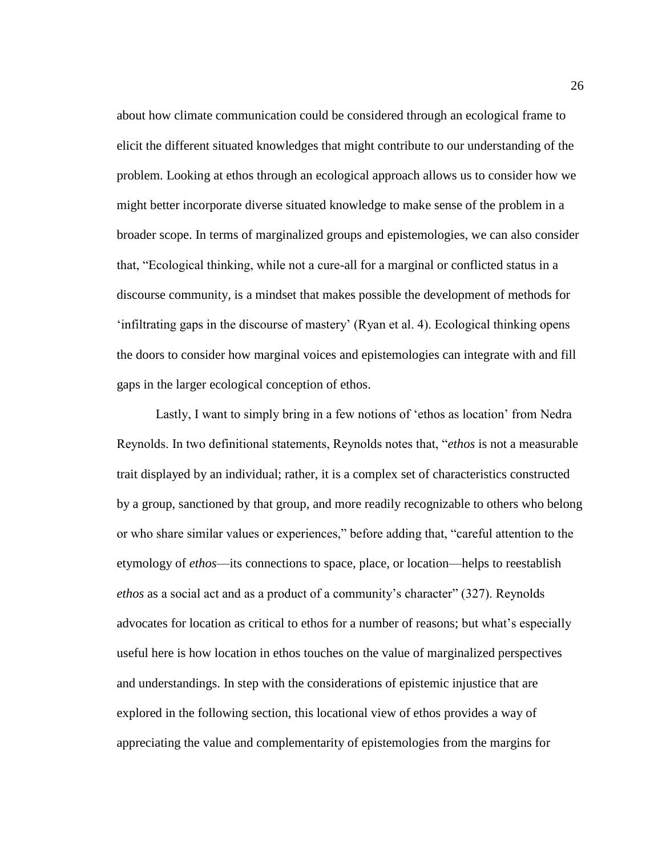about how climate communication could be considered through an ecological frame to elicit the different situated knowledges that might contribute to our understanding of the problem. Looking at ethos through an ecological approach allows us to consider how we might better incorporate diverse situated knowledge to make sense of the problem in a broader scope. In terms of marginalized groups and epistemologies, we can also consider that, "Ecological thinking, while not a cure-all for a marginal or conflicted status in a discourse community, is a mindset that makes possible the development of methods for 'infiltrating gaps in the discourse of mastery' (Ryan et al. 4). Ecological thinking opens the doors to consider how marginal voices and epistemologies can integrate with and fill gaps in the larger ecological conception of ethos.

Lastly, I want to simply bring in a few notions of 'ethos as location' from Nedra Reynolds. In two definitional statements, Reynolds notes that, "*ethos* is not a measurable trait displayed by an individual; rather, it is a complex set of characteristics constructed by a group, sanctioned by that group, and more readily recognizable to others who belong or who share similar values or experiences," before adding that, "careful attention to the etymology of *ethos*—its connections to space, place, or location—helps to reestablish *ethos* as a social act and as a product of a community's character" (327). Reynolds advocates for location as critical to ethos for a number of reasons; but what's especially useful here is how location in ethos touches on the value of marginalized perspectives and understandings. In step with the considerations of epistemic injustice that are explored in the following section, this locational view of ethos provides a way of appreciating the value and complementarity of epistemologies from the margins for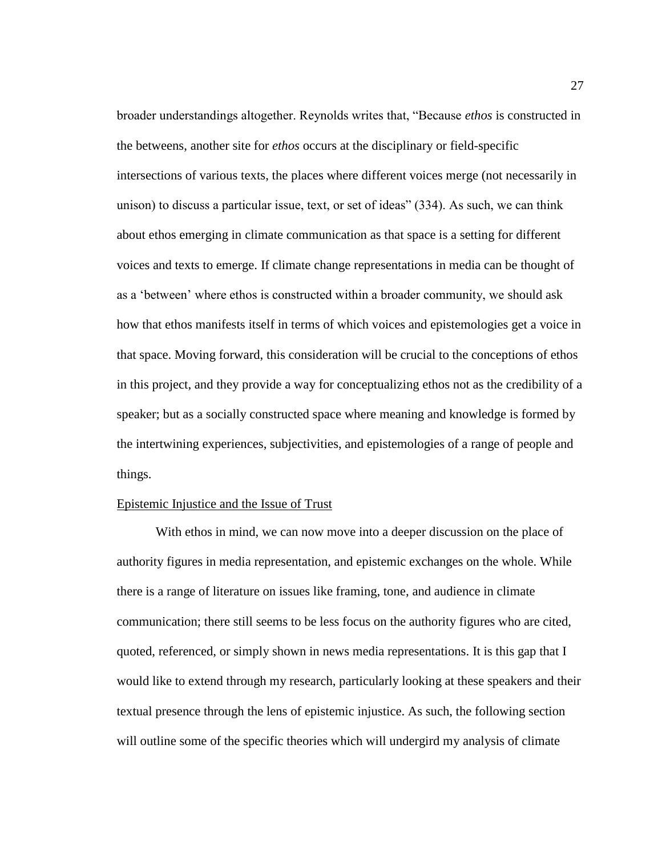broader understandings altogether. Reynolds writes that, "Because *ethos* is constructed in the betweens, another site for *ethos* occurs at the disciplinary or field-specific intersections of various texts, the places where different voices merge (not necessarily in unison) to discuss a particular issue, text, or set of ideas" (334). As such, we can think about ethos emerging in climate communication as that space is a setting for different voices and texts to emerge. If climate change representations in media can be thought of as a 'between' where ethos is constructed within a broader community, we should ask how that ethos manifests itself in terms of which voices and epistemologies get a voice in that space. Moving forward, this consideration will be crucial to the conceptions of ethos in this project, and they provide a way for conceptualizing ethos not as the credibility of a speaker; but as a socially constructed space where meaning and knowledge is formed by the intertwining experiences, subjectivities, and epistemologies of a range of people and things.

#### <span id="page-33-0"></span>Epistemic Injustice and the Issue of Trust

With ethos in mind, we can now move into a deeper discussion on the place of authority figures in media representation, and epistemic exchanges on the whole. While there is a range of literature on issues like framing, tone, and audience in climate communication; there still seems to be less focus on the authority figures who are cited, quoted, referenced, or simply shown in news media representations. It is this gap that I would like to extend through my research, particularly looking at these speakers and their textual presence through the lens of epistemic injustice. As such, the following section will outline some of the specific theories which will undergird my analysis of climate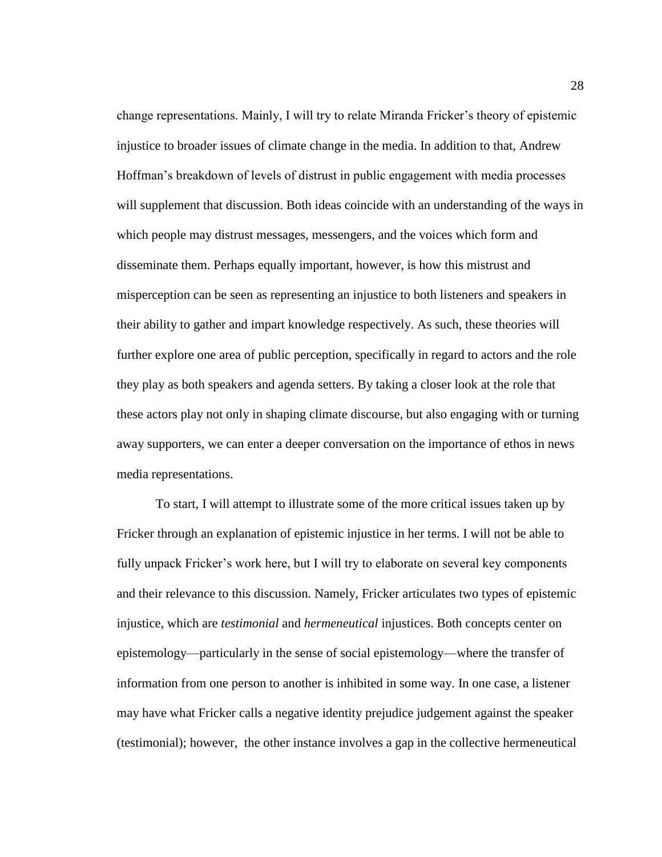change representations. Mainly, I will try to relate Miranda Fricker's theory of epistemic injustice to broader issues of climate change in the media. In addition to that, Andrew Hoffman's breakdown of levels of distrust in public engagement with media processes will supplement that discussion. Both ideas coincide with an understanding of the ways in which people may distrust messages, messengers, and the voices which form and disseminate them. Perhaps equally important, however, is how this mistrust and misperception can be seen as representing an injustice to both listeners and speakers in their ability to gather and impart knowledge respectively. As such, these theories will further explore one area of public perception, specifically in regard to actors and the role they play as both speakers and agenda setters. By taking a closer look at the role that these actors play not only in shaping climate discourse, but also engaging with or turning away supporters, we can enter a deeper conversation on the importance of ethos in news media representations.

To start, I will attempt to illustrate some of the more critical issues taken up by Fricker through an explanation of epistemic injustice in her terms. I will not be able to fully unpack Fricker's work here, but I will try to elaborate on several key components and their relevance to this discussion. Namely, Fricker articulates two types of epistemic injustice, which are *testimonial* and *hermeneutical* injustices. Both concepts center on epistemology—particularly in the sense of social epistemology—where the transfer of information from one person to another is inhibited in some way. In one case, a listener may have what Fricker calls a negative identity prejudice judgement against the speaker (testimonial); however, the other instance involves a gap in the collective hermeneutical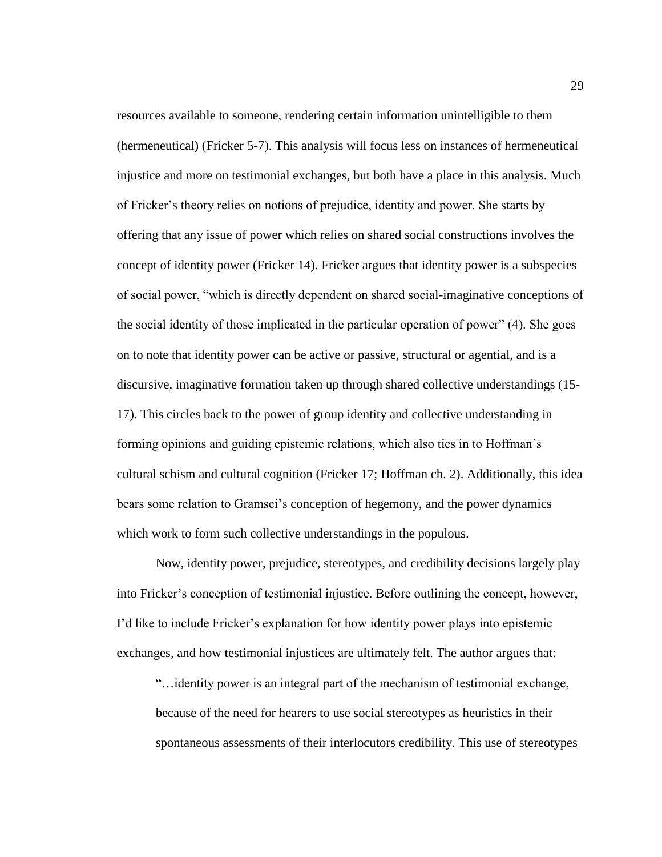resources available to someone, rendering certain information unintelligible to them (hermeneutical) (Fricker 5-7). This analysis will focus less on instances of hermeneutical injustice and more on testimonial exchanges, but both have a place in this analysis. Much of Fricker's theory relies on notions of prejudice, identity and power. She starts by offering that any issue of power which relies on shared social constructions involves the concept of identity power (Fricker 14). Fricker argues that identity power is a subspecies of social power, "which is directly dependent on shared social-imaginative conceptions of the social identity of those implicated in the particular operation of power" (4). She goes on to note that identity power can be active or passive, structural or agential, and is a discursive, imaginative formation taken up through shared collective understandings (15- 17). This circles back to the power of group identity and collective understanding in forming opinions and guiding epistemic relations, which also ties in to Hoffman's cultural schism and cultural cognition (Fricker 17; Hoffman ch. 2). Additionally, this idea bears some relation to Gramsci's conception of hegemony, and the power dynamics which work to form such collective understandings in the populous.

Now, identity power, prejudice, stereotypes, and credibility decisions largely play into Fricker's conception of testimonial injustice. Before outlining the concept, however, I'd like to include Fricker's explanation for how identity power plays into epistemic exchanges, and how testimonial injustices are ultimately felt. The author argues that:

"…identity power is an integral part of the mechanism of testimonial exchange, because of the need for hearers to use social stereotypes as heuristics in their spontaneous assessments of their interlocutors credibility. This use of stereotypes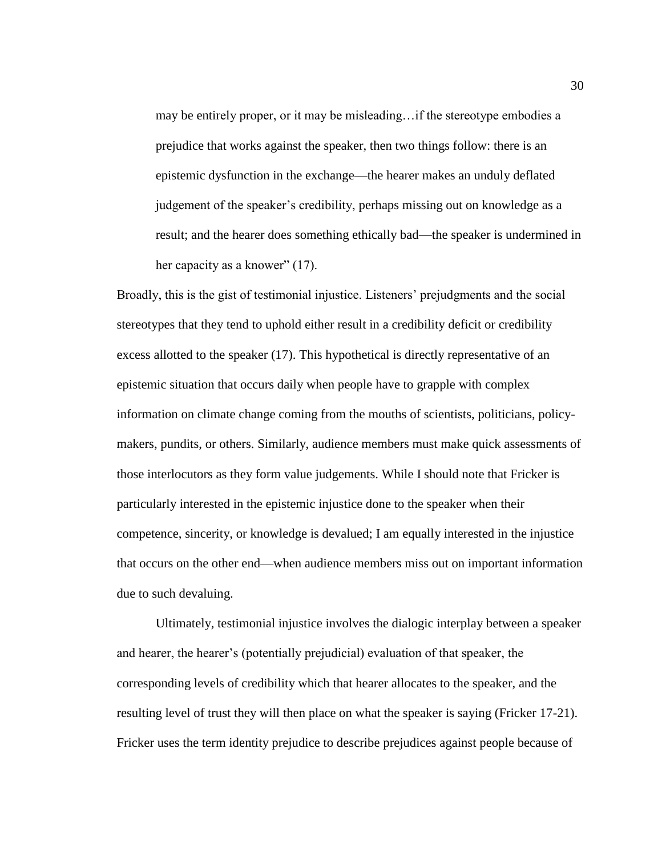may be entirely proper, or it may be misleading…if the stereotype embodies a prejudice that works against the speaker, then two things follow: there is an epistemic dysfunction in the exchange—the hearer makes an unduly deflated judgement of the speaker's credibility, perhaps missing out on knowledge as a result; and the hearer does something ethically bad—the speaker is undermined in her capacity as a knower" (17).

Broadly, this is the gist of testimonial injustice. Listeners' prejudgments and the social stereotypes that they tend to uphold either result in a credibility deficit or credibility excess allotted to the speaker (17). This hypothetical is directly representative of an epistemic situation that occurs daily when people have to grapple with complex information on climate change coming from the mouths of scientists, politicians, policymakers, pundits, or others. Similarly, audience members must make quick assessments of those interlocutors as they form value judgements. While I should note that Fricker is particularly interested in the epistemic injustice done to the speaker when their competence, sincerity, or knowledge is devalued; I am equally interested in the injustice that occurs on the other end—when audience members miss out on important information due to such devaluing.

Ultimately, testimonial injustice involves the dialogic interplay between a speaker and hearer, the hearer's (potentially prejudicial) evaluation of that speaker, the corresponding levels of credibility which that hearer allocates to the speaker, and the resulting level of trust they will then place on what the speaker is saying (Fricker 17-21). Fricker uses the term identity prejudice to describe prejudices against people because of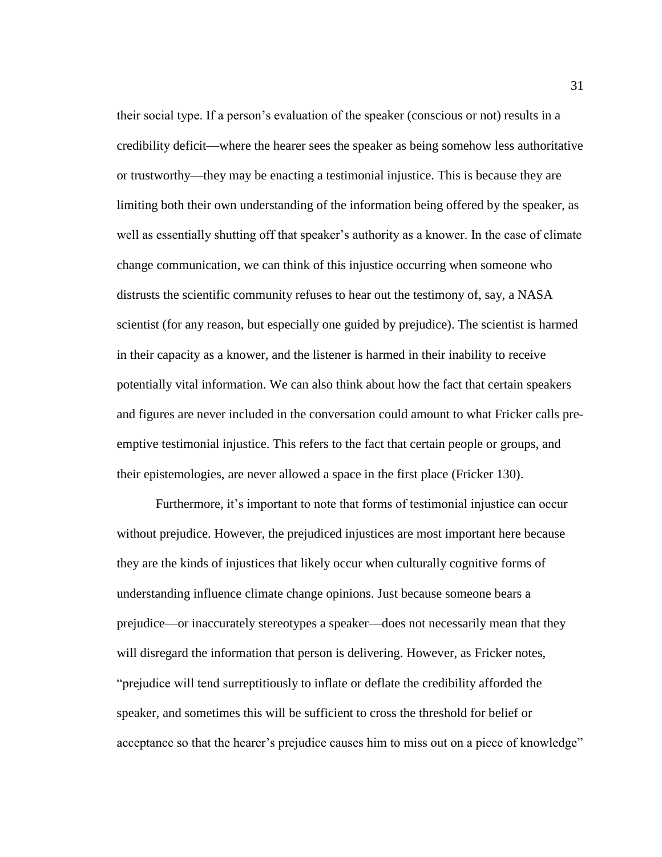their social type. If a person's evaluation of the speaker (conscious or not) results in a credibility deficit—where the hearer sees the speaker as being somehow less authoritative or trustworthy—they may be enacting a testimonial injustice. This is because they are limiting both their own understanding of the information being offered by the speaker, as well as essentially shutting off that speaker's authority as a knower. In the case of climate change communication, we can think of this injustice occurring when someone who distrusts the scientific community refuses to hear out the testimony of, say, a NASA scientist (for any reason, but especially one guided by prejudice). The scientist is harmed in their capacity as a knower, and the listener is harmed in their inability to receive potentially vital information. We can also think about how the fact that certain speakers and figures are never included in the conversation could amount to what Fricker calls preemptive testimonial injustice. This refers to the fact that certain people or groups, and their epistemologies, are never allowed a space in the first place (Fricker 130).

Furthermore, it's important to note that forms of testimonial injustice can occur without prejudice. However, the prejudiced injustices are most important here because they are the kinds of injustices that likely occur when culturally cognitive forms of understanding influence climate change opinions. Just because someone bears a prejudice—or inaccurately stereotypes a speaker—does not necessarily mean that they will disregard the information that person is delivering. However, as Fricker notes, "prejudice will tend surreptitiously to inflate or deflate the credibility afforded the speaker, and sometimes this will be sufficient to cross the threshold for belief or acceptance so that the hearer's prejudice causes him to miss out on a piece of knowledge"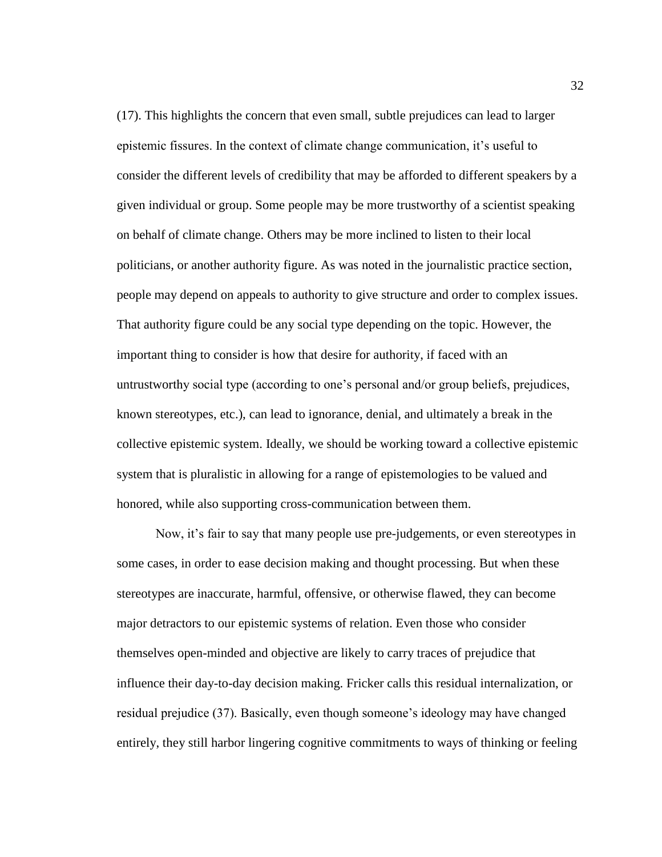(17). This highlights the concern that even small, subtle prejudices can lead to larger epistemic fissures. In the context of climate change communication, it's useful to consider the different levels of credibility that may be afforded to different speakers by a given individual or group. Some people may be more trustworthy of a scientist speaking on behalf of climate change. Others may be more inclined to listen to their local politicians, or another authority figure. As was noted in the journalistic practice section, people may depend on appeals to authority to give structure and order to complex issues. That authority figure could be any social type depending on the topic. However, the important thing to consider is how that desire for authority, if faced with an untrustworthy social type (according to one's personal and/or group beliefs, prejudices, known stereotypes, etc.), can lead to ignorance, denial, and ultimately a break in the collective epistemic system. Ideally, we should be working toward a collective epistemic system that is pluralistic in allowing for a range of epistemologies to be valued and honored, while also supporting cross-communication between them.

Now, it's fair to say that many people use pre-judgements, or even stereotypes in some cases, in order to ease decision making and thought processing. But when these stereotypes are inaccurate, harmful, offensive, or otherwise flawed, they can become major detractors to our epistemic systems of relation. Even those who consider themselves open-minded and objective are likely to carry traces of prejudice that influence their day-to-day decision making. Fricker calls this residual internalization, or residual prejudice (37). Basically, even though someone's ideology may have changed entirely, they still harbor lingering cognitive commitments to ways of thinking or feeling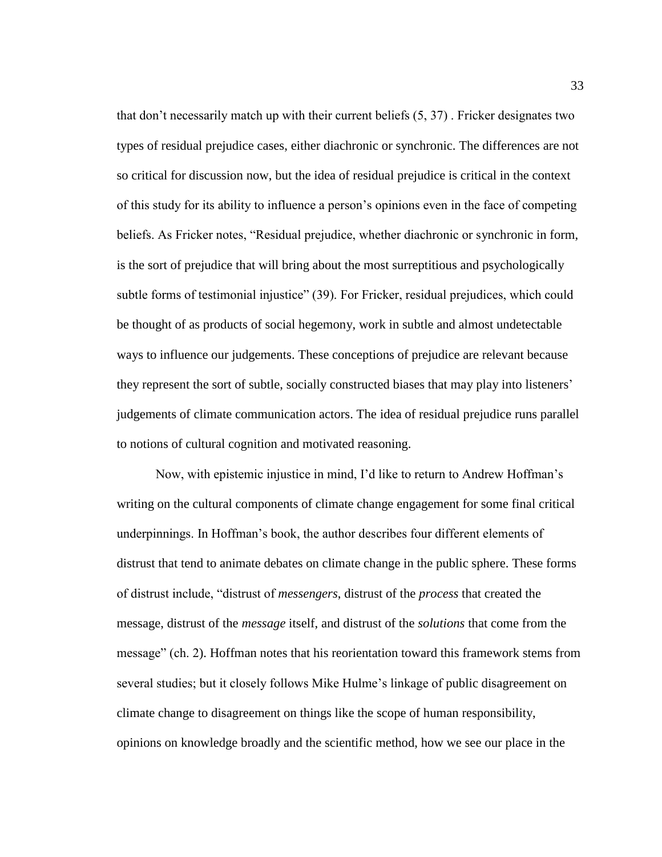that don't necessarily match up with their current beliefs (5, 37) . Fricker designates two types of residual prejudice cases, either diachronic or synchronic. The differences are not so critical for discussion now, but the idea of residual prejudice is critical in the context of this study for its ability to influence a person's opinions even in the face of competing beliefs. As Fricker notes, "Residual prejudice, whether diachronic or synchronic in form, is the sort of prejudice that will bring about the most surreptitious and psychologically subtle forms of testimonial injustice" (39). For Fricker, residual prejudices, which could be thought of as products of social hegemony, work in subtle and almost undetectable ways to influence our judgements. These conceptions of prejudice are relevant because they represent the sort of subtle, socially constructed biases that may play into listeners' judgements of climate communication actors. The idea of residual prejudice runs parallel to notions of cultural cognition and motivated reasoning.

Now, with epistemic injustice in mind, I'd like to return to Andrew Hoffman's writing on the cultural components of climate change engagement for some final critical underpinnings. In Hoffman's book, the author describes four different elements of distrust that tend to animate debates on climate change in the public sphere. These forms of distrust include, "distrust of *messengers*, distrust of the *process* that created the message, distrust of the *message* itself, and distrust of the *solutions* that come from the message" (ch. 2). Hoffman notes that his reorientation toward this framework stems from several studies; but it closely follows Mike Hulme's linkage of public disagreement on climate change to disagreement on things like the scope of human responsibility, opinions on knowledge broadly and the scientific method, how we see our place in the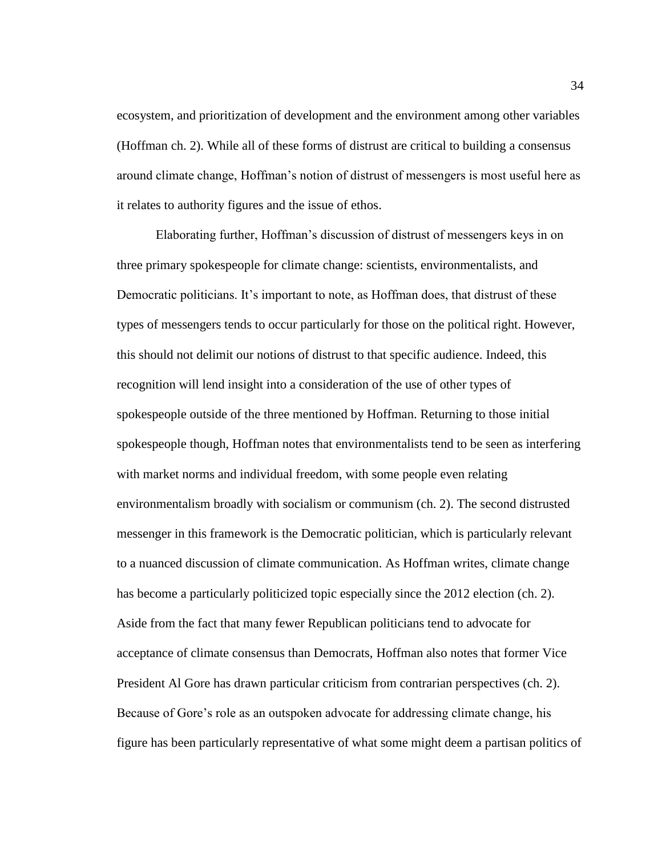ecosystem, and prioritization of development and the environment among other variables (Hoffman ch. 2). While all of these forms of distrust are critical to building a consensus around climate change, Hoffman's notion of distrust of messengers is most useful here as it relates to authority figures and the issue of ethos.

Elaborating further, Hoffman's discussion of distrust of messengers keys in on three primary spokespeople for climate change: scientists, environmentalists, and Democratic politicians. It's important to note, as Hoffman does, that distrust of these types of messengers tends to occur particularly for those on the political right. However, this should not delimit our notions of distrust to that specific audience. Indeed, this recognition will lend insight into a consideration of the use of other types of spokespeople outside of the three mentioned by Hoffman. Returning to those initial spokespeople though, Hoffman notes that environmentalists tend to be seen as interfering with market norms and individual freedom, with some people even relating environmentalism broadly with socialism or communism (ch. 2). The second distrusted messenger in this framework is the Democratic politician, which is particularly relevant to a nuanced discussion of climate communication. As Hoffman writes, climate change has become a particularly politicized topic especially since the 2012 election (ch. 2). Aside from the fact that many fewer Republican politicians tend to advocate for acceptance of climate consensus than Democrats, Hoffman also notes that former Vice President Al Gore has drawn particular criticism from contrarian perspectives (ch. 2). Because of Gore's role as an outspoken advocate for addressing climate change, his figure has been particularly representative of what some might deem a partisan politics of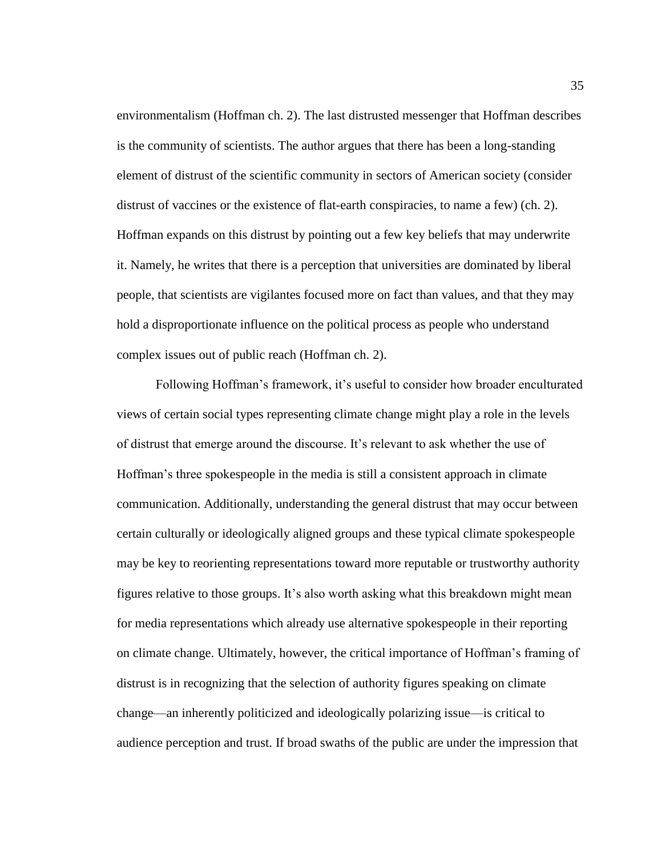environmentalism (Hoffman ch. 2). The last distrusted messenger that Hoffman describes is the community of scientists. The author argues that there has been a long-standing element of distrust of the scientific community in sectors of American society (consider distrust of vaccines or the existence of flat-earth conspiracies, to name a few) (ch. 2). Hoffman expands on this distrust by pointing out a few key beliefs that may underwrite it. Namely, he writes that there is a perception that universities are dominated by liberal people, that scientists are vigilantes focused more on fact than values, and that they may hold a disproportionate influence on the political process as people who understand complex issues out of public reach (Hoffman ch. 2).

Following Hoffman's framework, it's useful to consider how broader enculturated views of certain social types representing climate change might play a role in the levels of distrust that emerge around the discourse. It's relevant to ask whether the use of Hoffman's three spokespeople in the media is still a consistent approach in climate communication. Additionally, understanding the general distrust that may occur between certain culturally or ideologically aligned groups and these typical climate spokespeople may be key to reorienting representations toward more reputable or trustworthy authority figures relative to those groups. It's also worth asking what this breakdown might mean for media representations which already use alternative spokespeople in their reporting on climate change. Ultimately, however, the critical importance of Hoffman's framing of distrust is in recognizing that the selection of authority figures speaking on climate change—an inherently politicized and ideologically polarizing issue—is critical to audience perception and trust. If broad swaths of the public are under the impression that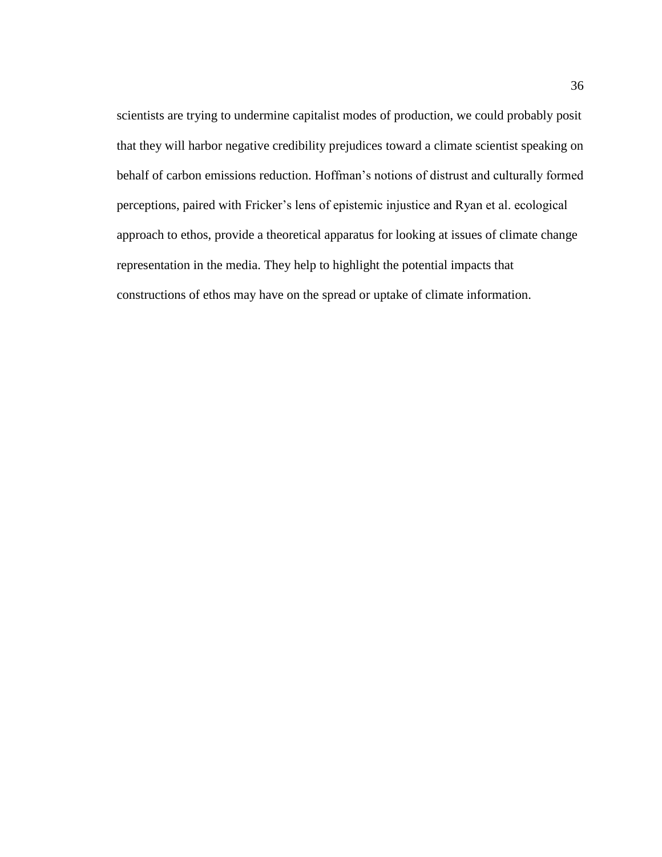scientists are trying to undermine capitalist modes of production, we could probably posit that they will harbor negative credibility prejudices toward a climate scientist speaking on behalf of carbon emissions reduction. Hoffman's notions of distrust and culturally formed perceptions, paired with Fricker's lens of epistemic injustice and Ryan et al. ecological approach to ethos, provide a theoretical apparatus for looking at issues of climate change representation in the media. They help to highlight the potential impacts that constructions of ethos may have on the spread or uptake of climate information.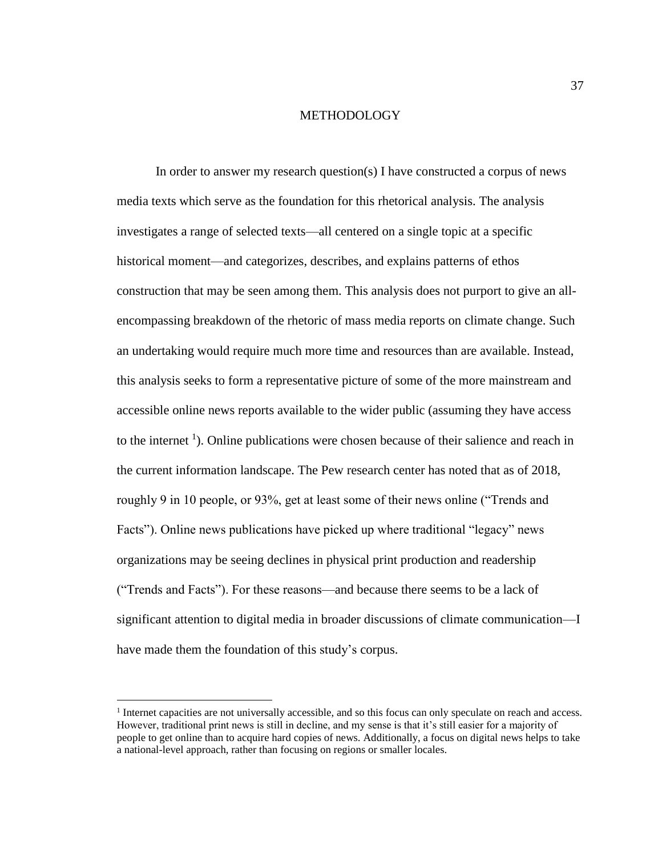## METHODOLOGY

In order to answer my research question(s) I have constructed a corpus of news media texts which serve as the foundation for this rhetorical analysis. The analysis investigates a range of selected texts—all centered on a single topic at a specific historical moment—and categorizes, describes, and explains patterns of ethos construction that may be seen among them. This analysis does not purport to give an allencompassing breakdown of the rhetoric of mass media reports on climate change. Such an undertaking would require much more time and resources than are available. Instead, this analysis seeks to form a representative picture of some of the more mainstream and accessible online news reports available to the wider public (assuming they have access to the internet  $\frac{1}{1}$ . Online publications were chosen because of their salience and reach in the current information landscape. The Pew research center has noted that as of 2018, roughly 9 in 10 people, or 93%, get at least some of their news online ("Trends and Facts"). Online news publications have picked up where traditional "legacy" news organizations may be seeing declines in physical print production and readership ("Trends and Facts"). For these reasons—and because there seems to be a lack of significant attention to digital media in broader discussions of climate communication—I have made them the foundation of this study's corpus.

 $\overline{a}$ 

<sup>&</sup>lt;sup>1</sup> Internet capacities are not universally accessible, and so this focus can only speculate on reach and access. However, traditional print news is still in decline, and my sense is that it's still easier for a majority of people to get online than to acquire hard copies of news. Additionally, a focus on digital news helps to take a national-level approach, rather than focusing on regions or smaller locales.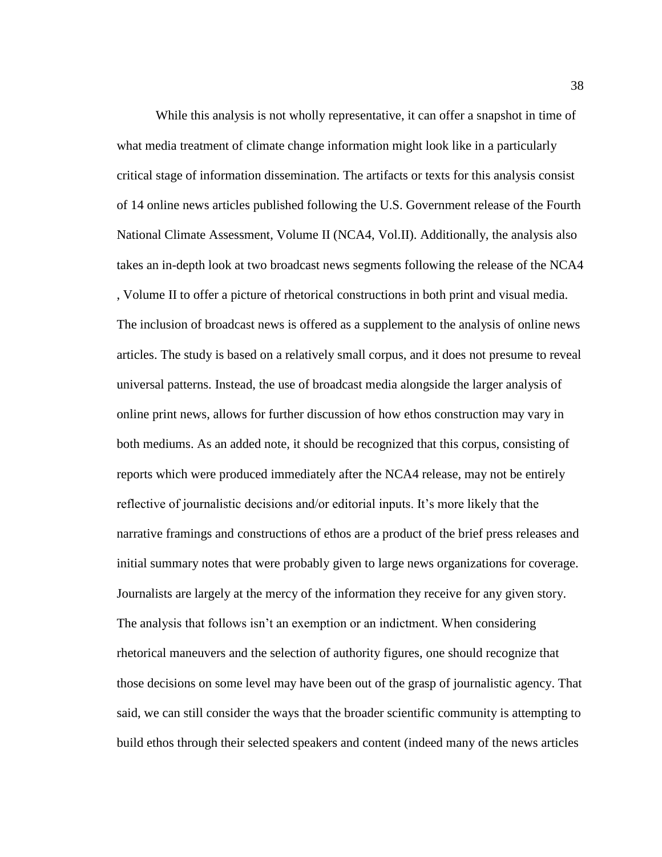While this analysis is not wholly representative, it can offer a snapshot in time of what media treatment of climate change information might look like in a particularly critical stage of information dissemination. The artifacts or texts for this analysis consist of 14 online news articles published following the U.S. Government release of the Fourth National Climate Assessment, Volume II (NCA4, Vol.II). Additionally, the analysis also takes an in-depth look at two broadcast news segments following the release of the NCA4 , Volume II to offer a picture of rhetorical constructions in both print and visual media. The inclusion of broadcast news is offered as a supplement to the analysis of online news articles. The study is based on a relatively small corpus, and it does not presume to reveal universal patterns. Instead, the use of broadcast media alongside the larger analysis of online print news, allows for further discussion of how ethos construction may vary in both mediums. As an added note, it should be recognized that this corpus, consisting of reports which were produced immediately after the NCA4 release, may not be entirely reflective of journalistic decisions and/or editorial inputs. It's more likely that the narrative framings and constructions of ethos are a product of the brief press releases and initial summary notes that were probably given to large news organizations for coverage. Journalists are largely at the mercy of the information they receive for any given story. The analysis that follows isn't an exemption or an indictment. When considering rhetorical maneuvers and the selection of authority figures, one should recognize that those decisions on some level may have been out of the grasp of journalistic agency. That said, we can still consider the ways that the broader scientific community is attempting to build ethos through their selected speakers and content (indeed many of the news articles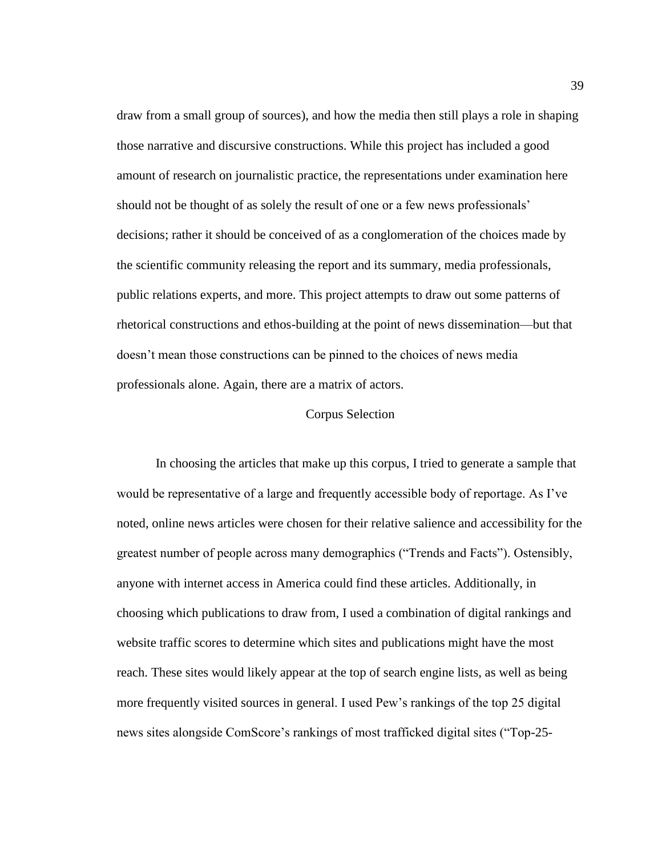draw from a small group of sources), and how the media then still plays a role in shaping those narrative and discursive constructions. While this project has included a good amount of research on journalistic practice, the representations under examination here should not be thought of as solely the result of one or a few news professionals' decisions; rather it should be conceived of as a conglomeration of the choices made by the scientific community releasing the report and its summary, media professionals, public relations experts, and more. This project attempts to draw out some patterns of rhetorical constructions and ethos-building at the point of news dissemination—but that doesn't mean those constructions can be pinned to the choices of news media professionals alone. Again, there are a matrix of actors.

## Corpus Selection

In choosing the articles that make up this corpus, I tried to generate a sample that would be representative of a large and frequently accessible body of reportage. As I've noted, online news articles were chosen for their relative salience and accessibility for the greatest number of people across many demographics ("Trends and Facts"). Ostensibly, anyone with internet access in America could find these articles. Additionally, in choosing which publications to draw from, I used a combination of digital rankings and website traffic scores to determine which sites and publications might have the most reach. These sites would likely appear at the top of search engine lists, as well as being more frequently visited sources in general. I used Pew's rankings of the top 25 digital news sites alongside ComScore's rankings of most trafficked digital sites ("Top-25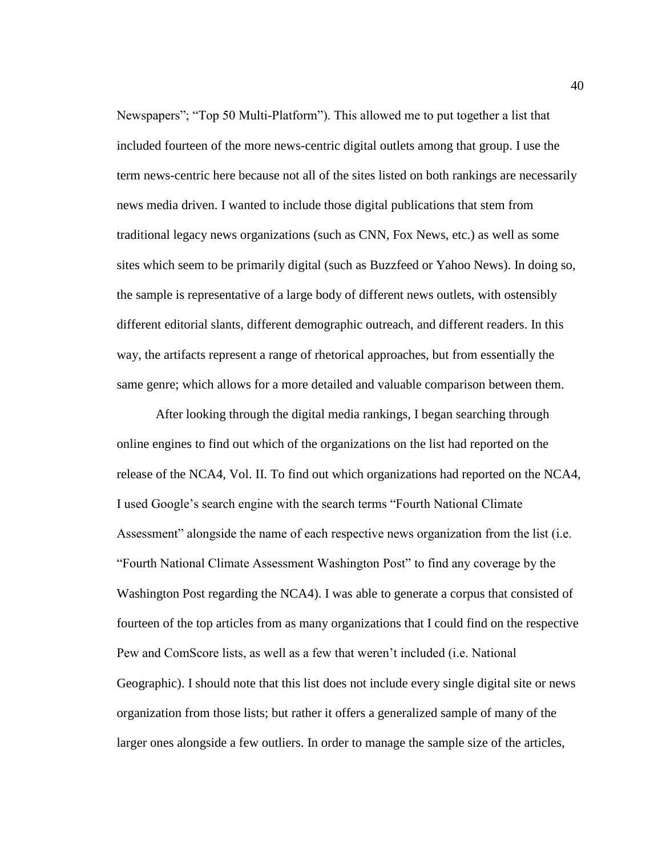Newspapers"; "Top 50 Multi-Platform"). This allowed me to put together a list that included fourteen of the more news-centric digital outlets among that group. I use the term news-centric here because not all of the sites listed on both rankings are necessarily news media driven. I wanted to include those digital publications that stem from traditional legacy news organizations (such as CNN, Fox News, etc.) as well as some sites which seem to be primarily digital (such as Buzzfeed or Yahoo News). In doing so, the sample is representative of a large body of different news outlets, with ostensibly different editorial slants, different demographic outreach, and different readers. In this way, the artifacts represent a range of rhetorical approaches, but from essentially the same genre; which allows for a more detailed and valuable comparison between them.

After looking through the digital media rankings, I began searching through online engines to find out which of the organizations on the list had reported on the release of the NCA4, Vol. II. To find out which organizations had reported on the NCA4, I used Google's search engine with the search terms "Fourth National Climate Assessment" alongside the name of each respective news organization from the list (i.e. "Fourth National Climate Assessment Washington Post" to find any coverage by the Washington Post regarding the NCA4). I was able to generate a corpus that consisted of fourteen of the top articles from as many organizations that I could find on the respective Pew and ComScore lists, as well as a few that weren't included (i.e. National Geographic). I should note that this list does not include every single digital site or news organization from those lists; but rather it offers a generalized sample of many of the larger ones alongside a few outliers. In order to manage the sample size of the articles,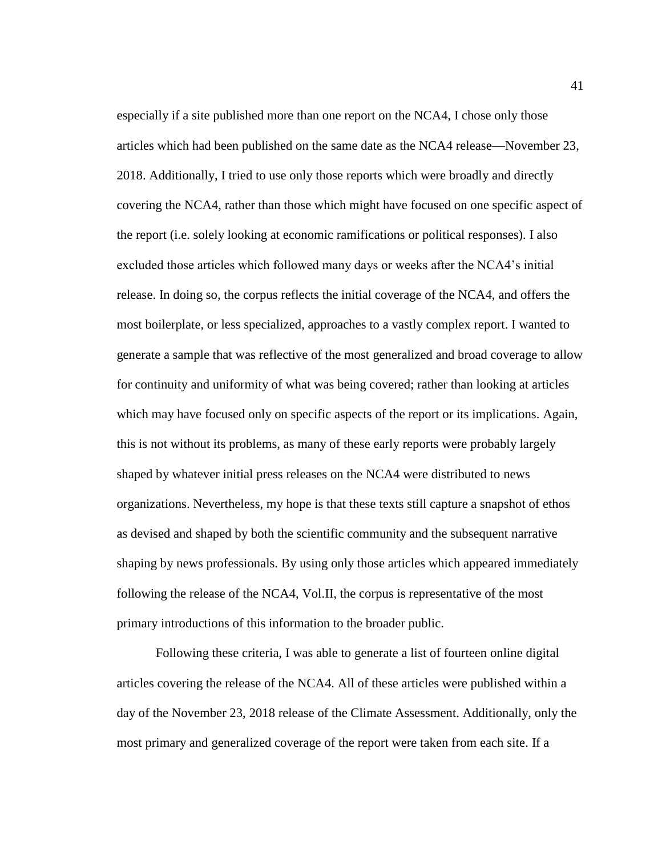especially if a site published more than one report on the NCA4, I chose only those articles which had been published on the same date as the NCA4 release—November 23, 2018. Additionally, I tried to use only those reports which were broadly and directly covering the NCA4, rather than those which might have focused on one specific aspect of the report (i.e. solely looking at economic ramifications or political responses). I also excluded those articles which followed many days or weeks after the NCA4's initial release. In doing so, the corpus reflects the initial coverage of the NCA4, and offers the most boilerplate, or less specialized, approaches to a vastly complex report. I wanted to generate a sample that was reflective of the most generalized and broad coverage to allow for continuity and uniformity of what was being covered; rather than looking at articles which may have focused only on specific aspects of the report or its implications. Again, this is not without its problems, as many of these early reports were probably largely shaped by whatever initial press releases on the NCA4 were distributed to news organizations. Nevertheless, my hope is that these texts still capture a snapshot of ethos as devised and shaped by both the scientific community and the subsequent narrative shaping by news professionals. By using only those articles which appeared immediately following the release of the NCA4, Vol.II, the corpus is representative of the most primary introductions of this information to the broader public.

Following these criteria, I was able to generate a list of fourteen online digital articles covering the release of the NCA4. All of these articles were published within a day of the November 23, 2018 release of the Climate Assessment. Additionally, only the most primary and generalized coverage of the report were taken from each site. If a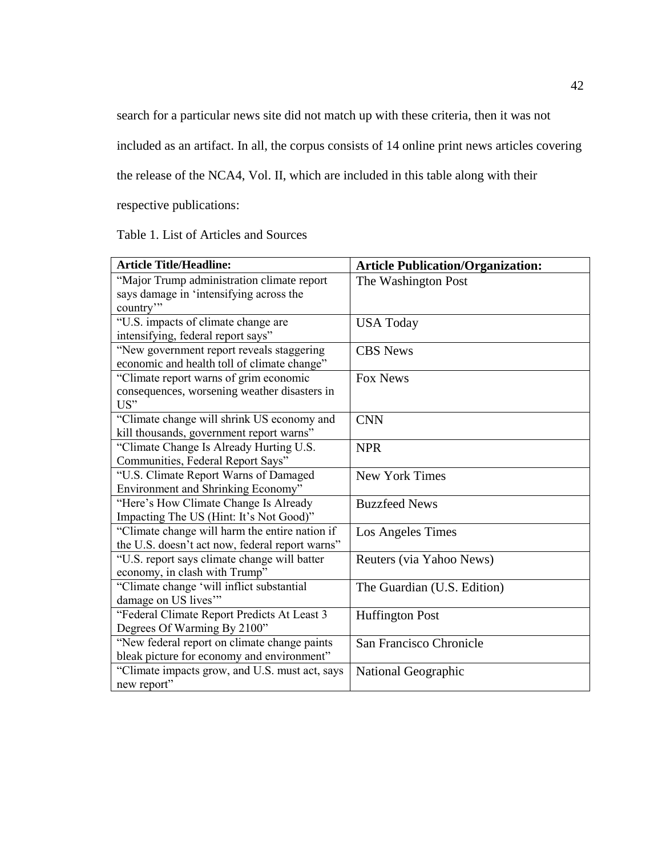search for a particular news site did not match up with these criteria, then it was not

included as an artifact. In all, the corpus consists of 14 online print news articles covering

the release of the NCA4, Vol. II, which are included in this table along with their

respective publications:

Table 1. List of Articles and Sources

| <b>Article Title/Headline:</b>                                              | <b>Article Publication/Organization:</b> |
|-----------------------------------------------------------------------------|------------------------------------------|
| "Major Trump administration climate report                                  | The Washington Post                      |
| says damage in 'intensifying across the                                     |                                          |
| country"                                                                    |                                          |
| "U.S. impacts of climate change are                                         | <b>USA Today</b>                         |
| intensifying, federal report says"                                          |                                          |
| "New government report reveals staggering                                   | <b>CBS</b> News                          |
| economic and health toll of climate change"                                 |                                          |
| "Climate report warns of grim economic                                      | <b>Fox News</b>                          |
| consequences, worsening weather disasters in                                |                                          |
| US"                                                                         |                                          |
| "Climate change will shrink US economy and                                  | <b>CNN</b>                               |
| kill thousands, government report warns"                                    |                                          |
| "Climate Change Is Already Hurting U.S.                                     | <b>NPR</b>                               |
| Communities, Federal Report Says"                                           |                                          |
| "U.S. Climate Report Warns of Damaged<br>Environment and Shrinking Economy" | <b>New York Times</b>                    |
| "Here's How Climate Change Is Already                                       | <b>Buzzfeed News</b>                     |
| Impacting The US (Hint: It's Not Good)"                                     |                                          |
| "Climate change will harm the entire nation if                              |                                          |
| the U.S. doesn't act now, federal report warns"                             | Los Angeles Times                        |
| "U.S. report says climate change will batter                                |                                          |
| economy, in clash with Trump"                                               | Reuters (via Yahoo News)                 |
| "Climate change 'will inflict substantial                                   | The Guardian (U.S. Edition)              |
| damage on US lives"                                                         |                                          |
| "Federal Climate Report Predicts At Least 3                                 | <b>Huffington Post</b>                   |
| Degrees Of Warming By 2100"                                                 |                                          |
| "New federal report on climate change paints                                | San Francisco Chronicle                  |
| bleak picture for economy and environment"                                  |                                          |
| "Climate impacts grow, and U.S. must act, says                              | National Geographic                      |
| new report"                                                                 |                                          |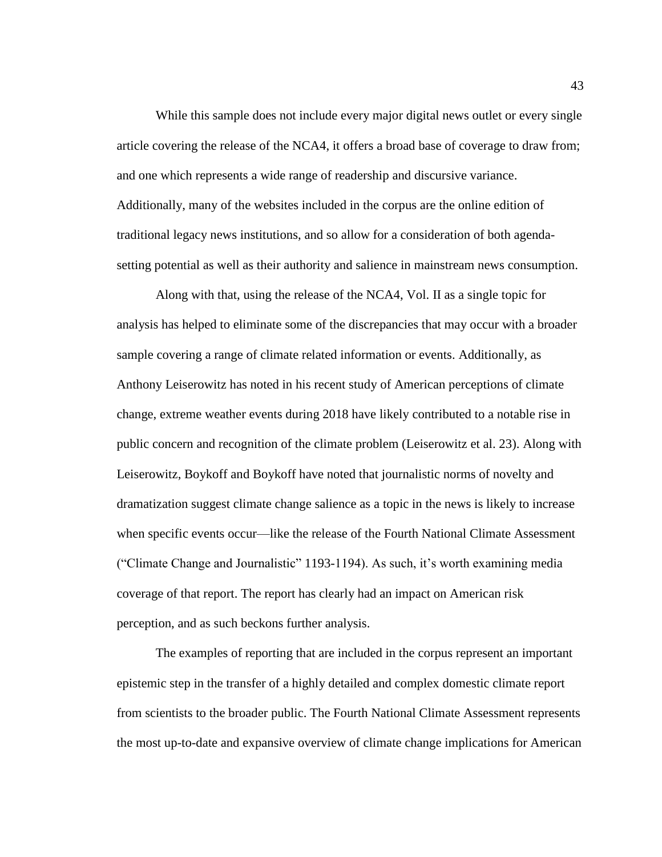While this sample does not include every major digital news outlet or every single article covering the release of the NCA4, it offers a broad base of coverage to draw from; and one which represents a wide range of readership and discursive variance. Additionally, many of the websites included in the corpus are the online edition of traditional legacy news institutions, and so allow for a consideration of both agendasetting potential as well as their authority and salience in mainstream news consumption.

Along with that, using the release of the NCA4, Vol. II as a single topic for analysis has helped to eliminate some of the discrepancies that may occur with a broader sample covering a range of climate related information or events. Additionally, as Anthony Leiserowitz has noted in his recent study of American perceptions of climate change, extreme weather events during 2018 have likely contributed to a notable rise in public concern and recognition of the climate problem (Leiserowitz et al. 23). Along with Leiserowitz, Boykoff and Boykoff have noted that journalistic norms of novelty and dramatization suggest climate change salience as a topic in the news is likely to increase when specific events occur—like the release of the Fourth National Climate Assessment ("Climate Change and Journalistic" 1193-1194). As such, it's worth examining media coverage of that report. The report has clearly had an impact on American risk perception, and as such beckons further analysis.

The examples of reporting that are included in the corpus represent an important epistemic step in the transfer of a highly detailed and complex domestic climate report from scientists to the broader public. The Fourth National Climate Assessment represents the most up-to-date and expansive overview of climate change implications for American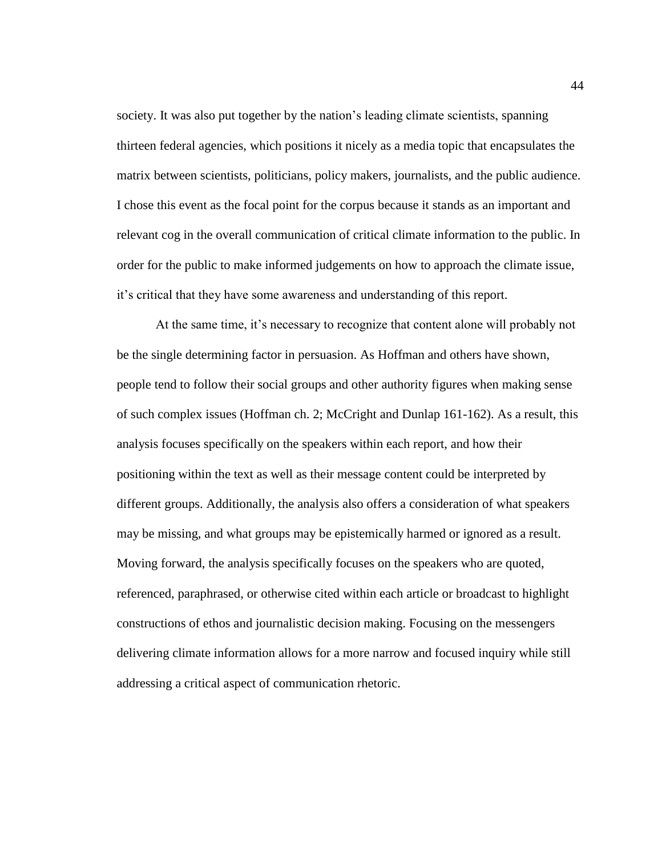society. It was also put together by the nation's leading climate scientists, spanning thirteen federal agencies, which positions it nicely as a media topic that encapsulates the matrix between scientists, politicians, policy makers, journalists, and the public audience. I chose this event as the focal point for the corpus because it stands as an important and relevant cog in the overall communication of critical climate information to the public. In order for the public to make informed judgements on how to approach the climate issue, it's critical that they have some awareness and understanding of this report.

At the same time, it's necessary to recognize that content alone will probably not be the single determining factor in persuasion. As Hoffman and others have shown, people tend to follow their social groups and other authority figures when making sense of such complex issues (Hoffman ch. 2; McCright and Dunlap 161-162). As a result, this analysis focuses specifically on the speakers within each report, and how their positioning within the text as well as their message content could be interpreted by different groups. Additionally, the analysis also offers a consideration of what speakers may be missing, and what groups may be epistemically harmed or ignored as a result. Moving forward, the analysis specifically focuses on the speakers who are quoted, referenced, paraphrased, or otherwise cited within each article or broadcast to highlight constructions of ethos and journalistic decision making. Focusing on the messengers delivering climate information allows for a more narrow and focused inquiry while still addressing a critical aspect of communication rhetoric.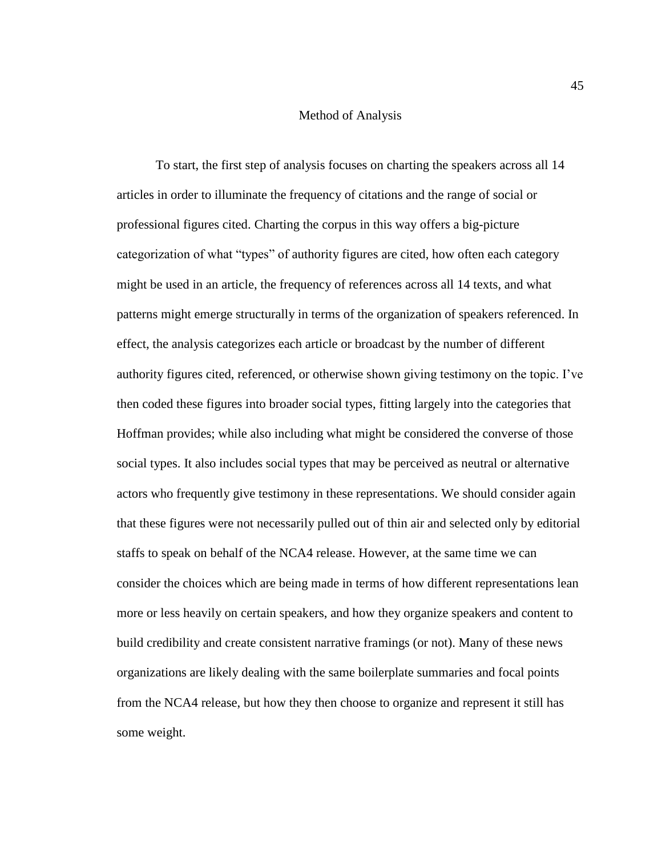## Method of Analysis

To start, the first step of analysis focuses on charting the speakers across all 14 articles in order to illuminate the frequency of citations and the range of social or professional figures cited. Charting the corpus in this way offers a big-picture categorization of what "types" of authority figures are cited, how often each category might be used in an article, the frequency of references across all 14 texts, and what patterns might emerge structurally in terms of the organization of speakers referenced. In effect, the analysis categorizes each article or broadcast by the number of different authority figures cited, referenced, or otherwise shown giving testimony on the topic. I've then coded these figures into broader social types, fitting largely into the categories that Hoffman provides; while also including what might be considered the converse of those social types. It also includes social types that may be perceived as neutral or alternative actors who frequently give testimony in these representations. We should consider again that these figures were not necessarily pulled out of thin air and selected only by editorial staffs to speak on behalf of the NCA4 release. However, at the same time we can consider the choices which are being made in terms of how different representations lean more or less heavily on certain speakers, and how they organize speakers and content to build credibility and create consistent narrative framings (or not). Many of these news organizations are likely dealing with the same boilerplate summaries and focal points from the NCA4 release, but how they then choose to organize and represent it still has some weight.

45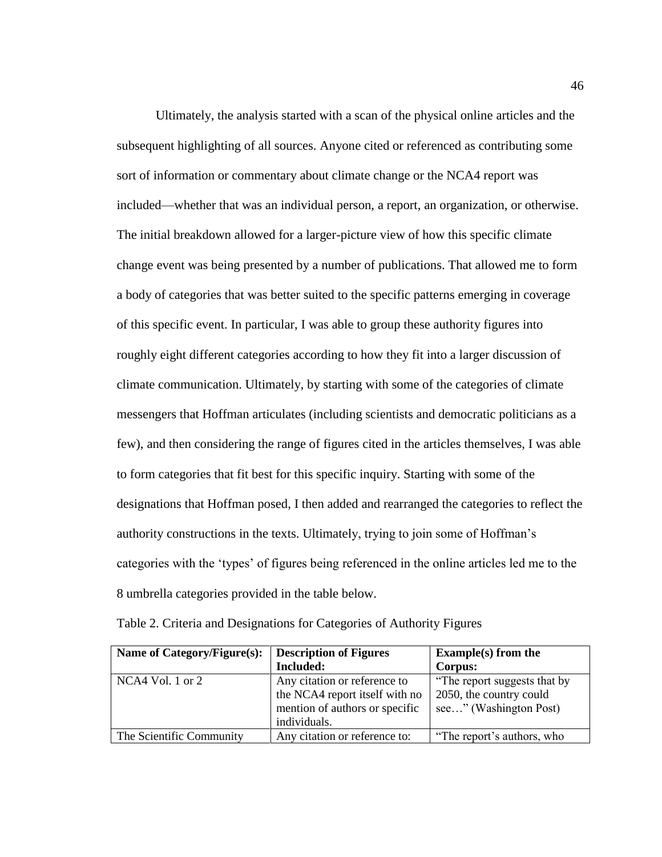Ultimately, the analysis started with a scan of the physical online articles and the subsequent highlighting of all sources. Anyone cited or referenced as contributing some sort of information or commentary about climate change or the NCA4 report was included—whether that was an individual person, a report, an organization, or otherwise. The initial breakdown allowed for a larger-picture view of how this specific climate change event was being presented by a number of publications. That allowed me to form a body of categories that was better suited to the specific patterns emerging in coverage of this specific event. In particular, I was able to group these authority figures into roughly eight different categories according to how they fit into a larger discussion of climate communication. Ultimately, by starting with some of the categories of climate messengers that Hoffman articulates (including scientists and democratic politicians as a few), and then considering the range of figures cited in the articles themselves, I was able to form categories that fit best for this specific inquiry. Starting with some of the designations that Hoffman posed, I then added and rearranged the categories to reflect the authority constructions in the texts. Ultimately, trying to join some of Hoffman's categories with the 'types' of figures being referenced in the online articles led me to the 8 umbrella categories provided in the table below.

| Name of Category/Figure(s): | <b>Description of Figures</b>  | <b>Example(s)</b> from the   |
|-----------------------------|--------------------------------|------------------------------|
|                             | <b>Included:</b>               | Corpus:                      |
| NCA4 Vol. 1 or $2$          | Any citation or reference to   | "The report suggests that by |
|                             | the NCA4 report itself with no | 2050, the country could      |
|                             | mention of authors or specific | see" (Washington Post)       |
|                             | individuals.                   |                              |
| The Scientific Community    | Any citation or reference to:  | "The report's authors, who   |

Table 2. Criteria and Designations for Categories of Authority Figures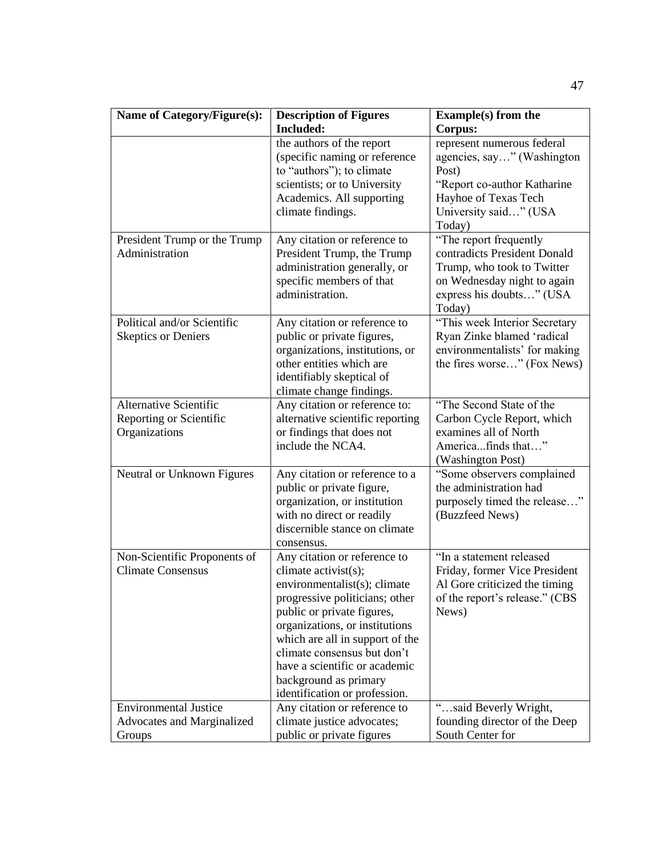| Name of Category/Figure(s):                                          | <b>Description of Figures</b>                                                                                                                                                                                                                                                                                                                       | <b>Example(s)</b> from the                                                                                                                                |
|----------------------------------------------------------------------|-----------------------------------------------------------------------------------------------------------------------------------------------------------------------------------------------------------------------------------------------------------------------------------------------------------------------------------------------------|-----------------------------------------------------------------------------------------------------------------------------------------------------------|
|                                                                      | Included:                                                                                                                                                                                                                                                                                                                                           | Corpus:                                                                                                                                                   |
|                                                                      | the authors of the report<br>(specific naming or reference<br>to "authors"); to climate                                                                                                                                                                                                                                                             | represent numerous federal<br>agencies, say" (Washington<br>Post)                                                                                         |
|                                                                      | scientists; or to University<br>Academics. All supporting<br>climate findings.                                                                                                                                                                                                                                                                      | "Report co-author Katharine<br>Hayhoe of Texas Tech<br>University said" (USA                                                                              |
|                                                                      |                                                                                                                                                                                                                                                                                                                                                     | Today)                                                                                                                                                    |
| President Trump or the Trump<br>Administration                       | Any citation or reference to<br>President Trump, the Trump<br>administration generally, or<br>specific members of that<br>administration.                                                                                                                                                                                                           | "The report frequently<br>contradicts President Donald<br>Trump, who took to Twitter<br>on Wednesday night to again<br>express his doubts" (USA<br>Today) |
| Political and/or Scientific<br><b>Skeptics or Deniers</b>            | Any citation or reference to<br>public or private figures,<br>organizations, institutions, or<br>other entities which are<br>identifiably skeptical of<br>climate change findings.                                                                                                                                                                  | "This week Interior Secretary<br>Ryan Zinke blamed 'radical<br>environmentalists' for making<br>the fires worse" (Fox News)                               |
| Alternative Scientific<br>Reporting or Scientific<br>Organizations   | Any citation or reference to:<br>alternative scientific reporting<br>or findings that does not<br>include the NCA4.                                                                                                                                                                                                                                 | "The Second State of the<br>Carbon Cycle Report, which<br>examines all of North<br>Americafinds that"<br>(Washington Post)                                |
| Neutral or Unknown Figures                                           | Any citation or reference to a<br>public or private figure,<br>organization, or institution<br>with no direct or readily<br>discernible stance on climate<br>consensus.                                                                                                                                                                             | "Some observers complained<br>the administration had<br>purposely timed the release"<br>(Buzzfeed News)                                                   |
| Non-Scientific Proponents of<br><b>Climate Consensus</b>             | Any citation or reference to<br>climate activist(s);<br>environmentalist(s); climate<br>progressive politicians; other<br>public or private figures,<br>organizations, or institutions<br>which are all in support of the<br>climate consensus but don't<br>have a scientific or academic<br>background as primary<br>identification or profession. | "In a statement released<br>Friday, former Vice President<br>Al Gore criticized the timing<br>of the report's release." (CBS<br>News)                     |
| <b>Environmental Justice</b><br>Advocates and Marginalized<br>Groups | Any citation or reference to<br>climate justice advocates;<br>public or private figures                                                                                                                                                                                                                                                             | "said Beverly Wright,<br>founding director of the Deep<br>South Center for                                                                                |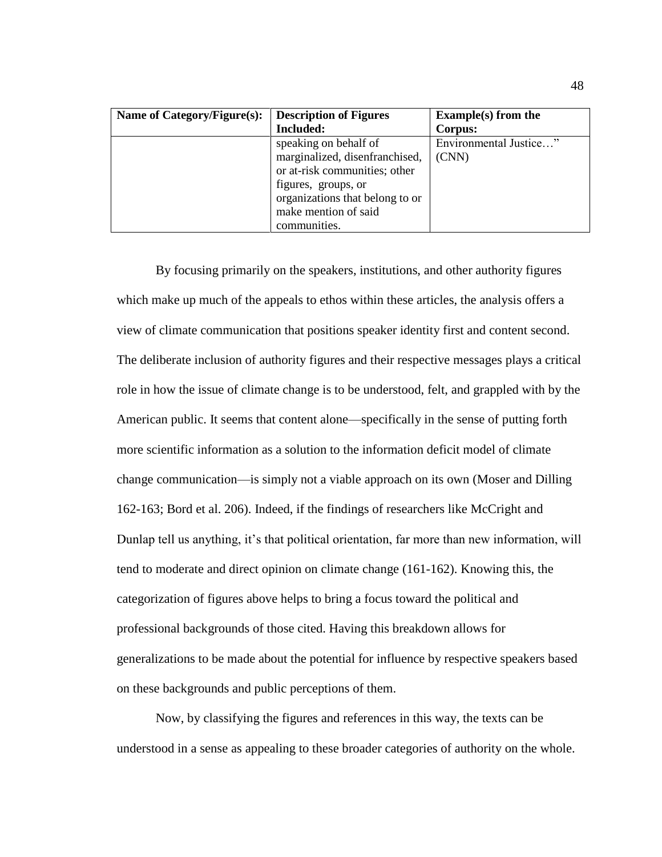| Name of Category/Figure(s): | <b>Description of Figures</b>   | <b>Example(s)</b> from the |
|-----------------------------|---------------------------------|----------------------------|
|                             | Included:                       | Corpus:                    |
|                             | speaking on behalf of           | Environmental Justice"     |
|                             | marginalized, disenfranchised,  | (CNN)                      |
|                             | or at-risk communities; other   |                            |
|                             | figures, groups, or             |                            |
|                             | organizations that belong to or |                            |
|                             | make mention of said            |                            |
|                             | communities.                    |                            |

By focusing primarily on the speakers, institutions, and other authority figures which make up much of the appeals to ethos within these articles, the analysis offers a view of climate communication that positions speaker identity first and content second. The deliberate inclusion of authority figures and their respective messages plays a critical role in how the issue of climate change is to be understood, felt, and grappled with by the American public. It seems that content alone—specifically in the sense of putting forth more scientific information as a solution to the information deficit model of climate change communication—is simply not a viable approach on its own (Moser and Dilling 162-163; Bord et al. 206). Indeed, if the findings of researchers like McCright and Dunlap tell us anything, it's that political orientation, far more than new information, will tend to moderate and direct opinion on climate change (161-162). Knowing this, the categorization of figures above helps to bring a focus toward the political and professional backgrounds of those cited. Having this breakdown allows for generalizations to be made about the potential for influence by respective speakers based on these backgrounds and public perceptions of them.

Now, by classifying the figures and references in this way, the texts can be understood in a sense as appealing to these broader categories of authority on the whole.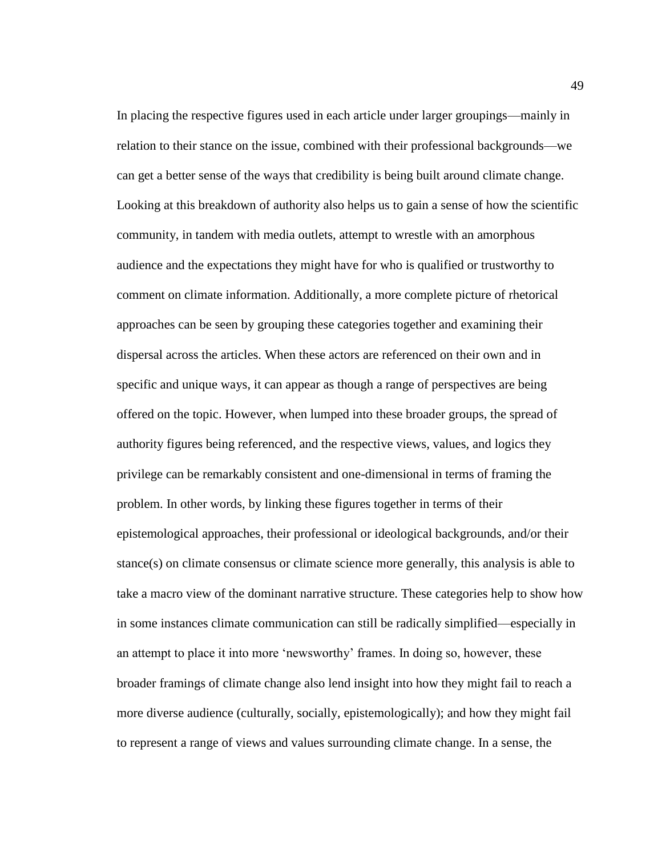In placing the respective figures used in each article under larger groupings—mainly in relation to their stance on the issue, combined with their professional backgrounds—we can get a better sense of the ways that credibility is being built around climate change. Looking at this breakdown of authority also helps us to gain a sense of how the scientific community, in tandem with media outlets, attempt to wrestle with an amorphous audience and the expectations they might have for who is qualified or trustworthy to comment on climate information. Additionally, a more complete picture of rhetorical approaches can be seen by grouping these categories together and examining their dispersal across the articles. When these actors are referenced on their own and in specific and unique ways, it can appear as though a range of perspectives are being offered on the topic. However, when lumped into these broader groups, the spread of authority figures being referenced, and the respective views, values, and logics they privilege can be remarkably consistent and one-dimensional in terms of framing the problem. In other words, by linking these figures together in terms of their epistemological approaches, their professional or ideological backgrounds, and/or their stance(s) on climate consensus or climate science more generally, this analysis is able to take a macro view of the dominant narrative structure. These categories help to show how in some instances climate communication can still be radically simplified—especially in an attempt to place it into more 'newsworthy' frames. In doing so, however, these broader framings of climate change also lend insight into how they might fail to reach a more diverse audience (culturally, socially, epistemologically); and how they might fail to represent a range of views and values surrounding climate change. In a sense, the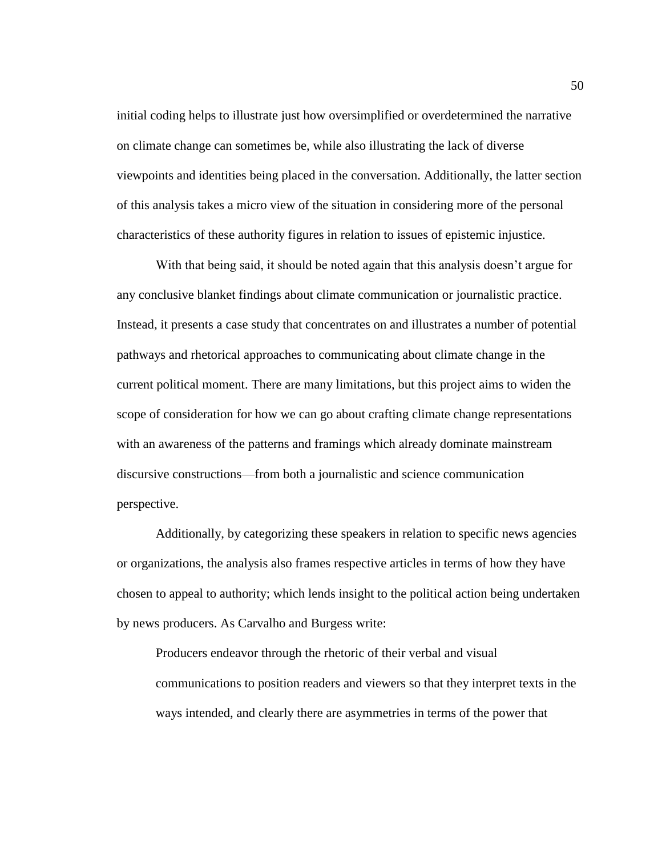initial coding helps to illustrate just how oversimplified or overdetermined the narrative on climate change can sometimes be, while also illustrating the lack of diverse viewpoints and identities being placed in the conversation. Additionally, the latter section of this analysis takes a micro view of the situation in considering more of the personal characteristics of these authority figures in relation to issues of epistemic injustice.

With that being said, it should be noted again that this analysis doesn't argue for any conclusive blanket findings about climate communication or journalistic practice. Instead, it presents a case study that concentrates on and illustrates a number of potential pathways and rhetorical approaches to communicating about climate change in the current political moment. There are many limitations, but this project aims to widen the scope of consideration for how we can go about crafting climate change representations with an awareness of the patterns and framings which already dominate mainstream discursive constructions—from both a journalistic and science communication perspective.

Additionally, by categorizing these speakers in relation to specific news agencies or organizations, the analysis also frames respective articles in terms of how they have chosen to appeal to authority; which lends insight to the political action being undertaken by news producers. As Carvalho and Burgess write:

Producers endeavor through the rhetoric of their verbal and visual communications to position readers and viewers so that they interpret texts in the ways intended, and clearly there are asymmetries in terms of the power that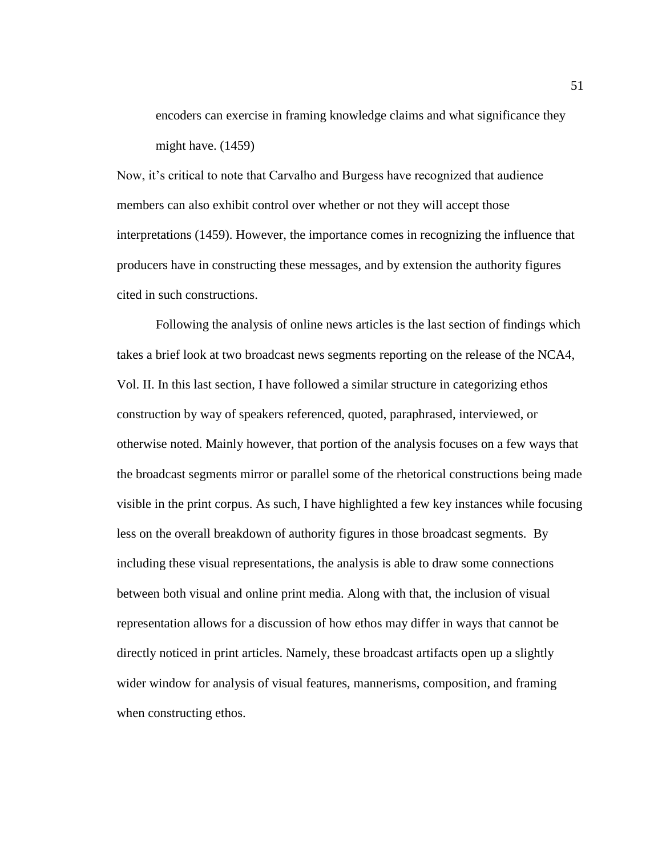encoders can exercise in framing knowledge claims and what significance they might have. (1459)

Now, it's critical to note that Carvalho and Burgess have recognized that audience members can also exhibit control over whether or not they will accept those interpretations (1459). However, the importance comes in recognizing the influence that producers have in constructing these messages, and by extension the authority figures cited in such constructions.

Following the analysis of online news articles is the last section of findings which takes a brief look at two broadcast news segments reporting on the release of the NCA4, Vol. II. In this last section, I have followed a similar structure in categorizing ethos construction by way of speakers referenced, quoted, paraphrased, interviewed, or otherwise noted. Mainly however, that portion of the analysis focuses on a few ways that the broadcast segments mirror or parallel some of the rhetorical constructions being made visible in the print corpus. As such, I have highlighted a few key instances while focusing less on the overall breakdown of authority figures in those broadcast segments. By including these visual representations, the analysis is able to draw some connections between both visual and online print media. Along with that, the inclusion of visual representation allows for a discussion of how ethos may differ in ways that cannot be directly noticed in print articles. Namely, these broadcast artifacts open up a slightly wider window for analysis of visual features, mannerisms, composition, and framing when constructing ethos.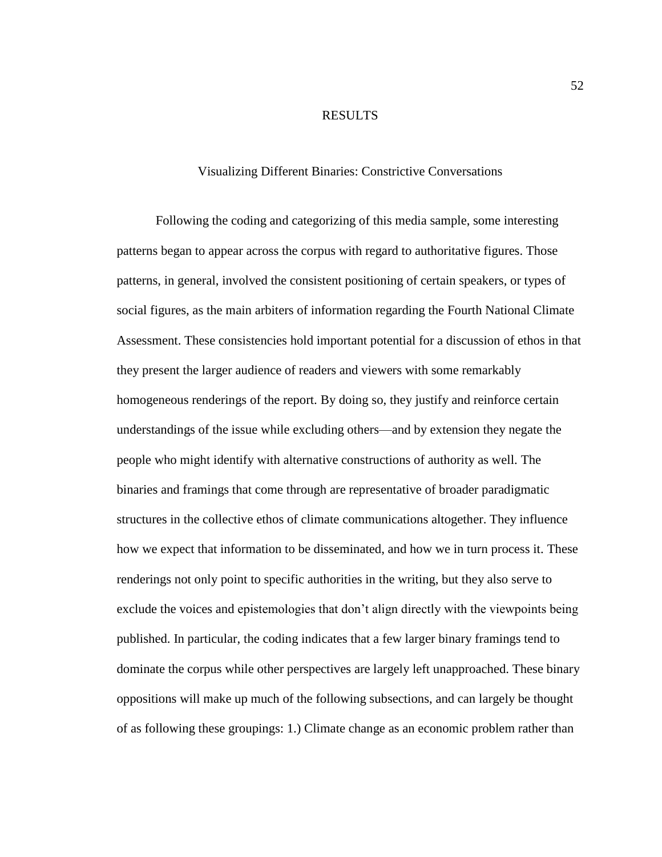### RESULTS

# Visualizing Different Binaries: Constrictive Conversations

Following the coding and categorizing of this media sample, some interesting patterns began to appear across the corpus with regard to authoritative figures. Those patterns, in general, involved the consistent positioning of certain speakers, or types of social figures, as the main arbiters of information regarding the Fourth National Climate Assessment. These consistencies hold important potential for a discussion of ethos in that they present the larger audience of readers and viewers with some remarkably homogeneous renderings of the report. By doing so, they justify and reinforce certain understandings of the issue while excluding others—and by extension they negate the people who might identify with alternative constructions of authority as well. The binaries and framings that come through are representative of broader paradigmatic structures in the collective ethos of climate communications altogether. They influence how we expect that information to be disseminated, and how we in turn process it. These renderings not only point to specific authorities in the writing, but they also serve to exclude the voices and epistemologies that don't align directly with the viewpoints being published. In particular, the coding indicates that a few larger binary framings tend to dominate the corpus while other perspectives are largely left unapproached. These binary oppositions will make up much of the following subsections, and can largely be thought of as following these groupings: 1.) Climate change as an economic problem rather than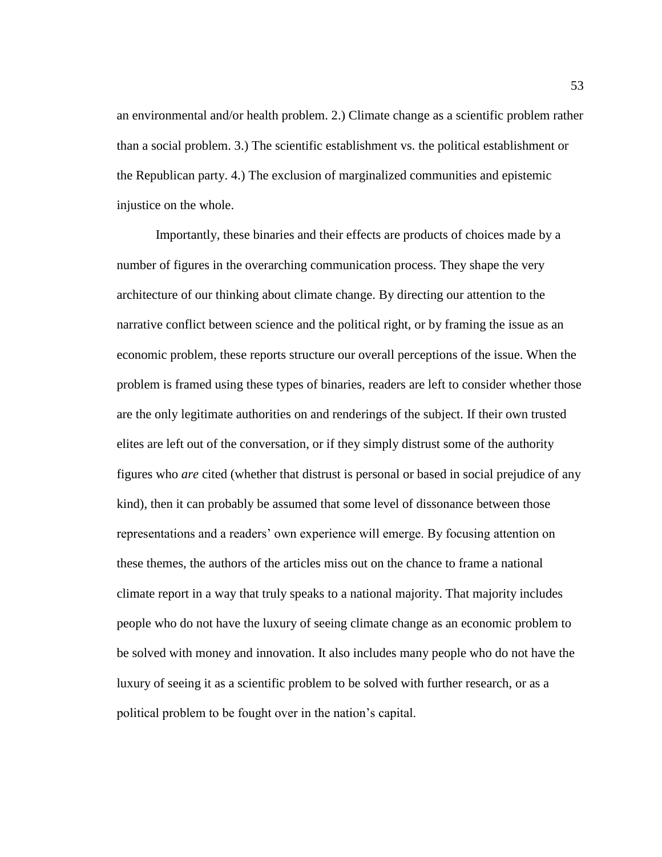an environmental and/or health problem. 2.) Climate change as a scientific problem rather than a social problem. 3.) The scientific establishment vs. the political establishment or the Republican party. 4.) The exclusion of marginalized communities and epistemic injustice on the whole.

Importantly, these binaries and their effects are products of choices made by a number of figures in the overarching communication process. They shape the very architecture of our thinking about climate change. By directing our attention to the narrative conflict between science and the political right, or by framing the issue as an economic problem, these reports structure our overall perceptions of the issue. When the problem is framed using these types of binaries, readers are left to consider whether those are the only legitimate authorities on and renderings of the subject. If their own trusted elites are left out of the conversation, or if they simply distrust some of the authority figures who *are* cited (whether that distrust is personal or based in social prejudice of any kind), then it can probably be assumed that some level of dissonance between those representations and a readers' own experience will emerge. By focusing attention on these themes, the authors of the articles miss out on the chance to frame a national climate report in a way that truly speaks to a national majority. That majority includes people who do not have the luxury of seeing climate change as an economic problem to be solved with money and innovation. It also includes many people who do not have the luxury of seeing it as a scientific problem to be solved with further research, or as a political problem to be fought over in the nation's capital.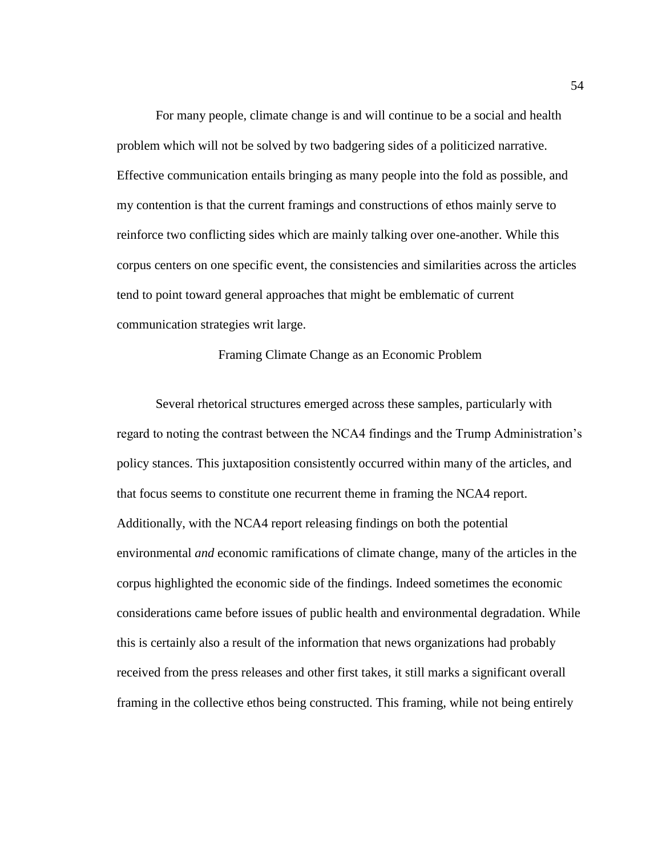For many people, climate change is and will continue to be a social and health problem which will not be solved by two badgering sides of a politicized narrative. Effective communication entails bringing as many people into the fold as possible, and my contention is that the current framings and constructions of ethos mainly serve to reinforce two conflicting sides which are mainly talking over one-another. While this corpus centers on one specific event, the consistencies and similarities across the articles tend to point toward general approaches that might be emblematic of current communication strategies writ large.

Framing Climate Change as an Economic Problem

Several rhetorical structures emerged across these samples, particularly with regard to noting the contrast between the NCA4 findings and the Trump Administration's policy stances. This juxtaposition consistently occurred within many of the articles, and that focus seems to constitute one recurrent theme in framing the NCA4 report. Additionally, with the NCA4 report releasing findings on both the potential environmental *and* economic ramifications of climate change, many of the articles in the corpus highlighted the economic side of the findings. Indeed sometimes the economic considerations came before issues of public health and environmental degradation. While this is certainly also a result of the information that news organizations had probably received from the press releases and other first takes, it still marks a significant overall framing in the collective ethos being constructed. This framing, while not being entirely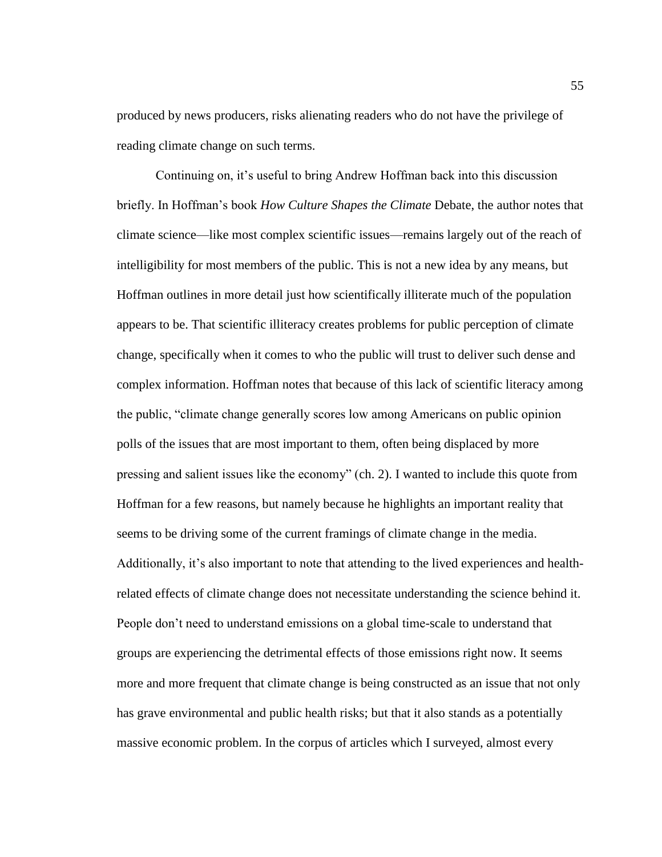produced by news producers, risks alienating readers who do not have the privilege of reading climate change on such terms.

Continuing on, it's useful to bring Andrew Hoffman back into this discussion briefly. In Hoffman's book *How Culture Shapes the Climate* Debate, the author notes that climate science—like most complex scientific issues—remains largely out of the reach of intelligibility for most members of the public. This is not a new idea by any means, but Hoffman outlines in more detail just how scientifically illiterate much of the population appears to be. That scientific illiteracy creates problems for public perception of climate change, specifically when it comes to who the public will trust to deliver such dense and complex information. Hoffman notes that because of this lack of scientific literacy among the public, "climate change generally scores low among Americans on public opinion polls of the issues that are most important to them, often being displaced by more pressing and salient issues like the economy" (ch. 2). I wanted to include this quote from Hoffman for a few reasons, but namely because he highlights an important reality that seems to be driving some of the current framings of climate change in the media. Additionally, it's also important to note that attending to the lived experiences and healthrelated effects of climate change does not necessitate understanding the science behind it. People don't need to understand emissions on a global time-scale to understand that groups are experiencing the detrimental effects of those emissions right now. It seems more and more frequent that climate change is being constructed as an issue that not only has grave environmental and public health risks; but that it also stands as a potentially massive economic problem. In the corpus of articles which I surveyed, almost every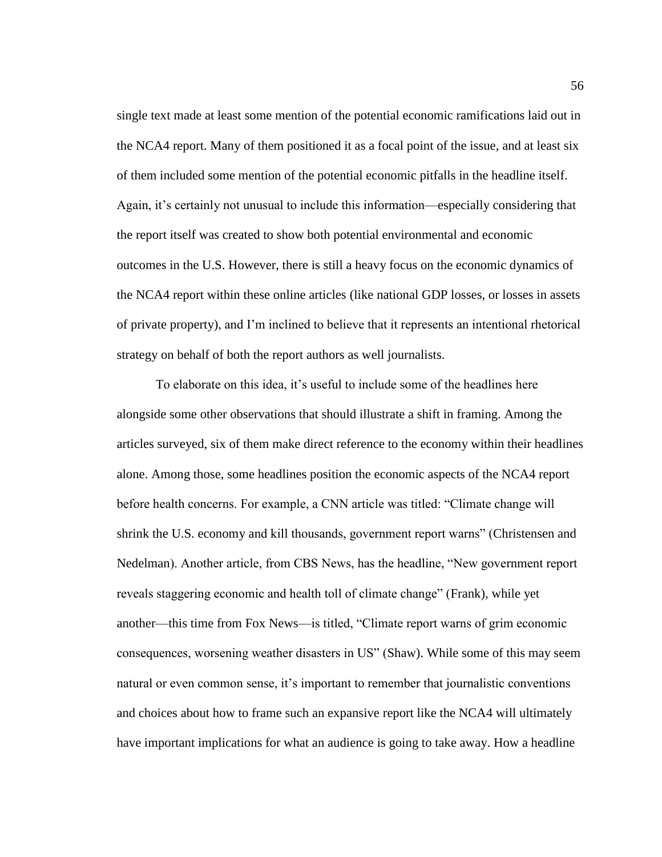single text made at least some mention of the potential economic ramifications laid out in the NCA4 report. Many of them positioned it as a focal point of the issue, and at least six of them included some mention of the potential economic pitfalls in the headline itself. Again, it's certainly not unusual to include this information—especially considering that the report itself was created to show both potential environmental and economic outcomes in the U.S. However, there is still a heavy focus on the economic dynamics of the NCA4 report within these online articles (like national GDP losses, or losses in assets of private property), and I'm inclined to believe that it represents an intentional rhetorical strategy on behalf of both the report authors as well journalists.

To elaborate on this idea, it's useful to include some of the headlines here alongside some other observations that should illustrate a shift in framing. Among the articles surveyed, six of them make direct reference to the economy within their headlines alone. Among those, some headlines position the economic aspects of the NCA4 report before health concerns. For example, a CNN article was titled: "Climate change will shrink the U.S. economy and kill thousands, government report warns" (Christensen and Nedelman). Another article, from CBS News, has the headline, "New government report reveals staggering economic and health toll of climate change" (Frank), while yet another—this time from Fox News—is titled, "Climate report warns of grim economic consequences, worsening weather disasters in US" (Shaw). While some of this may seem natural or even common sense, it's important to remember that journalistic conventions and choices about how to frame such an expansive report like the NCA4 will ultimately have important implications for what an audience is going to take away. How a headline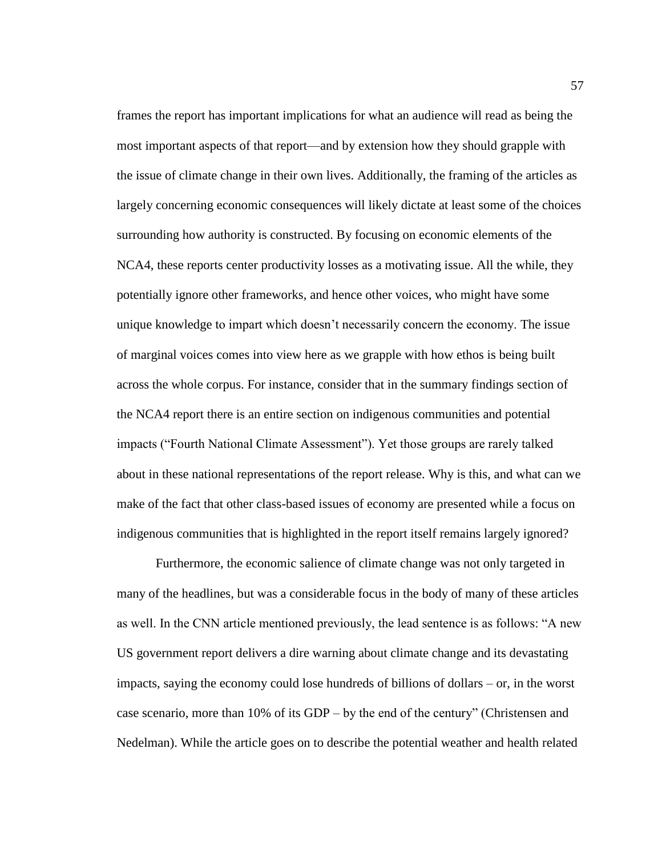frames the report has important implications for what an audience will read as being the most important aspects of that report—and by extension how they should grapple with the issue of climate change in their own lives. Additionally, the framing of the articles as largely concerning economic consequences will likely dictate at least some of the choices surrounding how authority is constructed. By focusing on economic elements of the NCA4, these reports center productivity losses as a motivating issue. All the while, they potentially ignore other frameworks, and hence other voices, who might have some unique knowledge to impart which doesn't necessarily concern the economy. The issue of marginal voices comes into view here as we grapple with how ethos is being built across the whole corpus. For instance, consider that in the summary findings section of the NCA4 report there is an entire section on indigenous communities and potential impacts ("Fourth National Climate Assessment"). Yet those groups are rarely talked about in these national representations of the report release. Why is this, and what can we make of the fact that other class-based issues of economy are presented while a focus on indigenous communities that is highlighted in the report itself remains largely ignored?

Furthermore, the economic salience of climate change was not only targeted in many of the headlines, but was a considerable focus in the body of many of these articles as well. In the CNN article mentioned previously, the lead sentence is as follows: "A new US government report delivers a dire warning about climate change and its devastating impacts, saying the economy could lose hundreds of billions of dollars – or, in the worst case scenario, more than 10% of its GDP – by the end of the century" (Christensen and Nedelman). While the article goes on to describe the potential weather and health related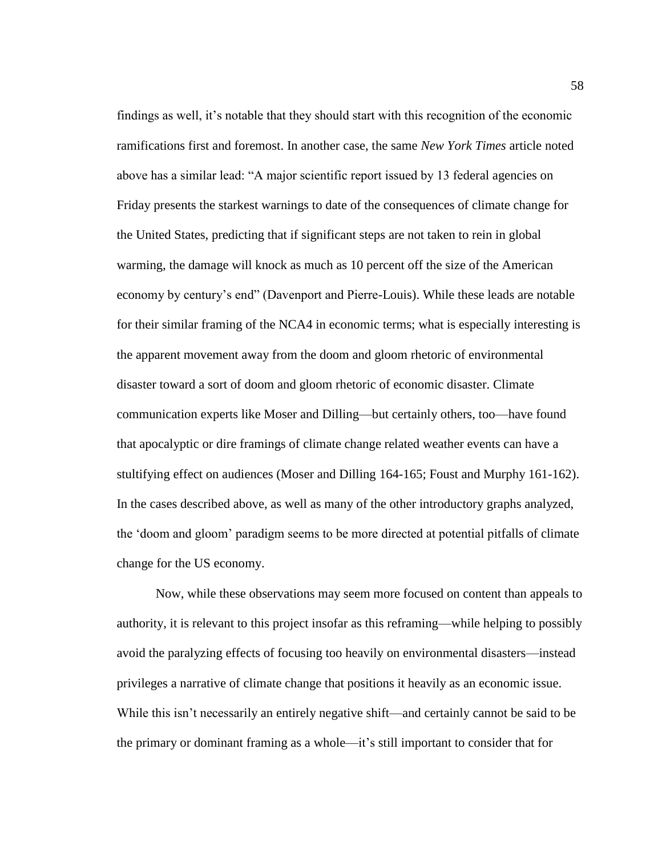findings as well, it's notable that they should start with this recognition of the economic ramifications first and foremost. In another case, the same *New York Times* article noted above has a similar lead: "A major scientific report issued by 13 federal agencies on Friday presents the starkest warnings to date of the consequences of climate change for the United States, predicting that if significant steps are not taken to rein in global warming, the damage will knock as much as 10 percent off the size of the American economy by century's end" (Davenport and Pierre-Louis). While these leads are notable for their similar framing of the NCA4 in economic terms; what is especially interesting is the apparent movement away from the doom and gloom rhetoric of environmental disaster toward a sort of doom and gloom rhetoric of economic disaster. Climate communication experts like Moser and Dilling—but certainly others, too—have found that apocalyptic or dire framings of climate change related weather events can have a stultifying effect on audiences (Moser and Dilling 164-165; Foust and Murphy 161-162). In the cases described above, as well as many of the other introductory graphs analyzed, the 'doom and gloom' paradigm seems to be more directed at potential pitfalls of climate change for the US economy.

Now, while these observations may seem more focused on content than appeals to authority, it is relevant to this project insofar as this reframing—while helping to possibly avoid the paralyzing effects of focusing too heavily on environmental disasters—instead privileges a narrative of climate change that positions it heavily as an economic issue. While this isn't necessarily an entirely negative shift—and certainly cannot be said to be the primary or dominant framing as a whole—it's still important to consider that for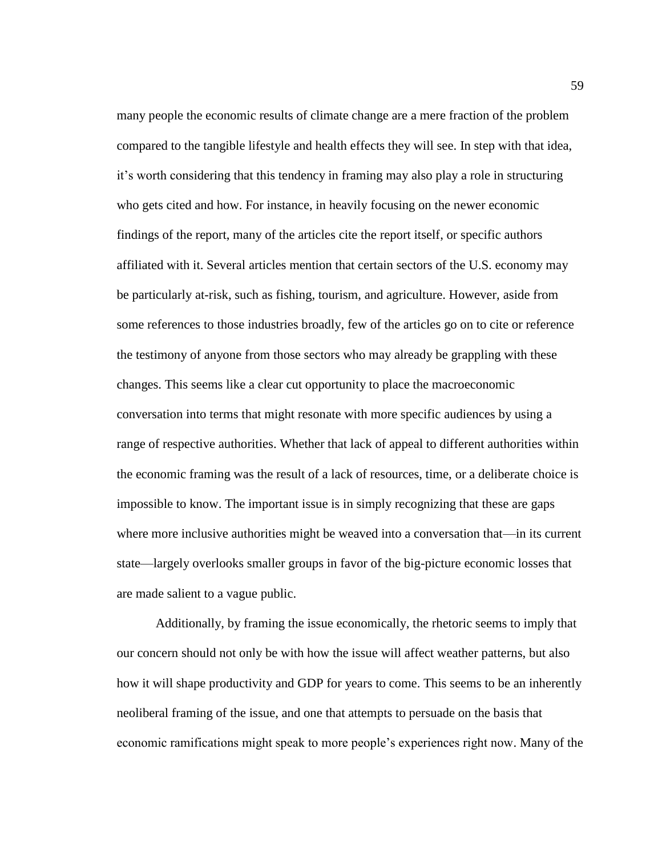many people the economic results of climate change are a mere fraction of the problem compared to the tangible lifestyle and health effects they will see. In step with that idea, it's worth considering that this tendency in framing may also play a role in structuring who gets cited and how. For instance, in heavily focusing on the newer economic findings of the report, many of the articles cite the report itself, or specific authors affiliated with it. Several articles mention that certain sectors of the U.S. economy may be particularly at-risk, such as fishing, tourism, and agriculture. However, aside from some references to those industries broadly, few of the articles go on to cite or reference the testimony of anyone from those sectors who may already be grappling with these changes. This seems like a clear cut opportunity to place the macroeconomic conversation into terms that might resonate with more specific audiences by using a range of respective authorities. Whether that lack of appeal to different authorities within the economic framing was the result of a lack of resources, time, or a deliberate choice is impossible to know. The important issue is in simply recognizing that these are gaps where more inclusive authorities might be weaved into a conversation that—in its current state—largely overlooks smaller groups in favor of the big-picture economic losses that are made salient to a vague public.

Additionally, by framing the issue economically, the rhetoric seems to imply that our concern should not only be with how the issue will affect weather patterns, but also how it will shape productivity and GDP for years to come. This seems to be an inherently neoliberal framing of the issue, and one that attempts to persuade on the basis that economic ramifications might speak to more people's experiences right now. Many of the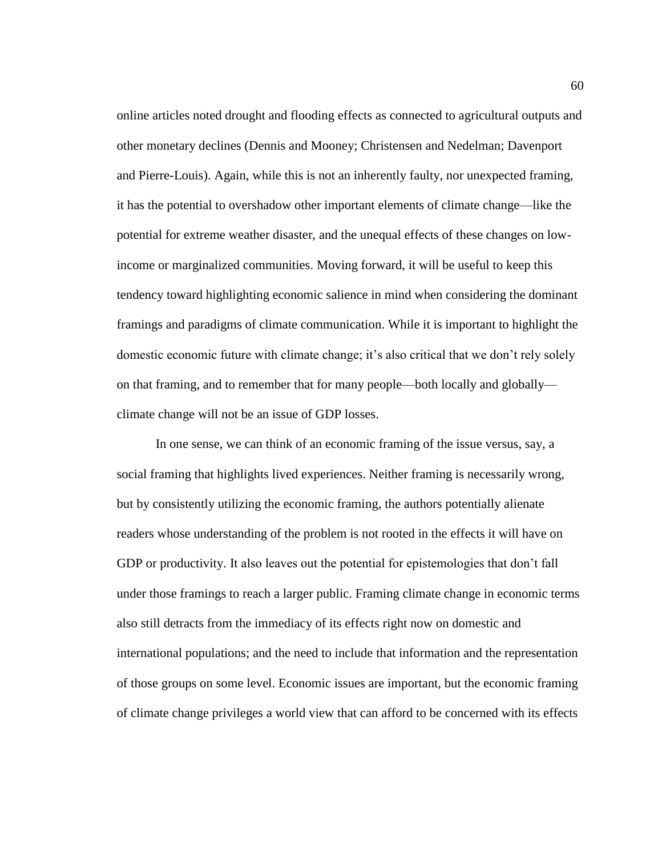online articles noted drought and flooding effects as connected to agricultural outputs and other monetary declines (Dennis and Mooney; Christensen and Nedelman; Davenport and Pierre-Louis). Again, while this is not an inherently faulty, nor unexpected framing, it has the potential to overshadow other important elements of climate change—like the potential for extreme weather disaster, and the unequal effects of these changes on lowincome or marginalized communities. Moving forward, it will be useful to keep this tendency toward highlighting economic salience in mind when considering the dominant framings and paradigms of climate communication. While it is important to highlight the domestic economic future with climate change; it's also critical that we don't rely solely on that framing, and to remember that for many people—both locally and globally climate change will not be an issue of GDP losses.

In one sense, we can think of an economic framing of the issue versus, say, a social framing that highlights lived experiences. Neither framing is necessarily wrong, but by consistently utilizing the economic framing, the authors potentially alienate readers whose understanding of the problem is not rooted in the effects it will have on GDP or productivity. It also leaves out the potential for epistemologies that don't fall under those framings to reach a larger public. Framing climate change in economic terms also still detracts from the immediacy of its effects right now on domestic and international populations; and the need to include that information and the representation of those groups on some level. Economic issues are important, but the economic framing of climate change privileges a world view that can afford to be concerned with its effects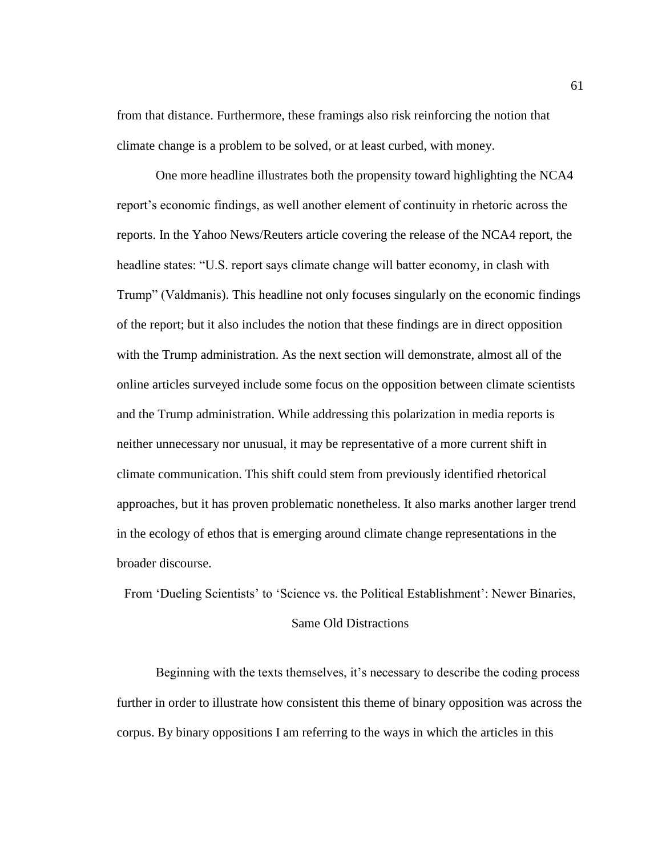from that distance. Furthermore, these framings also risk reinforcing the notion that climate change is a problem to be solved, or at least curbed, with money.

One more headline illustrates both the propensity toward highlighting the NCA4 report's economic findings, as well another element of continuity in rhetoric across the reports. In the Yahoo News/Reuters article covering the release of the NCA4 report, the headline states: "U.S. report says climate change will batter economy, in clash with Trump" (Valdmanis). This headline not only focuses singularly on the economic findings of the report; but it also includes the notion that these findings are in direct opposition with the Trump administration. As the next section will demonstrate, almost all of the online articles surveyed include some focus on the opposition between climate scientists and the Trump administration. While addressing this polarization in media reports is neither unnecessary nor unusual, it may be representative of a more current shift in climate communication. This shift could stem from previously identified rhetorical approaches, but it has proven problematic nonetheless. It also marks another larger trend in the ecology of ethos that is emerging around climate change representations in the broader discourse.

From 'Dueling Scientists' to 'Science vs. the Political Establishment': Newer Binaries,

#### Same Old Distractions

Beginning with the texts themselves, it's necessary to describe the coding process further in order to illustrate how consistent this theme of binary opposition was across the corpus. By binary oppositions I am referring to the ways in which the articles in this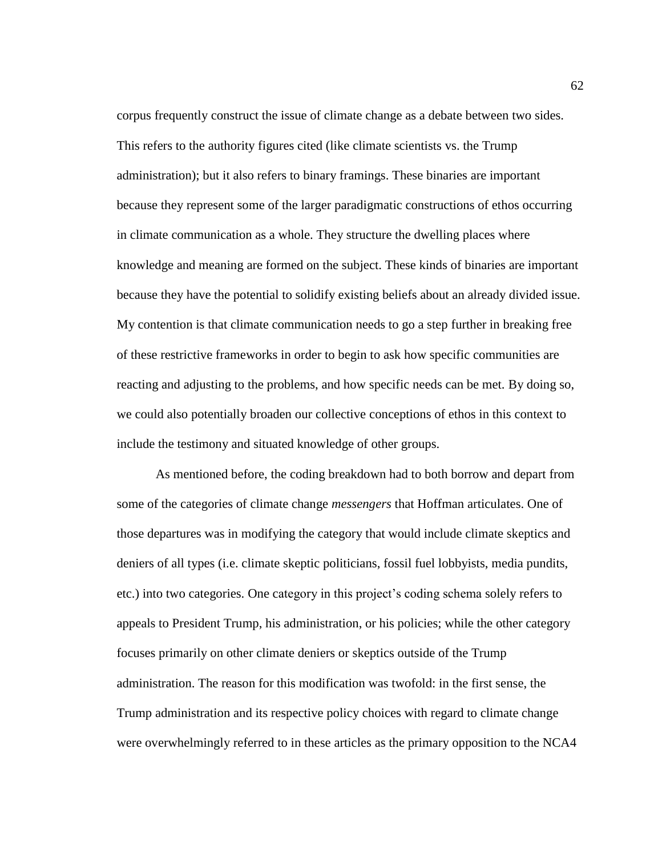corpus frequently construct the issue of climate change as a debate between two sides. This refers to the authority figures cited (like climate scientists vs. the Trump administration); but it also refers to binary framings. These binaries are important because they represent some of the larger paradigmatic constructions of ethos occurring in climate communication as a whole. They structure the dwelling places where knowledge and meaning are formed on the subject. These kinds of binaries are important because they have the potential to solidify existing beliefs about an already divided issue. My contention is that climate communication needs to go a step further in breaking free of these restrictive frameworks in order to begin to ask how specific communities are reacting and adjusting to the problems, and how specific needs can be met. By doing so, we could also potentially broaden our collective conceptions of ethos in this context to include the testimony and situated knowledge of other groups.

As mentioned before, the coding breakdown had to both borrow and depart from some of the categories of climate change *messengers* that Hoffman articulates. One of those departures was in modifying the category that would include climate skeptics and deniers of all types (i.e. climate skeptic politicians, fossil fuel lobbyists, media pundits, etc.) into two categories. One category in this project's coding schema solely refers to appeals to President Trump, his administration, or his policies; while the other category focuses primarily on other climate deniers or skeptics outside of the Trump administration. The reason for this modification was twofold: in the first sense, the Trump administration and its respective policy choices with regard to climate change were overwhelmingly referred to in these articles as the primary opposition to the NCA4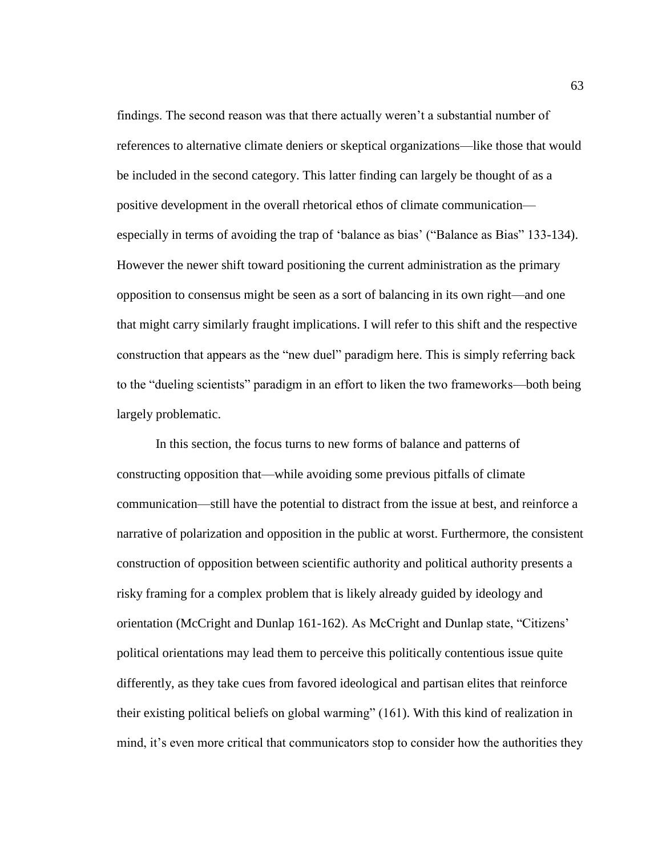findings. The second reason was that there actually weren't a substantial number of references to alternative climate deniers or skeptical organizations—like those that would be included in the second category. This latter finding can largely be thought of as a positive development in the overall rhetorical ethos of climate communication especially in terms of avoiding the trap of 'balance as bias' ("Balance as Bias" 133-134). However the newer shift toward positioning the current administration as the primary opposition to consensus might be seen as a sort of balancing in its own right—and one that might carry similarly fraught implications. I will refer to this shift and the respective construction that appears as the "new duel" paradigm here. This is simply referring back to the "dueling scientists" paradigm in an effort to liken the two frameworks—both being largely problematic.

In this section, the focus turns to new forms of balance and patterns of constructing opposition that—while avoiding some previous pitfalls of climate communication—still have the potential to distract from the issue at best, and reinforce a narrative of polarization and opposition in the public at worst. Furthermore, the consistent construction of opposition between scientific authority and political authority presents a risky framing for a complex problem that is likely already guided by ideology and orientation (McCright and Dunlap 161-162). As McCright and Dunlap state, "Citizens' political orientations may lead them to perceive this politically contentious issue quite differently, as they take cues from favored ideological and partisan elites that reinforce their existing political beliefs on global warming" (161). With this kind of realization in mind, it's even more critical that communicators stop to consider how the authorities they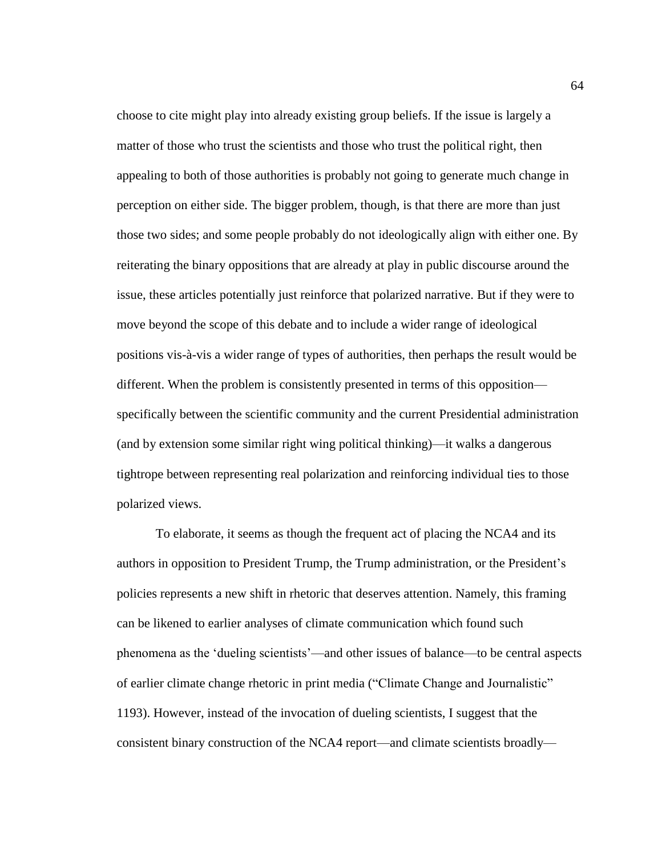choose to cite might play into already existing group beliefs. If the issue is largely a matter of those who trust the scientists and those who trust the political right, then appealing to both of those authorities is probably not going to generate much change in perception on either side. The bigger problem, though, is that there are more than just those two sides; and some people probably do not ideologically align with either one. By reiterating the binary oppositions that are already at play in public discourse around the issue, these articles potentially just reinforce that polarized narrative. But if they were to move beyond the scope of this debate and to include a wider range of ideological positions vis-à-vis a wider range of types of authorities, then perhaps the result would be different. When the problem is consistently presented in terms of this opposition specifically between the scientific community and the current Presidential administration (and by extension some similar right wing political thinking)—it walks a dangerous tightrope between representing real polarization and reinforcing individual ties to those polarized views.

To elaborate, it seems as though the frequent act of placing the NCA4 and its authors in opposition to President Trump, the Trump administration, or the President's policies represents a new shift in rhetoric that deserves attention. Namely, this framing can be likened to earlier analyses of climate communication which found such phenomena as the 'dueling scientists'—and other issues of balance—to be central aspects of earlier climate change rhetoric in print media ("Climate Change and Journalistic" 1193). However, instead of the invocation of dueling scientists, I suggest that the consistent binary construction of the NCA4 report—and climate scientists broadly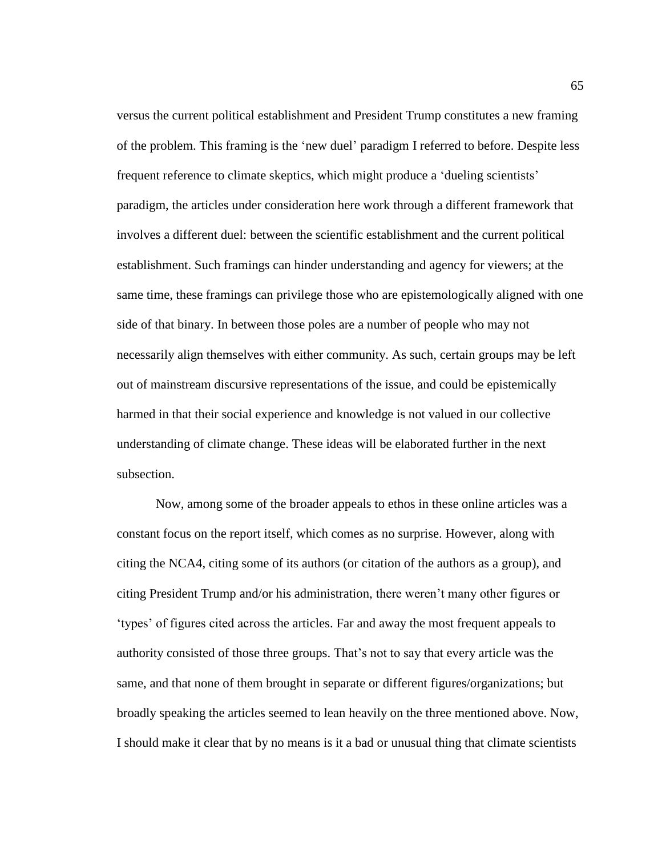versus the current political establishment and President Trump constitutes a new framing of the problem. This framing is the 'new duel' paradigm I referred to before. Despite less frequent reference to climate skeptics, which might produce a 'dueling scientists' paradigm, the articles under consideration here work through a different framework that involves a different duel: between the scientific establishment and the current political establishment. Such framings can hinder understanding and agency for viewers; at the same time, these framings can privilege those who are epistemologically aligned with one side of that binary. In between those poles are a number of people who may not necessarily align themselves with either community. As such, certain groups may be left out of mainstream discursive representations of the issue, and could be epistemically harmed in that their social experience and knowledge is not valued in our collective understanding of climate change. These ideas will be elaborated further in the next subsection.

Now, among some of the broader appeals to ethos in these online articles was a constant focus on the report itself, which comes as no surprise. However, along with citing the NCA4, citing some of its authors (or citation of the authors as a group), and citing President Trump and/or his administration, there weren't many other figures or 'types' of figures cited across the articles. Far and away the most frequent appeals to authority consisted of those three groups. That's not to say that every article was the same, and that none of them brought in separate or different figures/organizations; but broadly speaking the articles seemed to lean heavily on the three mentioned above. Now, I should make it clear that by no means is it a bad or unusual thing that climate scientists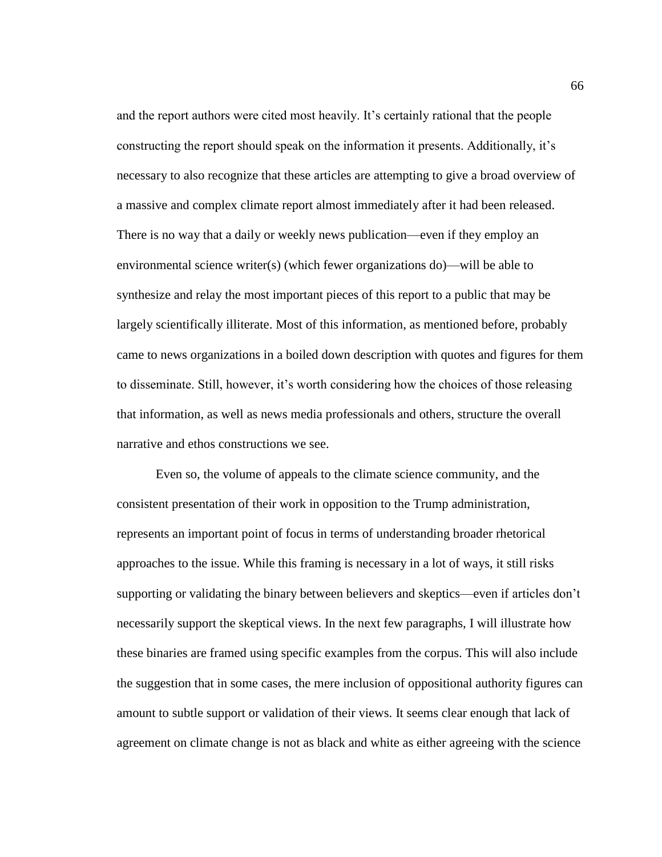and the report authors were cited most heavily. It's certainly rational that the people constructing the report should speak on the information it presents. Additionally, it's necessary to also recognize that these articles are attempting to give a broad overview of a massive and complex climate report almost immediately after it had been released. There is no way that a daily or weekly news publication—even if they employ an environmental science writer(s) (which fewer organizations do)—will be able to synthesize and relay the most important pieces of this report to a public that may be largely scientifically illiterate. Most of this information, as mentioned before, probably came to news organizations in a boiled down description with quotes and figures for them to disseminate. Still, however, it's worth considering how the choices of those releasing that information, as well as news media professionals and others, structure the overall narrative and ethos constructions we see.

Even so, the volume of appeals to the climate science community, and the consistent presentation of their work in opposition to the Trump administration, represents an important point of focus in terms of understanding broader rhetorical approaches to the issue. While this framing is necessary in a lot of ways, it still risks supporting or validating the binary between believers and skeptics—even if articles don't necessarily support the skeptical views. In the next few paragraphs, I will illustrate how these binaries are framed using specific examples from the corpus. This will also include the suggestion that in some cases, the mere inclusion of oppositional authority figures can amount to subtle support or validation of their views. It seems clear enough that lack of agreement on climate change is not as black and white as either agreeing with the science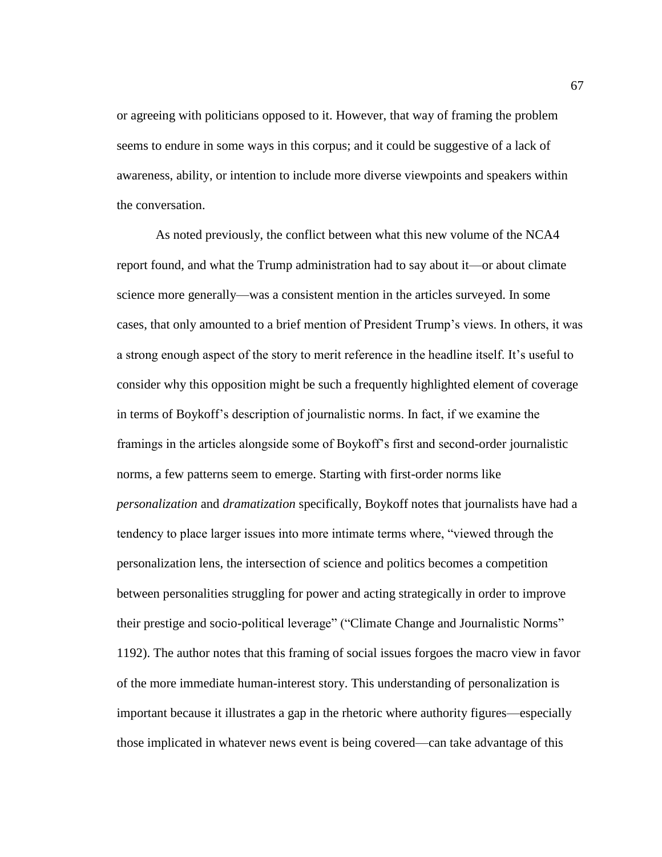or agreeing with politicians opposed to it. However, that way of framing the problem seems to endure in some ways in this corpus; and it could be suggestive of a lack of awareness, ability, or intention to include more diverse viewpoints and speakers within the conversation.

As noted previously, the conflict between what this new volume of the NCA4 report found, and what the Trump administration had to say about it—or about climate science more generally—was a consistent mention in the articles surveyed. In some cases, that only amounted to a brief mention of President Trump's views. In others, it was a strong enough aspect of the story to merit reference in the headline itself. It's useful to consider why this opposition might be such a frequently highlighted element of coverage in terms of Boykoff's description of journalistic norms. In fact, if we examine the framings in the articles alongside some of Boykoff's first and second-order journalistic norms, a few patterns seem to emerge. Starting with first-order norms like *personalization* and *dramatization* specifically, Boykoff notes that journalists have had a tendency to place larger issues into more intimate terms where, "viewed through the personalization lens, the intersection of science and politics becomes a competition between personalities struggling for power and acting strategically in order to improve their prestige and socio-political leverage" ("Climate Change and Journalistic Norms" 1192). The author notes that this framing of social issues forgoes the macro view in favor of the more immediate human-interest story. This understanding of personalization is important because it illustrates a gap in the rhetoric where authority figures—especially those implicated in whatever news event is being covered—can take advantage of this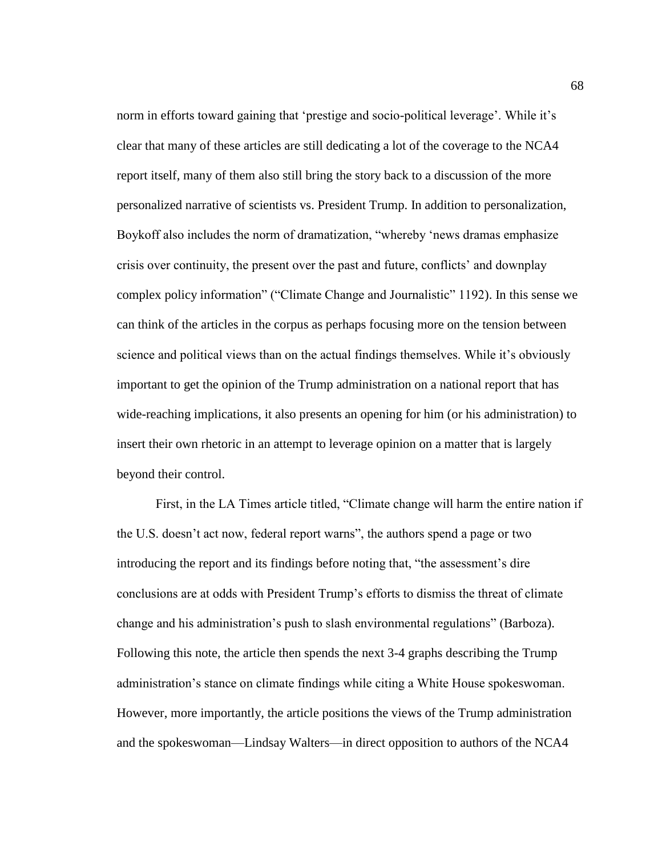norm in efforts toward gaining that 'prestige and socio-political leverage'. While it's clear that many of these articles are still dedicating a lot of the coverage to the NCA4 report itself, many of them also still bring the story back to a discussion of the more personalized narrative of scientists vs. President Trump. In addition to personalization, Boykoff also includes the norm of dramatization, "whereby 'news dramas emphasize crisis over continuity, the present over the past and future, conflicts' and downplay complex policy information" ("Climate Change and Journalistic" 1192). In this sense we can think of the articles in the corpus as perhaps focusing more on the tension between science and political views than on the actual findings themselves. While it's obviously important to get the opinion of the Trump administration on a national report that has wide-reaching implications, it also presents an opening for him (or his administration) to insert their own rhetoric in an attempt to leverage opinion on a matter that is largely beyond their control.

First, in the LA Times article titled, "Climate change will harm the entire nation if the U.S. doesn't act now, federal report warns", the authors spend a page or two introducing the report and its findings before noting that, "the assessment's dire conclusions are at odds with President Trump's efforts to dismiss the threat of climate change and his administration's push to slash environmental regulations" (Barboza). Following this note, the article then spends the next 3-4 graphs describing the Trump administration's stance on climate findings while citing a White House spokeswoman. However, more importantly, the article positions the views of the Trump administration and the spokeswoman—Lindsay Walters—in direct opposition to authors of the NCA4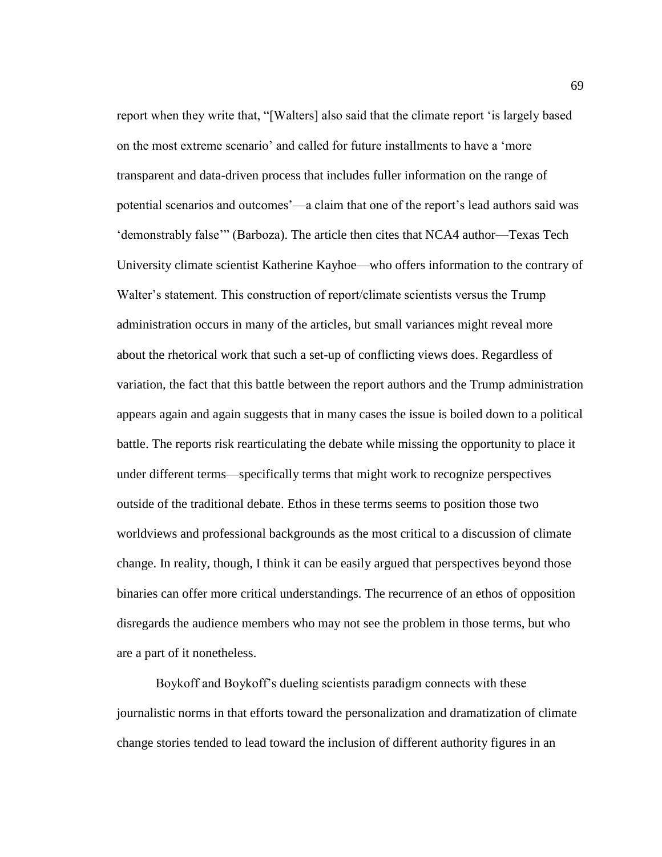report when they write that, "[Walters] also said that the climate report 'is largely based on the most extreme scenario' and called for future installments to have a 'more transparent and data-driven process that includes fuller information on the range of potential scenarios and outcomes'—a claim that one of the report's lead authors said was 'demonstrably false'" (Barboza). The article then cites that NCA4 author—Texas Tech University climate scientist Katherine Kayhoe—who offers information to the contrary of Walter's statement. This construction of report/climate scientists versus the Trump administration occurs in many of the articles, but small variances might reveal more about the rhetorical work that such a set-up of conflicting views does. Regardless of variation, the fact that this battle between the report authors and the Trump administration appears again and again suggests that in many cases the issue is boiled down to a political battle. The reports risk rearticulating the debate while missing the opportunity to place it under different terms—specifically terms that might work to recognize perspectives outside of the traditional debate. Ethos in these terms seems to position those two worldviews and professional backgrounds as the most critical to a discussion of climate change. In reality, though, I think it can be easily argued that perspectives beyond those binaries can offer more critical understandings. The recurrence of an ethos of opposition disregards the audience members who may not see the problem in those terms, but who are a part of it nonetheless.

Boykoff and Boykoff's dueling scientists paradigm connects with these journalistic norms in that efforts toward the personalization and dramatization of climate change stories tended to lead toward the inclusion of different authority figures in an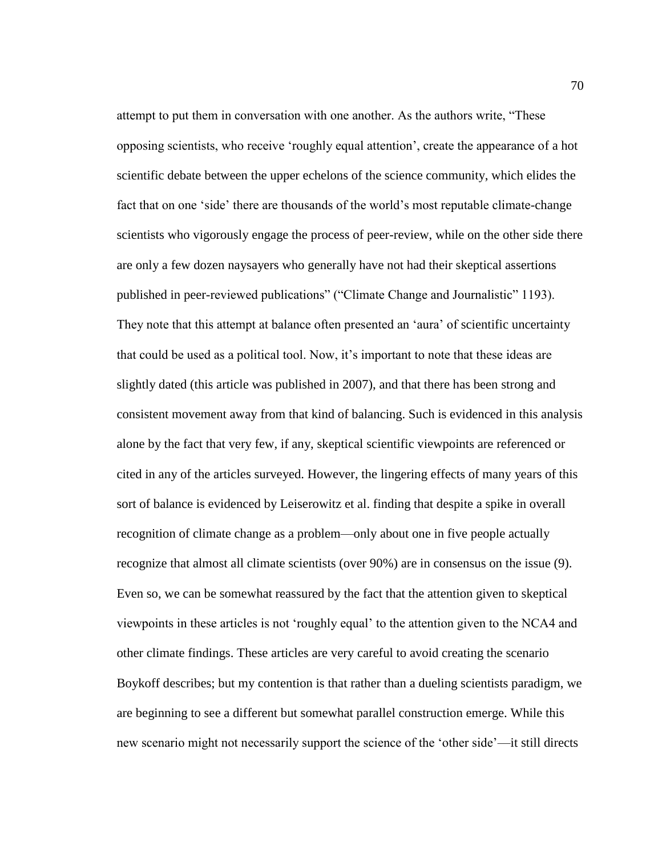attempt to put them in conversation with one another. As the authors write, "These opposing scientists, who receive 'roughly equal attention', create the appearance of a hot scientific debate between the upper echelons of the science community, which elides the fact that on one 'side' there are thousands of the world's most reputable climate-change scientists who vigorously engage the process of peer-review, while on the other side there are only a few dozen naysayers who generally have not had their skeptical assertions published in peer-reviewed publications" ("Climate Change and Journalistic" 1193). They note that this attempt at balance often presented an 'aura' of scientific uncertainty that could be used as a political tool. Now, it's important to note that these ideas are slightly dated (this article was published in 2007), and that there has been strong and consistent movement away from that kind of balancing. Such is evidenced in this analysis alone by the fact that very few, if any, skeptical scientific viewpoints are referenced or cited in any of the articles surveyed. However, the lingering effects of many years of this sort of balance is evidenced by Leiserowitz et al. finding that despite a spike in overall recognition of climate change as a problem—only about one in five people actually recognize that almost all climate scientists (over 90%) are in consensus on the issue (9). Even so, we can be somewhat reassured by the fact that the attention given to skeptical viewpoints in these articles is not 'roughly equal' to the attention given to the NCA4 and other climate findings. These articles are very careful to avoid creating the scenario Boykoff describes; but my contention is that rather than a dueling scientists paradigm, we are beginning to see a different but somewhat parallel construction emerge. While this new scenario might not necessarily support the science of the 'other side'—it still directs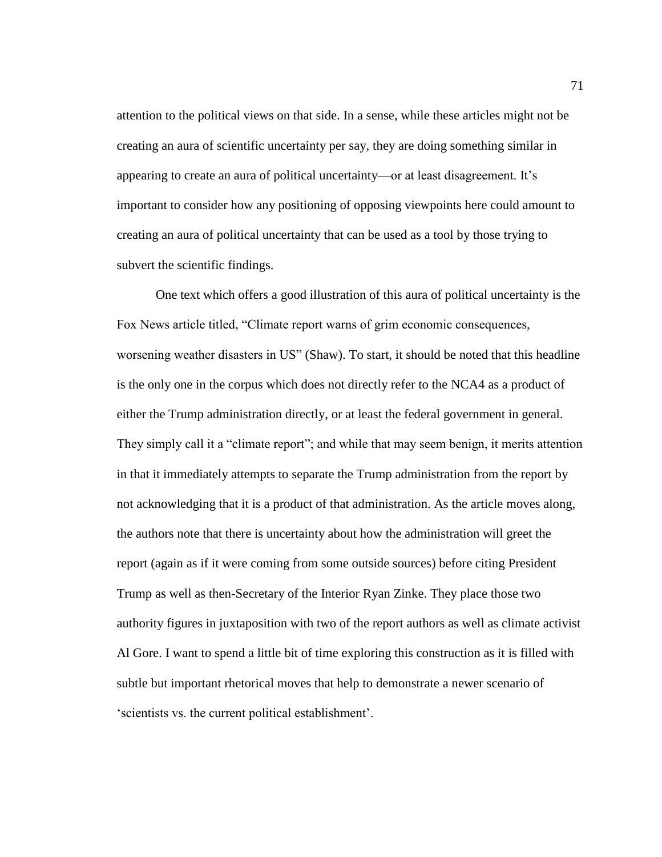attention to the political views on that side. In a sense, while these articles might not be creating an aura of scientific uncertainty per say, they are doing something similar in appearing to create an aura of political uncertainty—or at least disagreement. It's important to consider how any positioning of opposing viewpoints here could amount to creating an aura of political uncertainty that can be used as a tool by those trying to subvert the scientific findings.

One text which offers a good illustration of this aura of political uncertainty is the Fox News article titled, "Climate report warns of grim economic consequences, worsening weather disasters in US" (Shaw). To start, it should be noted that this headline is the only one in the corpus which does not directly refer to the NCA4 as a product of either the Trump administration directly, or at least the federal government in general. They simply call it a "climate report"; and while that may seem benign, it merits attention in that it immediately attempts to separate the Trump administration from the report by not acknowledging that it is a product of that administration. As the article moves along, the authors note that there is uncertainty about how the administration will greet the report (again as if it were coming from some outside sources) before citing President Trump as well as then-Secretary of the Interior Ryan Zinke. They place those two authority figures in juxtaposition with two of the report authors as well as climate activist Al Gore. I want to spend a little bit of time exploring this construction as it is filled with subtle but important rhetorical moves that help to demonstrate a newer scenario of 'scientists vs. the current political establishment'.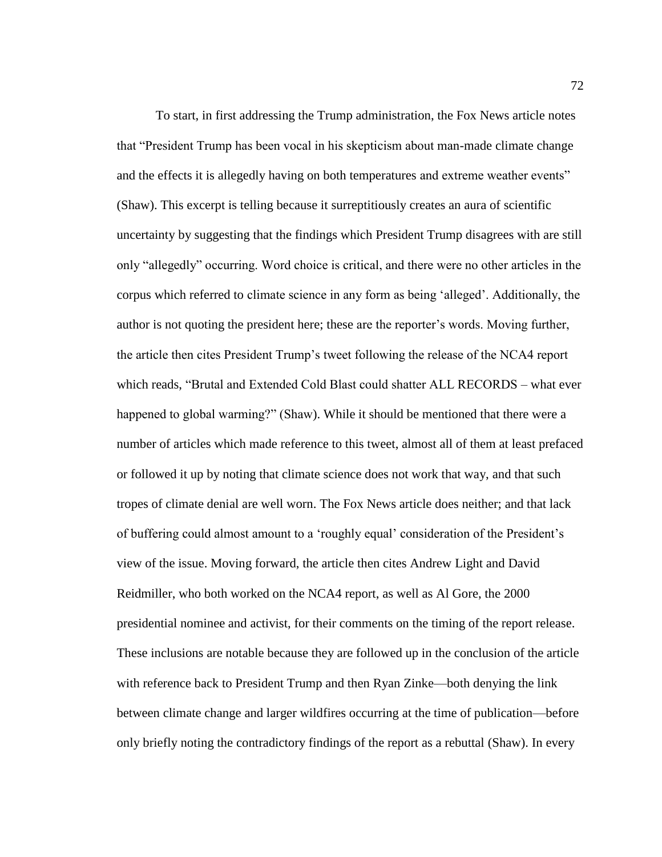To start, in first addressing the Trump administration, the Fox News article notes that "President Trump has been vocal in his skepticism about man-made climate change and the effects it is allegedly having on both temperatures and extreme weather events" (Shaw). This excerpt is telling because it surreptitiously creates an aura of scientific uncertainty by suggesting that the findings which President Trump disagrees with are still only "allegedly" occurring. Word choice is critical, and there were no other articles in the corpus which referred to climate science in any form as being 'alleged'. Additionally, the author is not quoting the president here; these are the reporter's words. Moving further, the article then cites President Trump's tweet following the release of the NCA4 report which reads, "Brutal and Extended Cold Blast could shatter ALL RECORDS – what ever happened to global warming?" (Shaw). While it should be mentioned that there were a number of articles which made reference to this tweet, almost all of them at least prefaced or followed it up by noting that climate science does not work that way, and that such tropes of climate denial are well worn. The Fox News article does neither; and that lack of buffering could almost amount to a 'roughly equal' consideration of the President's view of the issue. Moving forward, the article then cites Andrew Light and David Reidmiller, who both worked on the NCA4 report, as well as Al Gore, the 2000 presidential nominee and activist, for their comments on the timing of the report release. These inclusions are notable because they are followed up in the conclusion of the article with reference back to President Trump and then Ryan Zinke—both denying the link between climate change and larger wildfires occurring at the time of publication—before only briefly noting the contradictory findings of the report as a rebuttal (Shaw). In every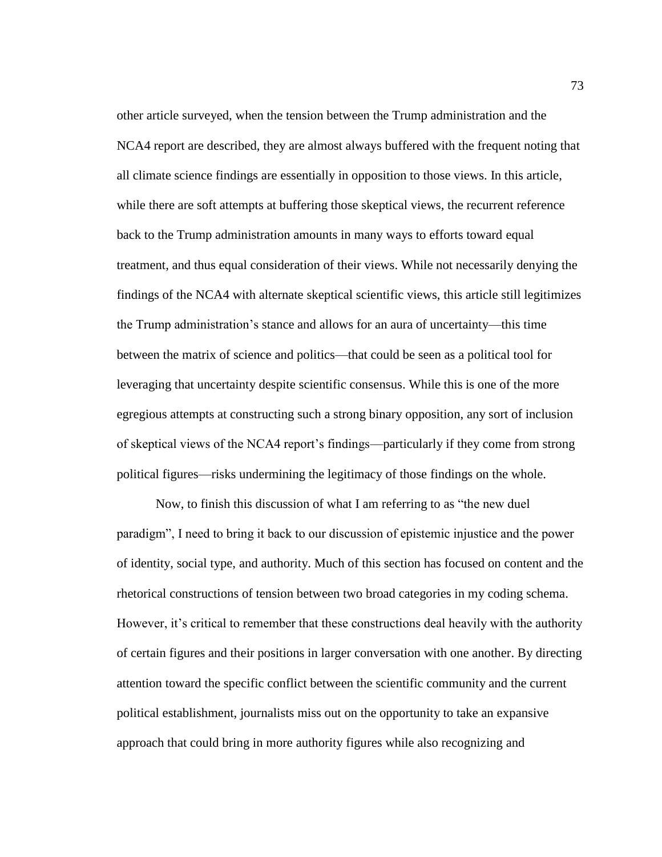other article surveyed, when the tension between the Trump administration and the NCA4 report are described, they are almost always buffered with the frequent noting that all climate science findings are essentially in opposition to those views. In this article, while there are soft attempts at buffering those skeptical views, the recurrent reference back to the Trump administration amounts in many ways to efforts toward equal treatment, and thus equal consideration of their views. While not necessarily denying the findings of the NCA4 with alternate skeptical scientific views, this article still legitimizes the Trump administration's stance and allows for an aura of uncertainty—this time between the matrix of science and politics—that could be seen as a political tool for leveraging that uncertainty despite scientific consensus. While this is one of the more egregious attempts at constructing such a strong binary opposition, any sort of inclusion of skeptical views of the NCA4 report's findings—particularly if they come from strong political figures—risks undermining the legitimacy of those findings on the whole.

Now, to finish this discussion of what I am referring to as "the new duel paradigm", I need to bring it back to our discussion of epistemic injustice and the power of identity, social type, and authority. Much of this section has focused on content and the rhetorical constructions of tension between two broad categories in my coding schema. However, it's critical to remember that these constructions deal heavily with the authority of certain figures and their positions in larger conversation with one another. By directing attention toward the specific conflict between the scientific community and the current political establishment, journalists miss out on the opportunity to take an expansive approach that could bring in more authority figures while also recognizing and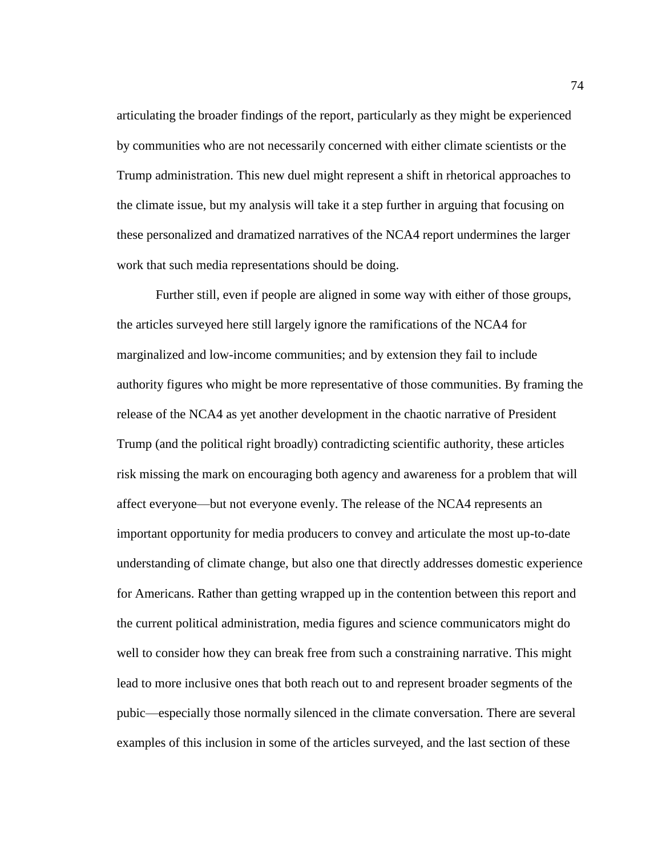articulating the broader findings of the report, particularly as they might be experienced by communities who are not necessarily concerned with either climate scientists or the Trump administration. This new duel might represent a shift in rhetorical approaches to the climate issue, but my analysis will take it a step further in arguing that focusing on these personalized and dramatized narratives of the NCA4 report undermines the larger work that such media representations should be doing.

Further still, even if people are aligned in some way with either of those groups, the articles surveyed here still largely ignore the ramifications of the NCA4 for marginalized and low-income communities; and by extension they fail to include authority figures who might be more representative of those communities. By framing the release of the NCA4 as yet another development in the chaotic narrative of President Trump (and the political right broadly) contradicting scientific authority, these articles risk missing the mark on encouraging both agency and awareness for a problem that will affect everyone—but not everyone evenly. The release of the NCA4 represents an important opportunity for media producers to convey and articulate the most up-to-date understanding of climate change, but also one that directly addresses domestic experience for Americans. Rather than getting wrapped up in the contention between this report and the current political administration, media figures and science communicators might do well to consider how they can break free from such a constraining narrative. This might lead to more inclusive ones that both reach out to and represent broader segments of the pubic—especially those normally silenced in the climate conversation. There are several examples of this inclusion in some of the articles surveyed, and the last section of these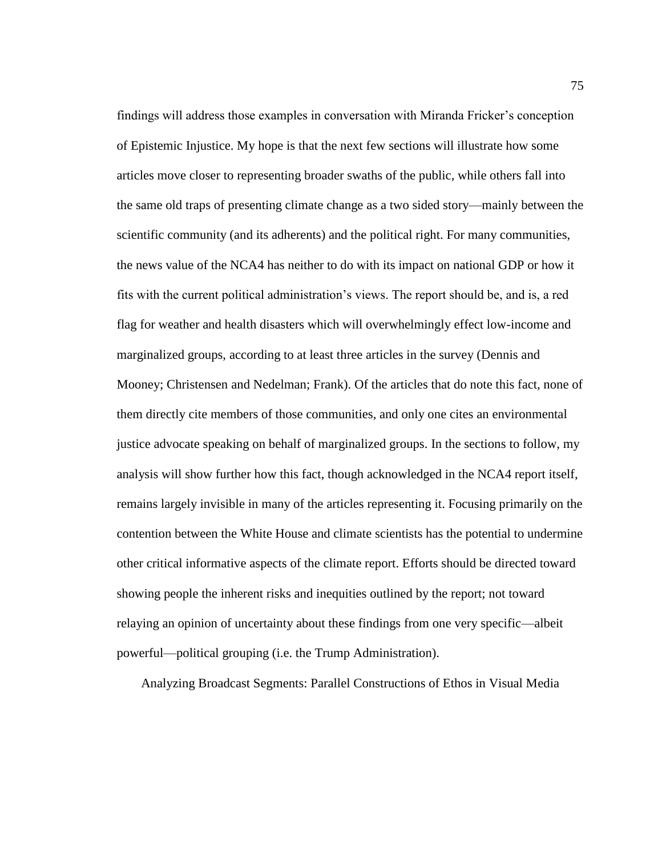findings will address those examples in conversation with Miranda Fricker's conception of Epistemic Injustice. My hope is that the next few sections will illustrate how some articles move closer to representing broader swaths of the public, while others fall into the same old traps of presenting climate change as a two sided story—mainly between the scientific community (and its adherents) and the political right. For many communities, the news value of the NCA4 has neither to do with its impact on national GDP or how it fits with the current political administration's views. The report should be, and is, a red flag for weather and health disasters which will overwhelmingly effect low-income and marginalized groups, according to at least three articles in the survey (Dennis and Mooney; Christensen and Nedelman; Frank). Of the articles that do note this fact, none of them directly cite members of those communities, and only one cites an environmental justice advocate speaking on behalf of marginalized groups. In the sections to follow, my analysis will show further how this fact, though acknowledged in the NCA4 report itself, remains largely invisible in many of the articles representing it. Focusing primarily on the contention between the White House and climate scientists has the potential to undermine other critical informative aspects of the climate report. Efforts should be directed toward showing people the inherent risks and inequities outlined by the report; not toward relaying an opinion of uncertainty about these findings from one very specific—albeit powerful—political grouping (i.e. the Trump Administration).

Analyzing Broadcast Segments: Parallel Constructions of Ethos in Visual Media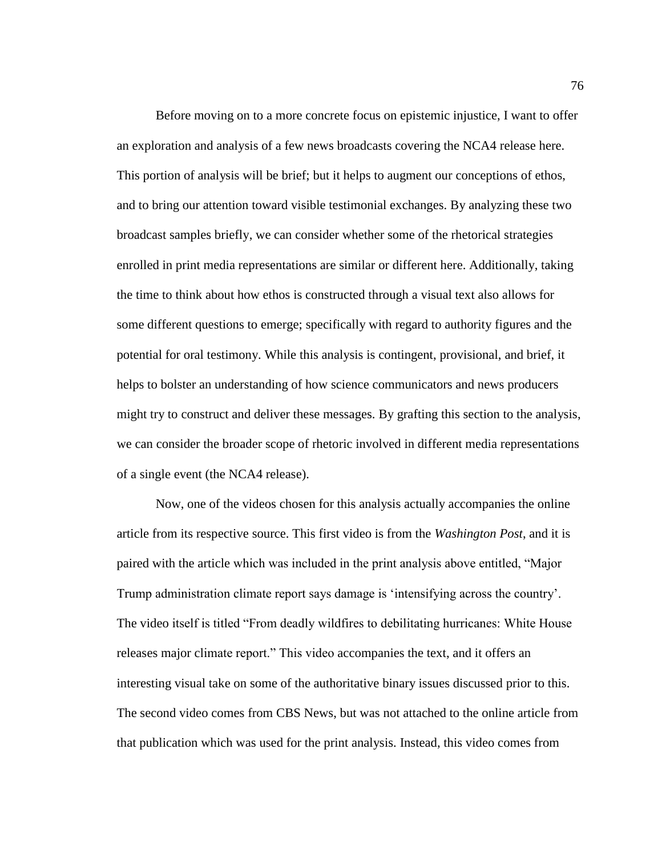Before moving on to a more concrete focus on epistemic injustice, I want to offer an exploration and analysis of a few news broadcasts covering the NCA4 release here. This portion of analysis will be brief; but it helps to augment our conceptions of ethos, and to bring our attention toward visible testimonial exchanges. By analyzing these two broadcast samples briefly, we can consider whether some of the rhetorical strategies enrolled in print media representations are similar or different here. Additionally, taking the time to think about how ethos is constructed through a visual text also allows for some different questions to emerge; specifically with regard to authority figures and the potential for oral testimony. While this analysis is contingent, provisional, and brief, it helps to bolster an understanding of how science communicators and news producers might try to construct and deliver these messages. By grafting this section to the analysis, we can consider the broader scope of rhetoric involved in different media representations of a single event (the NCA4 release).

Now, one of the videos chosen for this analysis actually accompanies the online article from its respective source. This first video is from the *Washington Post*, and it is paired with the article which was included in the print analysis above entitled, "Major Trump administration climate report says damage is 'intensifying across the country'. The video itself is titled "From deadly wildfires to debilitating hurricanes: White House releases major climate report." This video accompanies the text, and it offers an interesting visual take on some of the authoritative binary issues discussed prior to this. The second video comes from CBS News, but was not attached to the online article from that publication which was used for the print analysis. Instead, this video comes from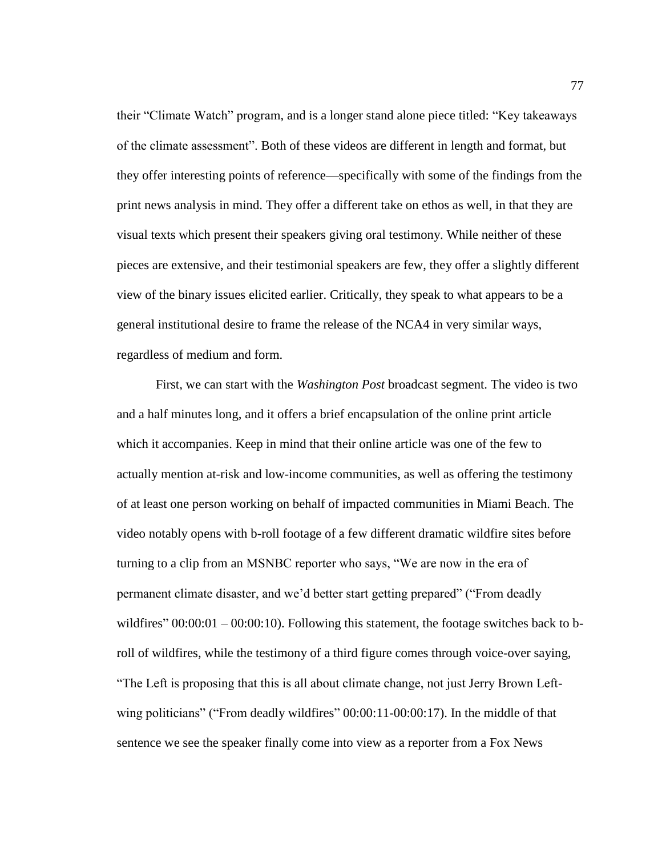their "Climate Watch" program, and is a longer stand alone piece titled: "Key takeaways of the climate assessment". Both of these videos are different in length and format, but they offer interesting points of reference—specifically with some of the findings from the print news analysis in mind. They offer a different take on ethos as well, in that they are visual texts which present their speakers giving oral testimony. While neither of these pieces are extensive, and their testimonial speakers are few, they offer a slightly different view of the binary issues elicited earlier. Critically, they speak to what appears to be a general institutional desire to frame the release of the NCA4 in very similar ways, regardless of medium and form.

First, we can start with the *Washington Post* broadcast segment. The video is two and a half minutes long, and it offers a brief encapsulation of the online print article which it accompanies. Keep in mind that their online article was one of the few to actually mention at-risk and low-income communities, as well as offering the testimony of at least one person working on behalf of impacted communities in Miami Beach. The video notably opens with b-roll footage of a few different dramatic wildfire sites before turning to a clip from an MSNBC reporter who says, "We are now in the era of permanent climate disaster, and we'd better start getting prepared" ("From deadly wildfires"  $00:00:01 - 00:00:10$ . Following this statement, the footage switches back to broll of wildfires, while the testimony of a third figure comes through voice-over saying, "The Left is proposing that this is all about climate change, not just Jerry Brown Leftwing politicians" ("From deadly wildfires" 00:00:11-00:00:17). In the middle of that sentence we see the speaker finally come into view as a reporter from a Fox News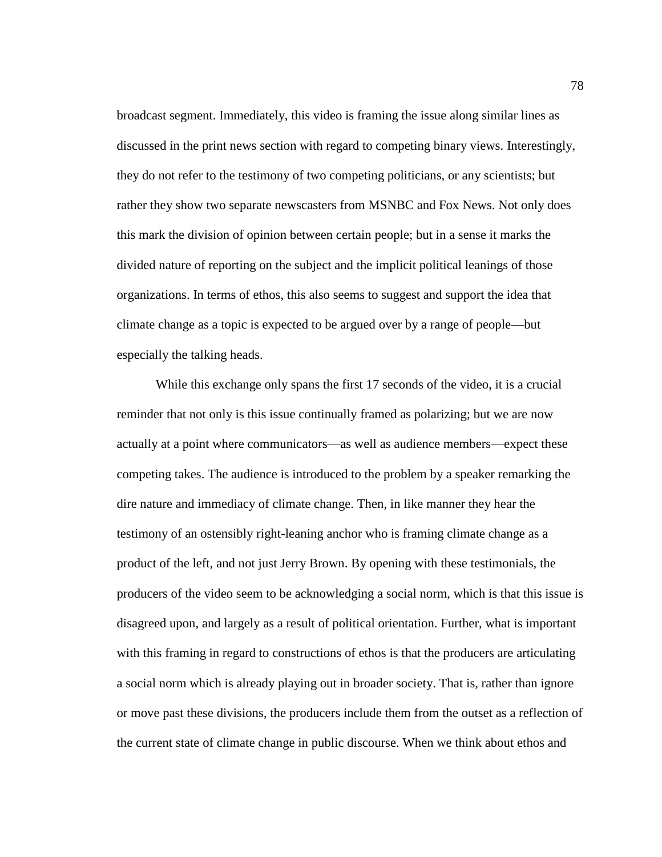broadcast segment. Immediately, this video is framing the issue along similar lines as discussed in the print news section with regard to competing binary views. Interestingly, they do not refer to the testimony of two competing politicians, or any scientists; but rather they show two separate newscasters from MSNBC and Fox News. Not only does this mark the division of opinion between certain people; but in a sense it marks the divided nature of reporting on the subject and the implicit political leanings of those organizations. In terms of ethos, this also seems to suggest and support the idea that climate change as a topic is expected to be argued over by a range of people—but especially the talking heads.

While this exchange only spans the first 17 seconds of the video, it is a crucial reminder that not only is this issue continually framed as polarizing; but we are now actually at a point where communicators—as well as audience members—expect these competing takes. The audience is introduced to the problem by a speaker remarking the dire nature and immediacy of climate change. Then, in like manner they hear the testimony of an ostensibly right-leaning anchor who is framing climate change as a product of the left, and not just Jerry Brown. By opening with these testimonials, the producers of the video seem to be acknowledging a social norm, which is that this issue is disagreed upon, and largely as a result of political orientation. Further, what is important with this framing in regard to constructions of ethos is that the producers are articulating a social norm which is already playing out in broader society. That is, rather than ignore or move past these divisions, the producers include them from the outset as a reflection of the current state of climate change in public discourse. When we think about ethos and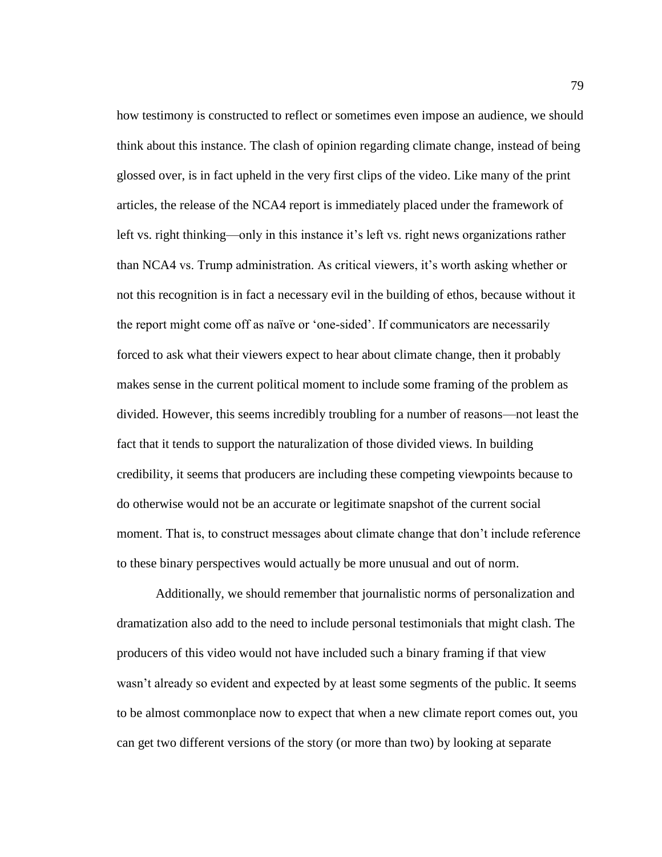how testimony is constructed to reflect or sometimes even impose an audience, we should think about this instance. The clash of opinion regarding climate change, instead of being glossed over, is in fact upheld in the very first clips of the video. Like many of the print articles, the release of the NCA4 report is immediately placed under the framework of left vs. right thinking—only in this instance it's left vs. right news organizations rather than NCA4 vs. Trump administration. As critical viewers, it's worth asking whether or not this recognition is in fact a necessary evil in the building of ethos, because without it the report might come off as naïve or 'one-sided'. If communicators are necessarily forced to ask what their viewers expect to hear about climate change, then it probably makes sense in the current political moment to include some framing of the problem as divided. However, this seems incredibly troubling for a number of reasons—not least the fact that it tends to support the naturalization of those divided views. In building credibility, it seems that producers are including these competing viewpoints because to do otherwise would not be an accurate or legitimate snapshot of the current social moment. That is, to construct messages about climate change that don't include reference to these binary perspectives would actually be more unusual and out of norm.

Additionally, we should remember that journalistic norms of personalization and dramatization also add to the need to include personal testimonials that might clash. The producers of this video would not have included such a binary framing if that view wasn't already so evident and expected by at least some segments of the public. It seems to be almost commonplace now to expect that when a new climate report comes out, you can get two different versions of the story (or more than two) by looking at separate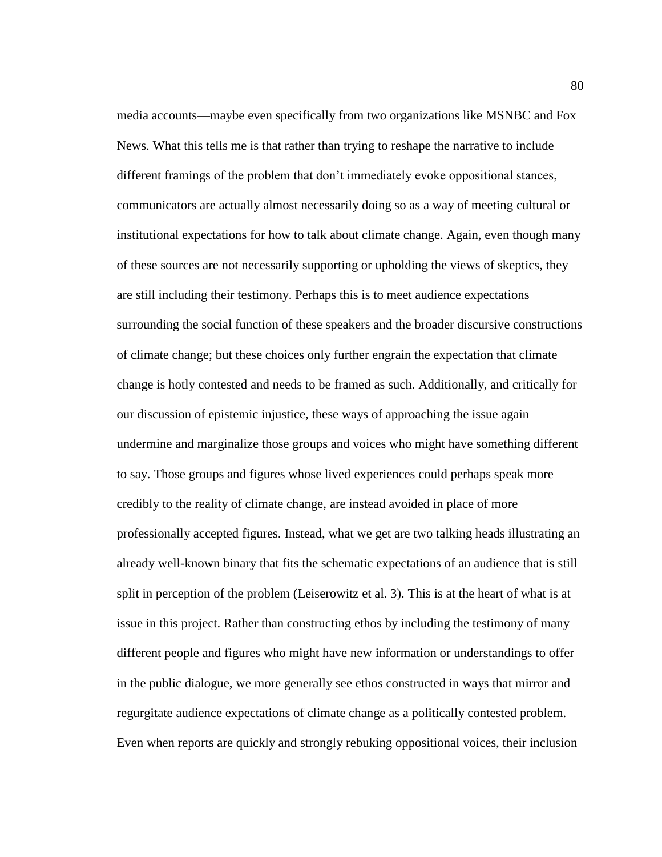media accounts—maybe even specifically from two organizations like MSNBC and Fox News. What this tells me is that rather than trying to reshape the narrative to include different framings of the problem that don't immediately evoke oppositional stances, communicators are actually almost necessarily doing so as a way of meeting cultural or institutional expectations for how to talk about climate change. Again, even though many of these sources are not necessarily supporting or upholding the views of skeptics, they are still including their testimony. Perhaps this is to meet audience expectations surrounding the social function of these speakers and the broader discursive constructions of climate change; but these choices only further engrain the expectation that climate change is hotly contested and needs to be framed as such. Additionally, and critically for our discussion of epistemic injustice, these ways of approaching the issue again undermine and marginalize those groups and voices who might have something different to say. Those groups and figures whose lived experiences could perhaps speak more credibly to the reality of climate change, are instead avoided in place of more professionally accepted figures. Instead, what we get are two talking heads illustrating an already well-known binary that fits the schematic expectations of an audience that is still split in perception of the problem (Leiserowitz et al. 3). This is at the heart of what is at issue in this project. Rather than constructing ethos by including the testimony of many different people and figures who might have new information or understandings to offer in the public dialogue, we more generally see ethos constructed in ways that mirror and regurgitate audience expectations of climate change as a politically contested problem. Even when reports are quickly and strongly rebuking oppositional voices, their inclusion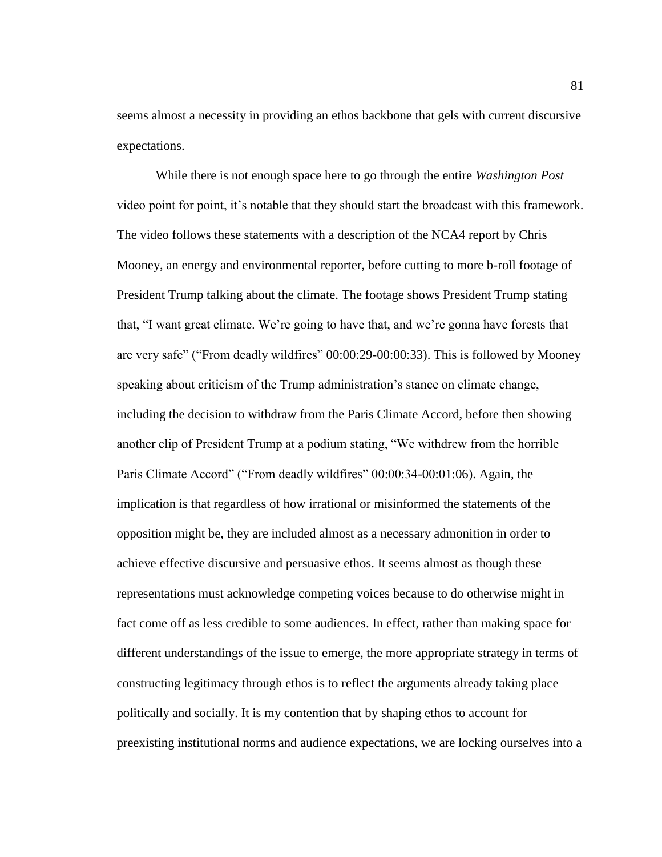seems almost a necessity in providing an ethos backbone that gels with current discursive expectations.

While there is not enough space here to go through the entire *Washington Post* video point for point, it's notable that they should start the broadcast with this framework. The video follows these statements with a description of the NCA4 report by Chris Mooney, an energy and environmental reporter, before cutting to more b-roll footage of President Trump talking about the climate. The footage shows President Trump stating that, "I want great climate. We're going to have that, and we're gonna have forests that are very safe" ("From deadly wildfires" 00:00:29-00:00:33). This is followed by Mooney speaking about criticism of the Trump administration's stance on climate change, including the decision to withdraw from the Paris Climate Accord, before then showing another clip of President Trump at a podium stating, "We withdrew from the horrible Paris Climate Accord" ("From deadly wildfires" 00:00:34-00:01:06). Again, the implication is that regardless of how irrational or misinformed the statements of the opposition might be, they are included almost as a necessary admonition in order to achieve effective discursive and persuasive ethos. It seems almost as though these representations must acknowledge competing voices because to do otherwise might in fact come off as less credible to some audiences. In effect, rather than making space for different understandings of the issue to emerge, the more appropriate strategy in terms of constructing legitimacy through ethos is to reflect the arguments already taking place politically and socially. It is my contention that by shaping ethos to account for preexisting institutional norms and audience expectations, we are locking ourselves into a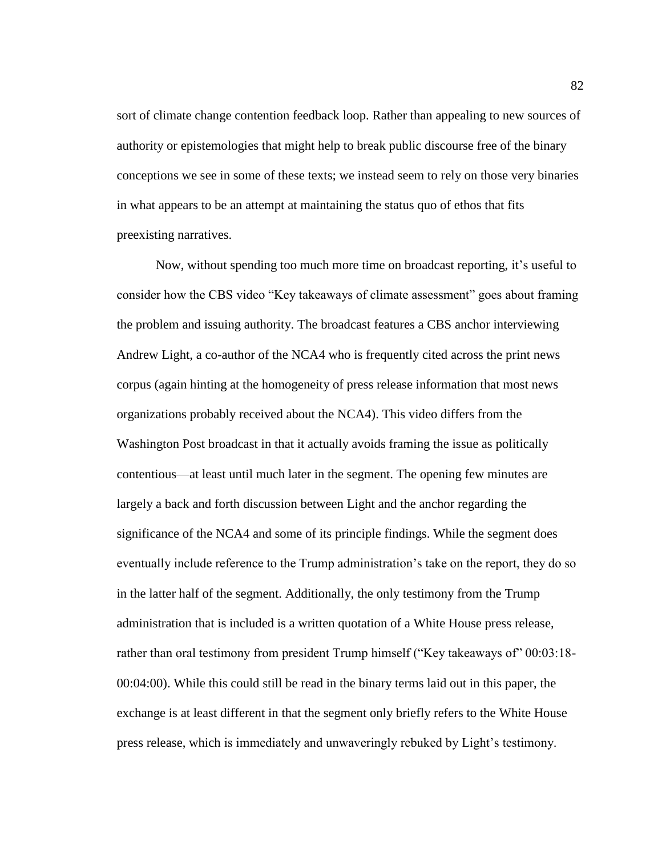sort of climate change contention feedback loop. Rather than appealing to new sources of authority or epistemologies that might help to break public discourse free of the binary conceptions we see in some of these texts; we instead seem to rely on those very binaries in what appears to be an attempt at maintaining the status quo of ethos that fits preexisting narratives.

Now, without spending too much more time on broadcast reporting, it's useful to consider how the CBS video "Key takeaways of climate assessment" goes about framing the problem and issuing authority. The broadcast features a CBS anchor interviewing Andrew Light, a co-author of the NCA4 who is frequently cited across the print news corpus (again hinting at the homogeneity of press release information that most news organizations probably received about the NCA4). This video differs from the Washington Post broadcast in that it actually avoids framing the issue as politically contentious—at least until much later in the segment. The opening few minutes are largely a back and forth discussion between Light and the anchor regarding the significance of the NCA4 and some of its principle findings. While the segment does eventually include reference to the Trump administration's take on the report, they do so in the latter half of the segment. Additionally, the only testimony from the Trump administration that is included is a written quotation of a White House press release, rather than oral testimony from president Trump himself ("Key takeaways of" 00:03:18- 00:04:00). While this could still be read in the binary terms laid out in this paper, the exchange is at least different in that the segment only briefly refers to the White House press release, which is immediately and unwaveringly rebuked by Light's testimony.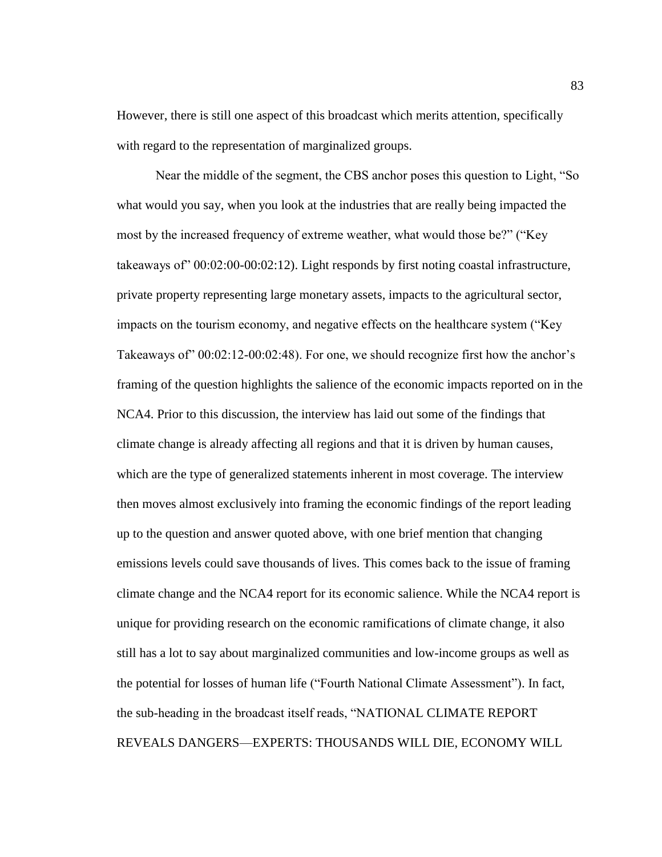However, there is still one aspect of this broadcast which merits attention, specifically with regard to the representation of marginalized groups.

Near the middle of the segment, the CBS anchor poses this question to Light, "So what would you say, when you look at the industries that are really being impacted the most by the increased frequency of extreme weather, what would those be?" ("Key takeaways of" 00:02:00-00:02:12). Light responds by first noting coastal infrastructure, private property representing large monetary assets, impacts to the agricultural sector, impacts on the tourism economy, and negative effects on the healthcare system ("Key Takeaways of" 00:02:12-00:02:48). For one, we should recognize first how the anchor's framing of the question highlights the salience of the economic impacts reported on in the NCA4. Prior to this discussion, the interview has laid out some of the findings that climate change is already affecting all regions and that it is driven by human causes, which are the type of generalized statements inherent in most coverage. The interview then moves almost exclusively into framing the economic findings of the report leading up to the question and answer quoted above, with one brief mention that changing emissions levels could save thousands of lives. This comes back to the issue of framing climate change and the NCA4 report for its economic salience. While the NCA4 report is unique for providing research on the economic ramifications of climate change, it also still has a lot to say about marginalized communities and low-income groups as well as the potential for losses of human life ("Fourth National Climate Assessment"). In fact, the sub-heading in the broadcast itself reads, "NATIONAL CLIMATE REPORT REVEALS DANGERS—EXPERTS: THOUSANDS WILL DIE, ECONOMY WILL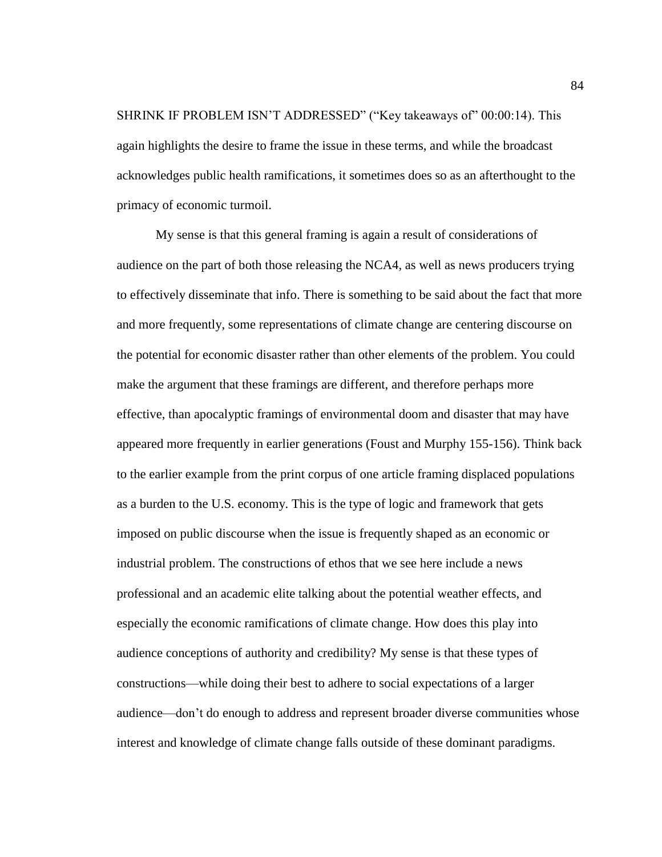SHRINK IF PROBLEM ISN'T ADDRESSED" ("Key takeaways of" 00:00:14). This again highlights the desire to frame the issue in these terms, and while the broadcast acknowledges public health ramifications, it sometimes does so as an afterthought to the primacy of economic turmoil.

My sense is that this general framing is again a result of considerations of audience on the part of both those releasing the NCA4, as well as news producers trying to effectively disseminate that info. There is something to be said about the fact that more and more frequently, some representations of climate change are centering discourse on the potential for economic disaster rather than other elements of the problem. You could make the argument that these framings are different, and therefore perhaps more effective, than apocalyptic framings of environmental doom and disaster that may have appeared more frequently in earlier generations (Foust and Murphy 155-156). Think back to the earlier example from the print corpus of one article framing displaced populations as a burden to the U.S. economy. This is the type of logic and framework that gets imposed on public discourse when the issue is frequently shaped as an economic or industrial problem. The constructions of ethos that we see here include a news professional and an academic elite talking about the potential weather effects, and especially the economic ramifications of climate change. How does this play into audience conceptions of authority and credibility? My sense is that these types of constructions—while doing their best to adhere to social expectations of a larger audience—don't do enough to address and represent broader diverse communities whose interest and knowledge of climate change falls outside of these dominant paradigms.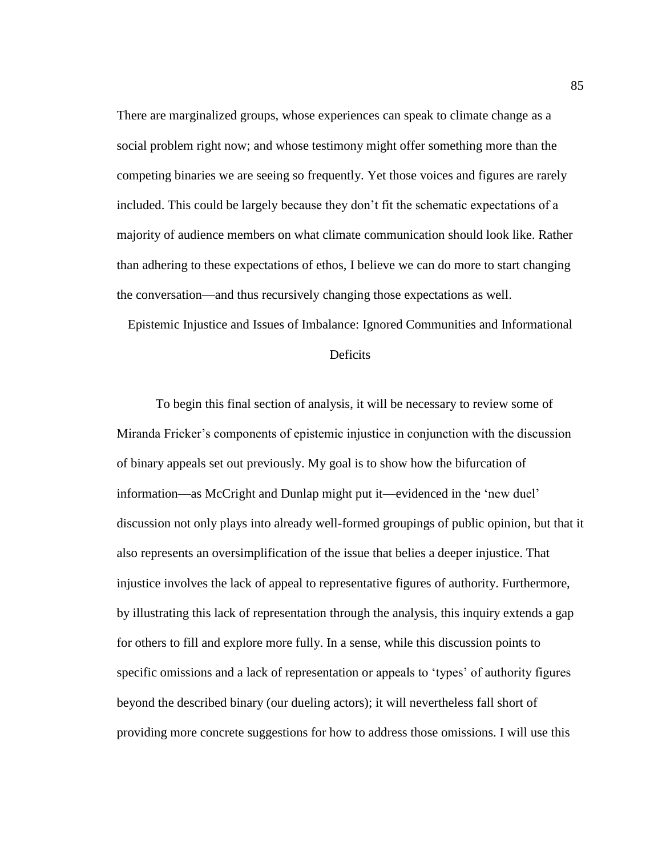There are marginalized groups, whose experiences can speak to climate change as a social problem right now; and whose testimony might offer something more than the competing binaries we are seeing so frequently. Yet those voices and figures are rarely included. This could be largely because they don't fit the schematic expectations of a majority of audience members on what climate communication should look like. Rather than adhering to these expectations of ethos, I believe we can do more to start changing the conversation—and thus recursively changing those expectations as well.

Epistemic Injustice and Issues of Imbalance: Ignored Communities and Informational

## Deficits

To begin this final section of analysis, it will be necessary to review some of Miranda Fricker's components of epistemic injustice in conjunction with the discussion of binary appeals set out previously. My goal is to show how the bifurcation of information—as McCright and Dunlap might put it—evidenced in the 'new duel' discussion not only plays into already well-formed groupings of public opinion, but that it also represents an oversimplification of the issue that belies a deeper injustice. That injustice involves the lack of appeal to representative figures of authority. Furthermore, by illustrating this lack of representation through the analysis, this inquiry extends a gap for others to fill and explore more fully. In a sense, while this discussion points to specific omissions and a lack of representation or appeals to 'types' of authority figures beyond the described binary (our dueling actors); it will nevertheless fall short of providing more concrete suggestions for how to address those omissions. I will use this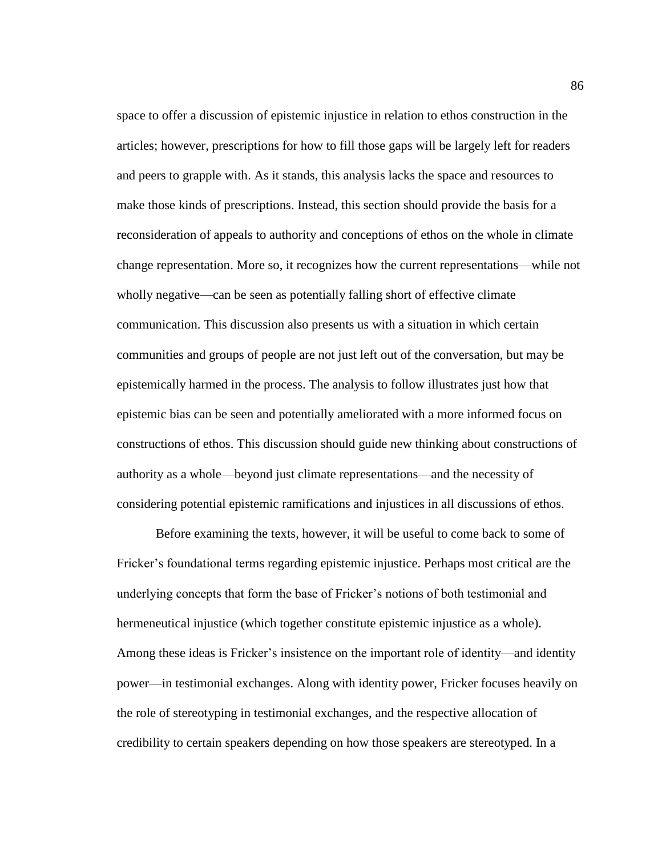space to offer a discussion of epistemic injustice in relation to ethos construction in the articles; however, prescriptions for how to fill those gaps will be largely left for readers and peers to grapple with. As it stands, this analysis lacks the space and resources to make those kinds of prescriptions. Instead, this section should provide the basis for a reconsideration of appeals to authority and conceptions of ethos on the whole in climate change representation. More so, it recognizes how the current representations—while not wholly negative—can be seen as potentially falling short of effective climate communication. This discussion also presents us with a situation in which certain communities and groups of people are not just left out of the conversation, but may be epistemically harmed in the process. The analysis to follow illustrates just how that epistemic bias can be seen and potentially ameliorated with a more informed focus on constructions of ethos. This discussion should guide new thinking about constructions of authority as a whole—beyond just climate representations—and the necessity of considering potential epistemic ramifications and injustices in all discussions of ethos.

Before examining the texts, however, it will be useful to come back to some of Fricker's foundational terms regarding epistemic injustice. Perhaps most critical are the underlying concepts that form the base of Fricker's notions of both testimonial and hermeneutical injustice (which together constitute epistemic injustice as a whole). Among these ideas is Fricker's insistence on the important role of identity—and identity power—in testimonial exchanges. Along with identity power, Fricker focuses heavily on the role of stereotyping in testimonial exchanges, and the respective allocation of credibility to certain speakers depending on how those speakers are stereotyped. In a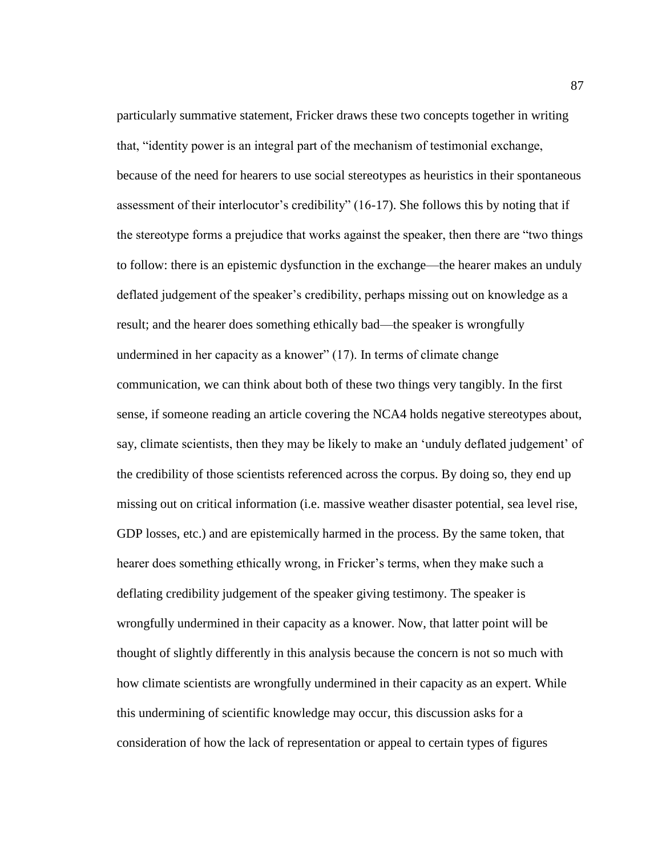particularly summative statement, Fricker draws these two concepts together in writing that, "identity power is an integral part of the mechanism of testimonial exchange, because of the need for hearers to use social stereotypes as heuristics in their spontaneous assessment of their interlocutor's credibility" (16-17). She follows this by noting that if the stereotype forms a prejudice that works against the speaker, then there are "two things to follow: there is an epistemic dysfunction in the exchange—the hearer makes an unduly deflated judgement of the speaker's credibility, perhaps missing out on knowledge as a result; and the hearer does something ethically bad—the speaker is wrongfully undermined in her capacity as a knower" (17). In terms of climate change communication, we can think about both of these two things very tangibly. In the first sense, if someone reading an article covering the NCA4 holds negative stereotypes about, say, climate scientists, then they may be likely to make an 'unduly deflated judgement' of the credibility of those scientists referenced across the corpus. By doing so, they end up missing out on critical information (i.e. massive weather disaster potential, sea level rise, GDP losses, etc.) and are epistemically harmed in the process. By the same token, that hearer does something ethically wrong, in Fricker's terms, when they make such a deflating credibility judgement of the speaker giving testimony. The speaker is wrongfully undermined in their capacity as a knower. Now, that latter point will be thought of slightly differently in this analysis because the concern is not so much with how climate scientists are wrongfully undermined in their capacity as an expert. While this undermining of scientific knowledge may occur, this discussion asks for a consideration of how the lack of representation or appeal to certain types of figures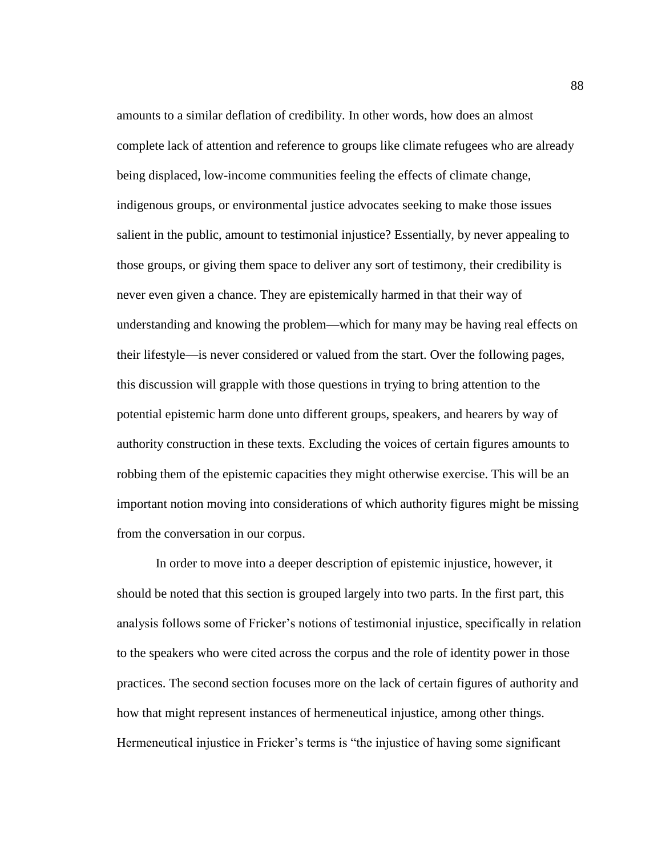amounts to a similar deflation of credibility. In other words, how does an almost complete lack of attention and reference to groups like climate refugees who are already being displaced, low-income communities feeling the effects of climate change, indigenous groups, or environmental justice advocates seeking to make those issues salient in the public, amount to testimonial injustice? Essentially, by never appealing to those groups, or giving them space to deliver any sort of testimony, their credibility is never even given a chance. They are epistemically harmed in that their way of understanding and knowing the problem—which for many may be having real effects on their lifestyle—is never considered or valued from the start. Over the following pages, this discussion will grapple with those questions in trying to bring attention to the potential epistemic harm done unto different groups, speakers, and hearers by way of authority construction in these texts. Excluding the voices of certain figures amounts to robbing them of the epistemic capacities they might otherwise exercise. This will be an important notion moving into considerations of which authority figures might be missing from the conversation in our corpus.

In order to move into a deeper description of epistemic injustice, however, it should be noted that this section is grouped largely into two parts. In the first part, this analysis follows some of Fricker's notions of testimonial injustice, specifically in relation to the speakers who were cited across the corpus and the role of identity power in those practices. The second section focuses more on the lack of certain figures of authority and how that might represent instances of hermeneutical injustice, among other things. Hermeneutical injustice in Fricker's terms is "the injustice of having some significant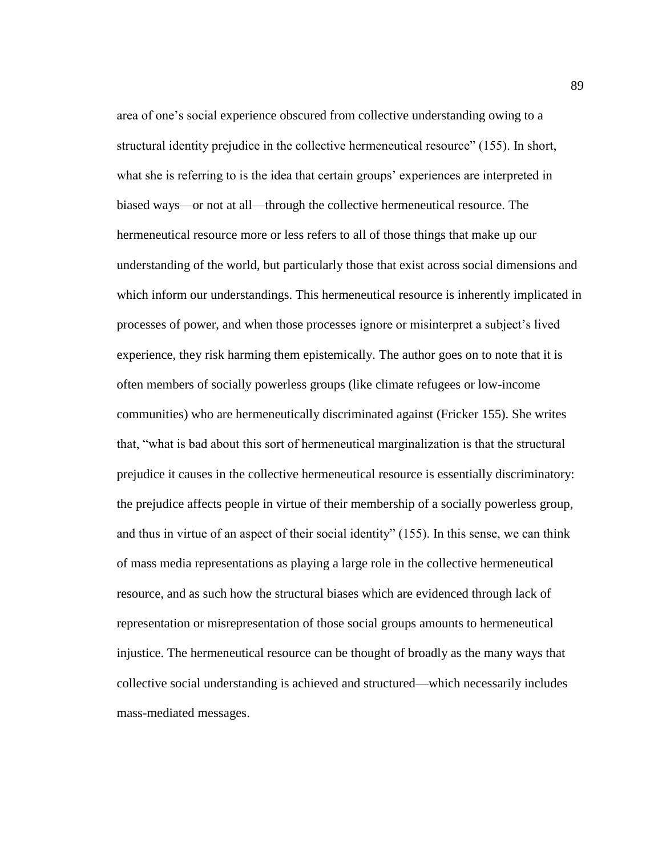area of one's social experience obscured from collective understanding owing to a structural identity prejudice in the collective hermeneutical resource" (155). In short, what she is referring to is the idea that certain groups' experiences are interpreted in biased ways—or not at all—through the collective hermeneutical resource. The hermeneutical resource more or less refers to all of those things that make up our understanding of the world, but particularly those that exist across social dimensions and which inform our understandings. This hermeneutical resource is inherently implicated in processes of power, and when those processes ignore or misinterpret a subject's lived experience, they risk harming them epistemically. The author goes on to note that it is often members of socially powerless groups (like climate refugees or low-income communities) who are hermeneutically discriminated against (Fricker 155). She writes that, "what is bad about this sort of hermeneutical marginalization is that the structural prejudice it causes in the collective hermeneutical resource is essentially discriminatory: the prejudice affects people in virtue of their membership of a socially powerless group, and thus in virtue of an aspect of their social identity" (155). In this sense, we can think of mass media representations as playing a large role in the collective hermeneutical resource, and as such how the structural biases which are evidenced through lack of representation or misrepresentation of those social groups amounts to hermeneutical injustice. The hermeneutical resource can be thought of broadly as the many ways that collective social understanding is achieved and structured—which necessarily includes mass-mediated messages.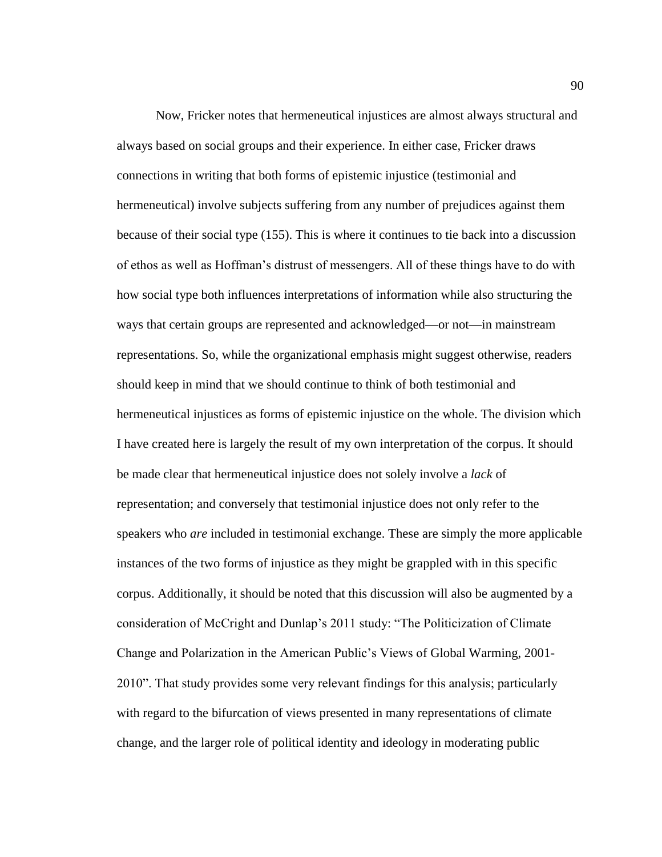Now, Fricker notes that hermeneutical injustices are almost always structural and always based on social groups and their experience. In either case, Fricker draws connections in writing that both forms of epistemic injustice (testimonial and hermeneutical) involve subjects suffering from any number of prejudices against them because of their social type (155). This is where it continues to tie back into a discussion of ethos as well as Hoffman's distrust of messengers. All of these things have to do with how social type both influences interpretations of information while also structuring the ways that certain groups are represented and acknowledged—or not—in mainstream representations. So, while the organizational emphasis might suggest otherwise, readers should keep in mind that we should continue to think of both testimonial and hermeneutical injustices as forms of epistemic injustice on the whole. The division which I have created here is largely the result of my own interpretation of the corpus. It should be made clear that hermeneutical injustice does not solely involve a *lack* of representation; and conversely that testimonial injustice does not only refer to the speakers who *are* included in testimonial exchange. These are simply the more applicable instances of the two forms of injustice as they might be grappled with in this specific corpus. Additionally, it should be noted that this discussion will also be augmented by a consideration of McCright and Dunlap's 2011 study: "The Politicization of Climate Change and Polarization in the American Public's Views of Global Warming, 2001- 2010". That study provides some very relevant findings for this analysis; particularly with regard to the bifurcation of views presented in many representations of climate change, and the larger role of political identity and ideology in moderating public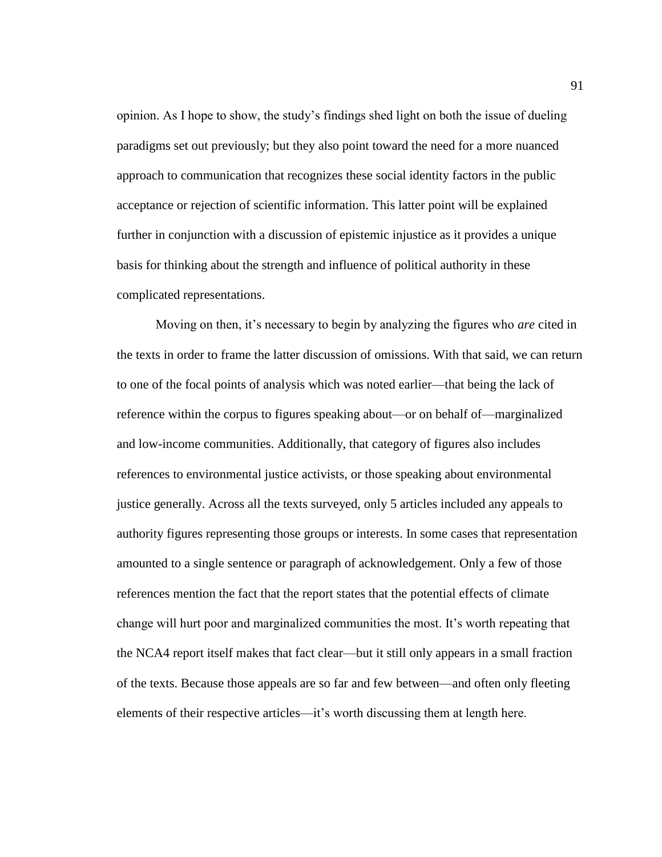opinion. As I hope to show, the study's findings shed light on both the issue of dueling paradigms set out previously; but they also point toward the need for a more nuanced approach to communication that recognizes these social identity factors in the public acceptance or rejection of scientific information. This latter point will be explained further in conjunction with a discussion of epistemic injustice as it provides a unique basis for thinking about the strength and influence of political authority in these complicated representations.

Moving on then, it's necessary to begin by analyzing the figures who *are* cited in the texts in order to frame the latter discussion of omissions. With that said, we can return to one of the focal points of analysis which was noted earlier—that being the lack of reference within the corpus to figures speaking about—or on behalf of—marginalized and low-income communities. Additionally, that category of figures also includes references to environmental justice activists, or those speaking about environmental justice generally. Across all the texts surveyed, only 5 articles included any appeals to authority figures representing those groups or interests. In some cases that representation amounted to a single sentence or paragraph of acknowledgement. Only a few of those references mention the fact that the report states that the potential effects of climate change will hurt poor and marginalized communities the most. It's worth repeating that the NCA4 report itself makes that fact clear—but it still only appears in a small fraction of the texts. Because those appeals are so far and few between—and often only fleeting elements of their respective articles—it's worth discussing them at length here.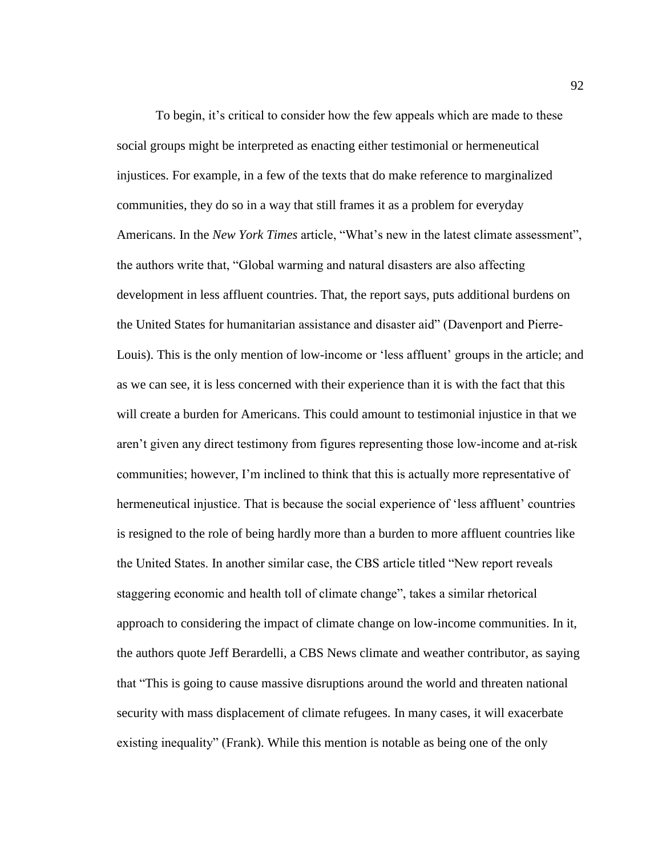To begin, it's critical to consider how the few appeals which are made to these social groups might be interpreted as enacting either testimonial or hermeneutical injustices. For example, in a few of the texts that do make reference to marginalized communities, they do so in a way that still frames it as a problem for everyday Americans. In the *New York Times* article, "What's new in the latest climate assessment", the authors write that, "Global warming and natural disasters are also affecting development in less affluent countries. That, the report says, puts additional burdens on the United States for humanitarian assistance and disaster aid" (Davenport and Pierre-Louis). This is the only mention of low-income or 'less affluent' groups in the article; and as we can see, it is less concerned with their experience than it is with the fact that this will create a burden for Americans. This could amount to testimonial injustice in that we aren't given any direct testimony from figures representing those low-income and at-risk communities; however, I'm inclined to think that this is actually more representative of hermeneutical injustice. That is because the social experience of 'less affluent' countries is resigned to the role of being hardly more than a burden to more affluent countries like the United States. In another similar case, the CBS article titled "New report reveals staggering economic and health toll of climate change", takes a similar rhetorical approach to considering the impact of climate change on low-income communities. In it, the authors quote Jeff Berardelli, a CBS News climate and weather contributor, as saying that "This is going to cause massive disruptions around the world and threaten national security with mass displacement of climate refugees. In many cases, it will exacerbate existing inequality" (Frank). While this mention is notable as being one of the only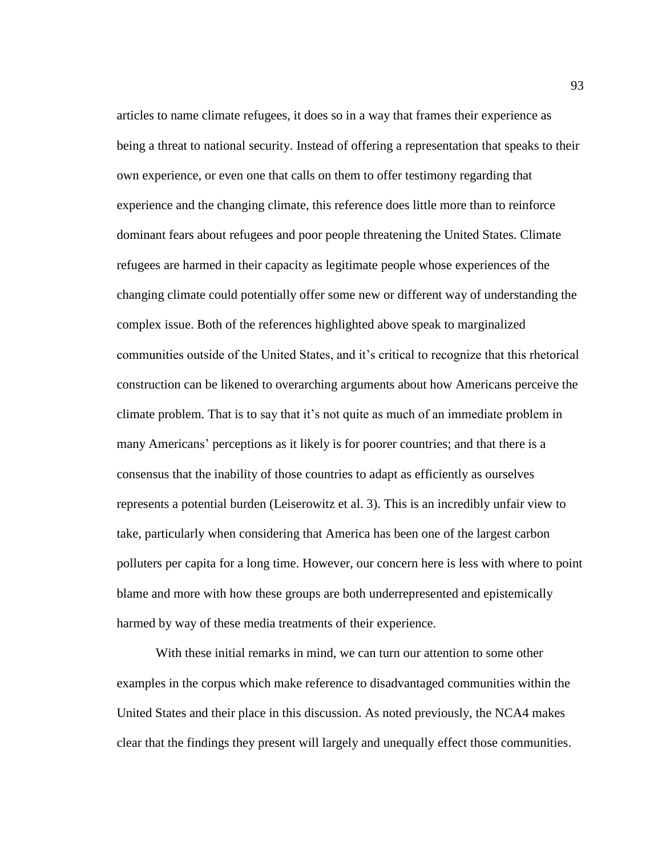articles to name climate refugees, it does so in a way that frames their experience as being a threat to national security. Instead of offering a representation that speaks to their own experience, or even one that calls on them to offer testimony regarding that experience and the changing climate, this reference does little more than to reinforce dominant fears about refugees and poor people threatening the United States. Climate refugees are harmed in their capacity as legitimate people whose experiences of the changing climate could potentially offer some new or different way of understanding the complex issue. Both of the references highlighted above speak to marginalized communities outside of the United States, and it's critical to recognize that this rhetorical construction can be likened to overarching arguments about how Americans perceive the climate problem. That is to say that it's not quite as much of an immediate problem in many Americans' perceptions as it likely is for poorer countries; and that there is a consensus that the inability of those countries to adapt as efficiently as ourselves represents a potential burden (Leiserowitz et al. 3). This is an incredibly unfair view to take, particularly when considering that America has been one of the largest carbon polluters per capita for a long time. However, our concern here is less with where to point blame and more with how these groups are both underrepresented and epistemically harmed by way of these media treatments of their experience.

With these initial remarks in mind, we can turn our attention to some other examples in the corpus which make reference to disadvantaged communities within the United States and their place in this discussion. As noted previously, the NCA4 makes clear that the findings they present will largely and unequally effect those communities.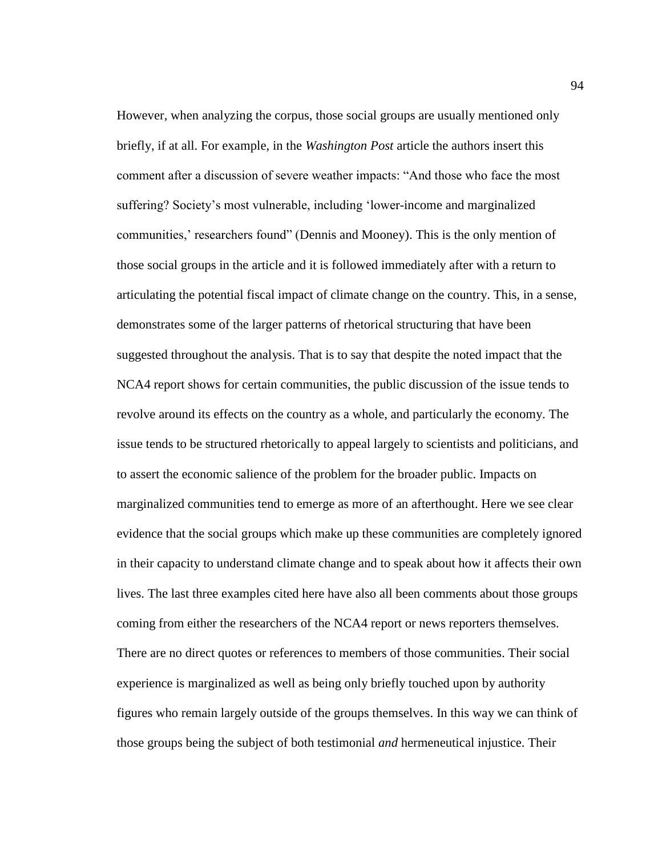However, when analyzing the corpus, those social groups are usually mentioned only briefly, if at all. For example, in the *Washington Post* article the authors insert this comment after a discussion of severe weather impacts: "And those who face the most suffering? Society's most vulnerable, including 'lower-income and marginalized communities,' researchers found" (Dennis and Mooney). This is the only mention of those social groups in the article and it is followed immediately after with a return to articulating the potential fiscal impact of climate change on the country. This, in a sense, demonstrates some of the larger patterns of rhetorical structuring that have been suggested throughout the analysis. That is to say that despite the noted impact that the NCA4 report shows for certain communities, the public discussion of the issue tends to revolve around its effects on the country as a whole, and particularly the economy. The issue tends to be structured rhetorically to appeal largely to scientists and politicians, and to assert the economic salience of the problem for the broader public. Impacts on marginalized communities tend to emerge as more of an afterthought. Here we see clear evidence that the social groups which make up these communities are completely ignored in their capacity to understand climate change and to speak about how it affects their own lives. The last three examples cited here have also all been comments about those groups coming from either the researchers of the NCA4 report or news reporters themselves. There are no direct quotes or references to members of those communities. Their social experience is marginalized as well as being only briefly touched upon by authority figures who remain largely outside of the groups themselves. In this way we can think of those groups being the subject of both testimonial *and* hermeneutical injustice. Their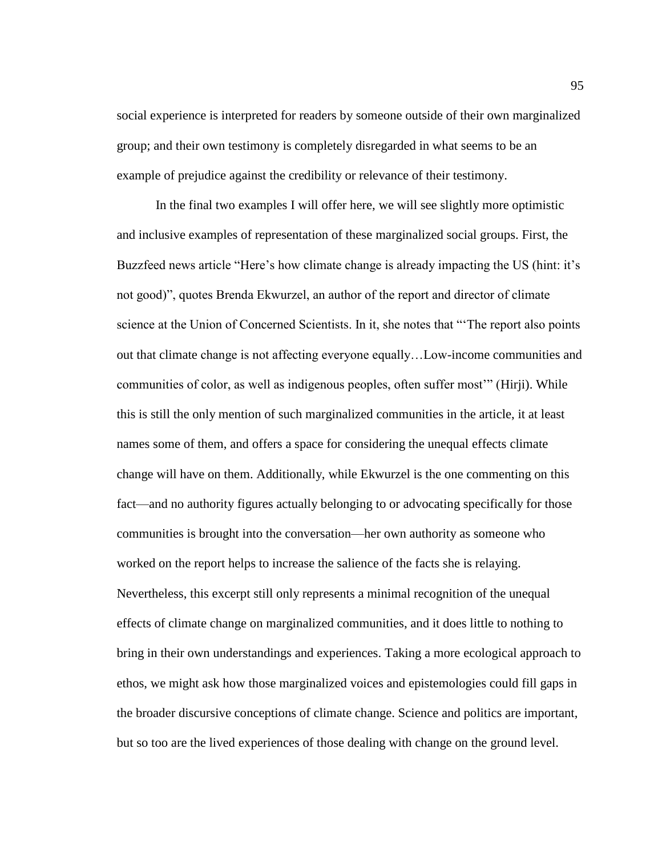social experience is interpreted for readers by someone outside of their own marginalized group; and their own testimony is completely disregarded in what seems to be an example of prejudice against the credibility or relevance of their testimony.

In the final two examples I will offer here, we will see slightly more optimistic and inclusive examples of representation of these marginalized social groups. First, the Buzzfeed news article "Here's how climate change is already impacting the US (hint: it's not good)", quotes Brenda Ekwurzel, an author of the report and director of climate science at the Union of Concerned Scientists. In it, she notes that "'The report also points out that climate change is not affecting everyone equally…Low-income communities and communities of color, as well as indigenous peoples, often suffer most'" (Hirji). While this is still the only mention of such marginalized communities in the article, it at least names some of them, and offers a space for considering the unequal effects climate change will have on them. Additionally, while Ekwurzel is the one commenting on this fact—and no authority figures actually belonging to or advocating specifically for those communities is brought into the conversation—her own authority as someone who worked on the report helps to increase the salience of the facts she is relaying. Nevertheless, this excerpt still only represents a minimal recognition of the unequal effects of climate change on marginalized communities, and it does little to nothing to bring in their own understandings and experiences. Taking a more ecological approach to ethos, we might ask how those marginalized voices and epistemologies could fill gaps in the broader discursive conceptions of climate change. Science and politics are important, but so too are the lived experiences of those dealing with change on the ground level.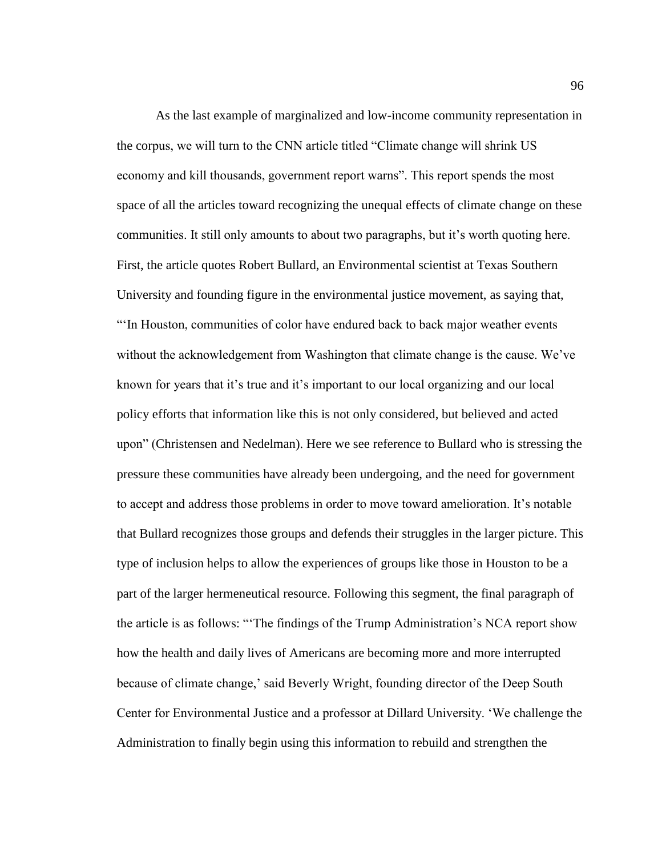As the last example of marginalized and low-income community representation in the corpus, we will turn to the CNN article titled "Climate change will shrink US economy and kill thousands, government report warns". This report spends the most space of all the articles toward recognizing the unequal effects of climate change on these communities. It still only amounts to about two paragraphs, but it's worth quoting here. First, the article quotes Robert Bullard, an Environmental scientist at Texas Southern University and founding figure in the environmental justice movement, as saying that, "'In Houston, communities of color have endured back to back major weather events without the acknowledgement from Washington that climate change is the cause. We've known for years that it's true and it's important to our local organizing and our local policy efforts that information like this is not only considered, but believed and acted upon" (Christensen and Nedelman). Here we see reference to Bullard who is stressing the pressure these communities have already been undergoing, and the need for government to accept and address those problems in order to move toward amelioration. It's notable that Bullard recognizes those groups and defends their struggles in the larger picture. This type of inclusion helps to allow the experiences of groups like those in Houston to be a part of the larger hermeneutical resource. Following this segment, the final paragraph of the article is as follows: "'The findings of the Trump Administration's NCA report show how the health and daily lives of Americans are becoming more and more interrupted because of climate change,' said Beverly Wright, founding director of the Deep South Center for Environmental Justice and a professor at Dillard University. 'We challenge the Administration to finally begin using this information to rebuild and strengthen the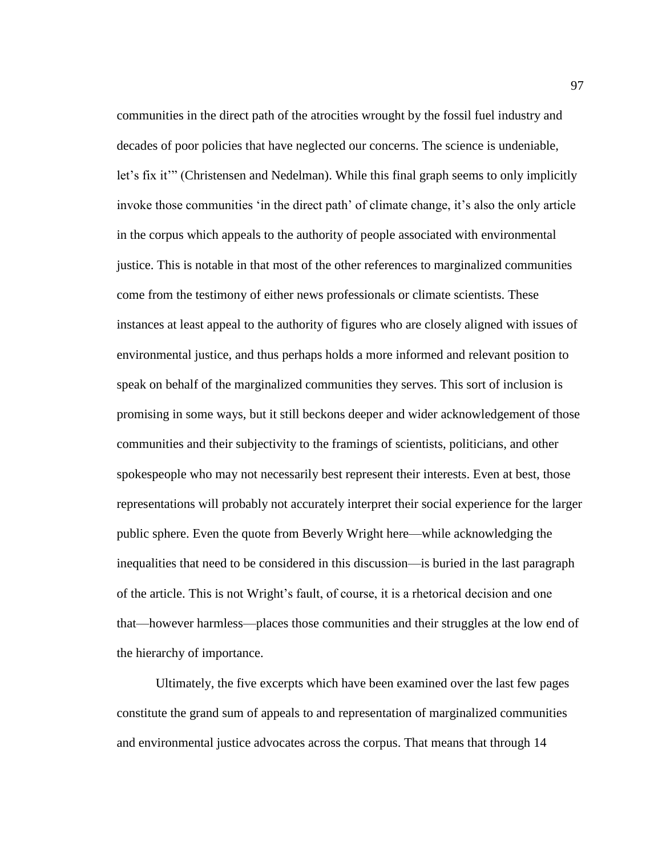communities in the direct path of the atrocities wrought by the fossil fuel industry and decades of poor policies that have neglected our concerns. The science is undeniable, let's fix it'" (Christensen and Nedelman). While this final graph seems to only implicitly invoke those communities 'in the direct path' of climate change, it's also the only article in the corpus which appeals to the authority of people associated with environmental justice. This is notable in that most of the other references to marginalized communities come from the testimony of either news professionals or climate scientists. These instances at least appeal to the authority of figures who are closely aligned with issues of environmental justice, and thus perhaps holds a more informed and relevant position to speak on behalf of the marginalized communities they serves. This sort of inclusion is promising in some ways, but it still beckons deeper and wider acknowledgement of those communities and their subjectivity to the framings of scientists, politicians, and other spokespeople who may not necessarily best represent their interests. Even at best, those representations will probably not accurately interpret their social experience for the larger public sphere. Even the quote from Beverly Wright here—while acknowledging the inequalities that need to be considered in this discussion—is buried in the last paragraph of the article. This is not Wright's fault, of course, it is a rhetorical decision and one that—however harmless—places those communities and their struggles at the low end of the hierarchy of importance.

Ultimately, the five excerpts which have been examined over the last few pages constitute the grand sum of appeals to and representation of marginalized communities and environmental justice advocates across the corpus. That means that through 14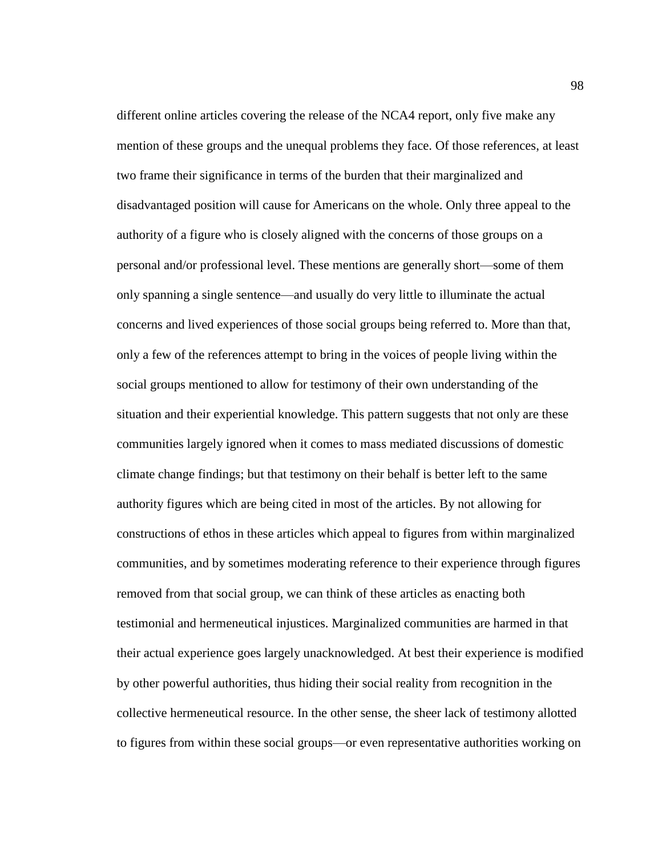different online articles covering the release of the NCA4 report, only five make any mention of these groups and the unequal problems they face. Of those references, at least two frame their significance in terms of the burden that their marginalized and disadvantaged position will cause for Americans on the whole. Only three appeal to the authority of a figure who is closely aligned with the concerns of those groups on a personal and/or professional level. These mentions are generally short—some of them only spanning a single sentence—and usually do very little to illuminate the actual concerns and lived experiences of those social groups being referred to. More than that, only a few of the references attempt to bring in the voices of people living within the social groups mentioned to allow for testimony of their own understanding of the situation and their experiential knowledge. This pattern suggests that not only are these communities largely ignored when it comes to mass mediated discussions of domestic climate change findings; but that testimony on their behalf is better left to the same authority figures which are being cited in most of the articles. By not allowing for constructions of ethos in these articles which appeal to figures from within marginalized communities, and by sometimes moderating reference to their experience through figures removed from that social group, we can think of these articles as enacting both testimonial and hermeneutical injustices. Marginalized communities are harmed in that their actual experience goes largely unacknowledged. At best their experience is modified by other powerful authorities, thus hiding their social reality from recognition in the collective hermeneutical resource. In the other sense, the sheer lack of testimony allotted to figures from within these social groups—or even representative authorities working on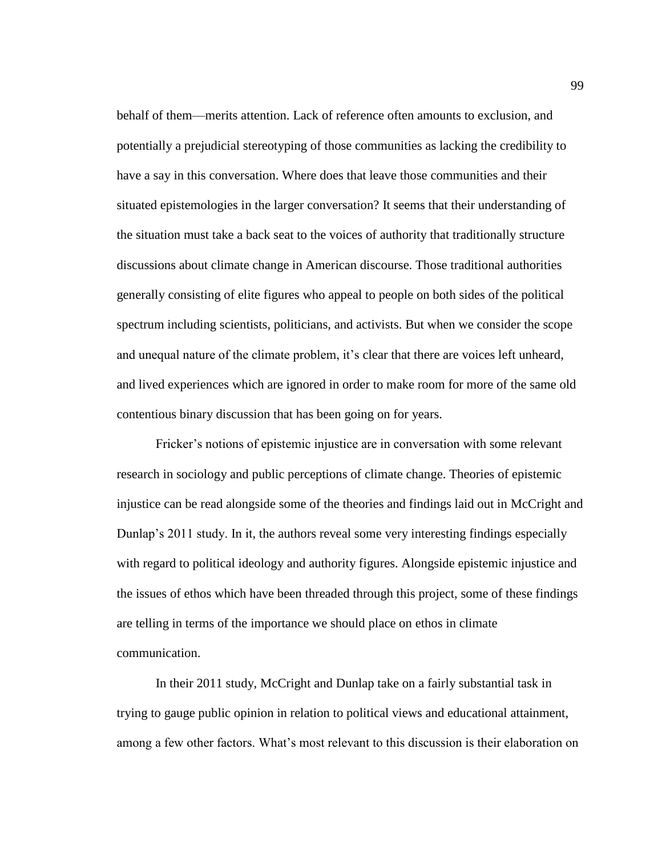behalf of them—merits attention. Lack of reference often amounts to exclusion, and potentially a prejudicial stereotyping of those communities as lacking the credibility to have a say in this conversation. Where does that leave those communities and their situated epistemologies in the larger conversation? It seems that their understanding of the situation must take a back seat to the voices of authority that traditionally structure discussions about climate change in American discourse. Those traditional authorities generally consisting of elite figures who appeal to people on both sides of the political spectrum including scientists, politicians, and activists. But when we consider the scope and unequal nature of the climate problem, it's clear that there are voices left unheard, and lived experiences which are ignored in order to make room for more of the same old contentious binary discussion that has been going on for years.

Fricker's notions of epistemic injustice are in conversation with some relevant research in sociology and public perceptions of climate change. Theories of epistemic injustice can be read alongside some of the theories and findings laid out in McCright and Dunlap's 2011 study. In it, the authors reveal some very interesting findings especially with regard to political ideology and authority figures. Alongside epistemic injustice and the issues of ethos which have been threaded through this project, some of these findings are telling in terms of the importance we should place on ethos in climate communication.

In their 2011 study, McCright and Dunlap take on a fairly substantial task in trying to gauge public opinion in relation to political views and educational attainment, among a few other factors. What's most relevant to this discussion is their elaboration on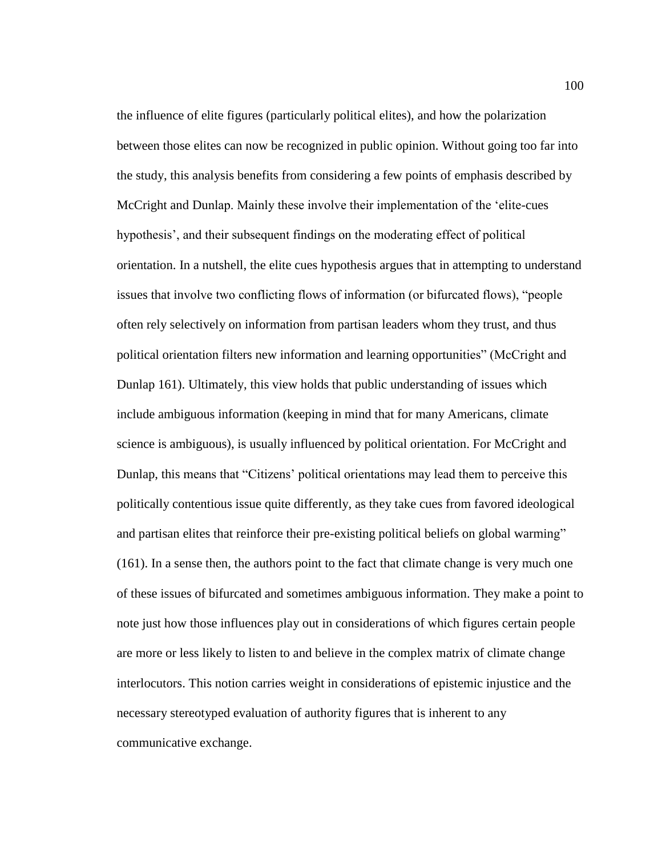the influence of elite figures (particularly political elites), and how the polarization between those elites can now be recognized in public opinion. Without going too far into the study, this analysis benefits from considering a few points of emphasis described by McCright and Dunlap. Mainly these involve their implementation of the 'elite-cues hypothesis', and their subsequent findings on the moderating effect of political orientation. In a nutshell, the elite cues hypothesis argues that in attempting to understand issues that involve two conflicting flows of information (or bifurcated flows), "people often rely selectively on information from partisan leaders whom they trust, and thus political orientation filters new information and learning opportunities" (McCright and Dunlap 161). Ultimately, this view holds that public understanding of issues which include ambiguous information (keeping in mind that for many Americans, climate science is ambiguous), is usually influenced by political orientation. For McCright and Dunlap, this means that "Citizens' political orientations may lead them to perceive this politically contentious issue quite differently, as they take cues from favored ideological and partisan elites that reinforce their pre-existing political beliefs on global warming" (161). In a sense then, the authors point to the fact that climate change is very much one of these issues of bifurcated and sometimes ambiguous information. They make a point to note just how those influences play out in considerations of which figures certain people are more or less likely to listen to and believe in the complex matrix of climate change interlocutors. This notion carries weight in considerations of epistemic injustice and the necessary stereotyped evaluation of authority figures that is inherent to any communicative exchange.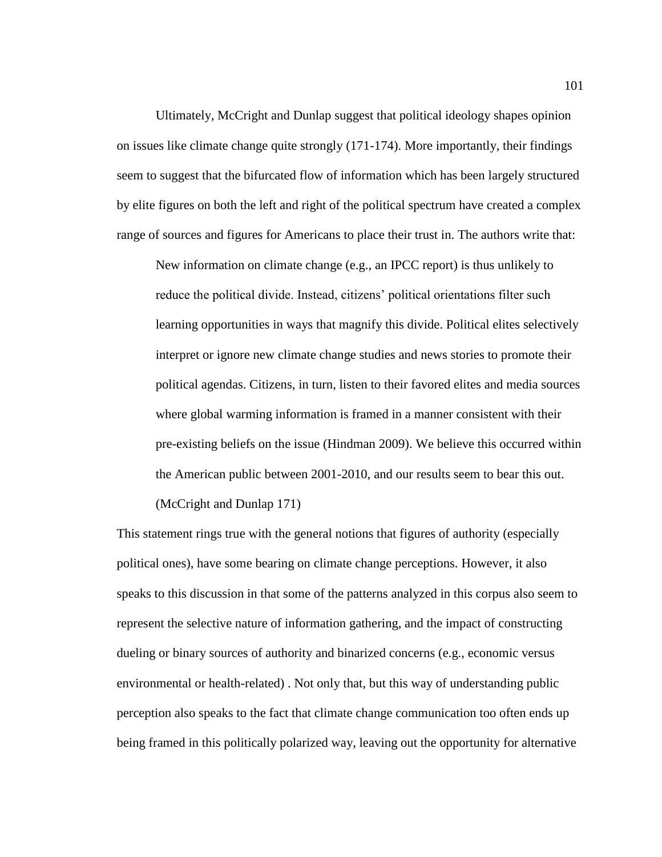Ultimately, McCright and Dunlap suggest that political ideology shapes opinion on issues like climate change quite strongly (171-174). More importantly, their findings seem to suggest that the bifurcated flow of information which has been largely structured by elite figures on both the left and right of the political spectrum have created a complex range of sources and figures for Americans to place their trust in. The authors write that:

New information on climate change (e.g., an IPCC report) is thus unlikely to reduce the political divide. Instead, citizens' political orientations filter such learning opportunities in ways that magnify this divide. Political elites selectively interpret or ignore new climate change studies and news stories to promote their political agendas. Citizens, in turn, listen to their favored elites and media sources where global warming information is framed in a manner consistent with their pre-existing beliefs on the issue (Hindman 2009). We believe this occurred within the American public between 2001-2010, and our results seem to bear this out. (McCright and Dunlap 171)

This statement rings true with the general notions that figures of authority (especially political ones), have some bearing on climate change perceptions. However, it also speaks to this discussion in that some of the patterns analyzed in this corpus also seem to represent the selective nature of information gathering, and the impact of constructing dueling or binary sources of authority and binarized concerns (e.g., economic versus environmental or health-related) . Not only that, but this way of understanding public perception also speaks to the fact that climate change communication too often ends up being framed in this politically polarized way, leaving out the opportunity for alternative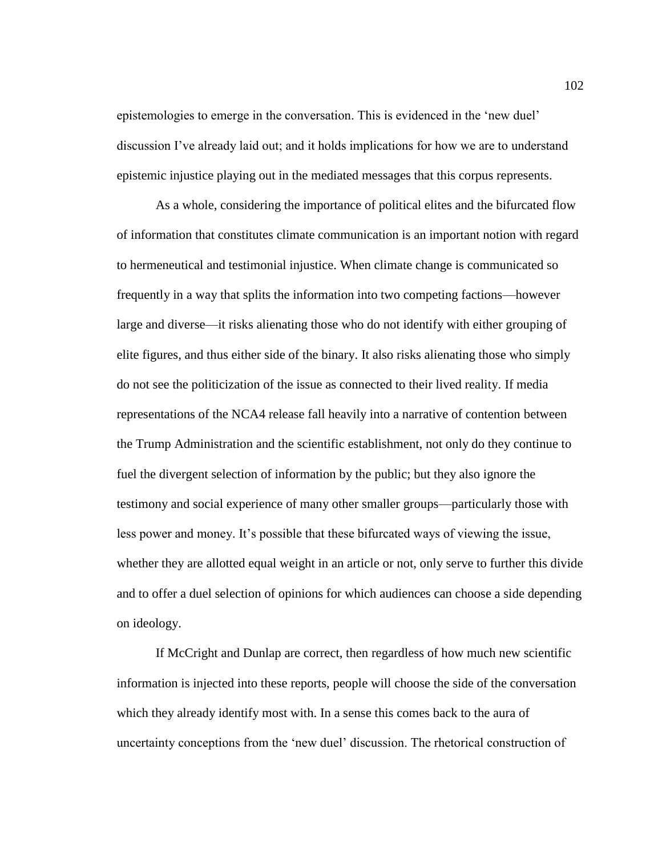epistemologies to emerge in the conversation. This is evidenced in the 'new duel' discussion I've already laid out; and it holds implications for how we are to understand epistemic injustice playing out in the mediated messages that this corpus represents.

As a whole, considering the importance of political elites and the bifurcated flow of information that constitutes climate communication is an important notion with regard to hermeneutical and testimonial injustice. When climate change is communicated so frequently in a way that splits the information into two competing factions—however large and diverse—it risks alienating those who do not identify with either grouping of elite figures, and thus either side of the binary. It also risks alienating those who simply do not see the politicization of the issue as connected to their lived reality. If media representations of the NCA4 release fall heavily into a narrative of contention between the Trump Administration and the scientific establishment, not only do they continue to fuel the divergent selection of information by the public; but they also ignore the testimony and social experience of many other smaller groups—particularly those with less power and money. It's possible that these bifurcated ways of viewing the issue, whether they are allotted equal weight in an article or not, only serve to further this divide and to offer a duel selection of opinions for which audiences can choose a side depending on ideology.

If McCright and Dunlap are correct, then regardless of how much new scientific information is injected into these reports, people will choose the side of the conversation which they already identify most with. In a sense this comes back to the aura of uncertainty conceptions from the 'new duel' discussion. The rhetorical construction of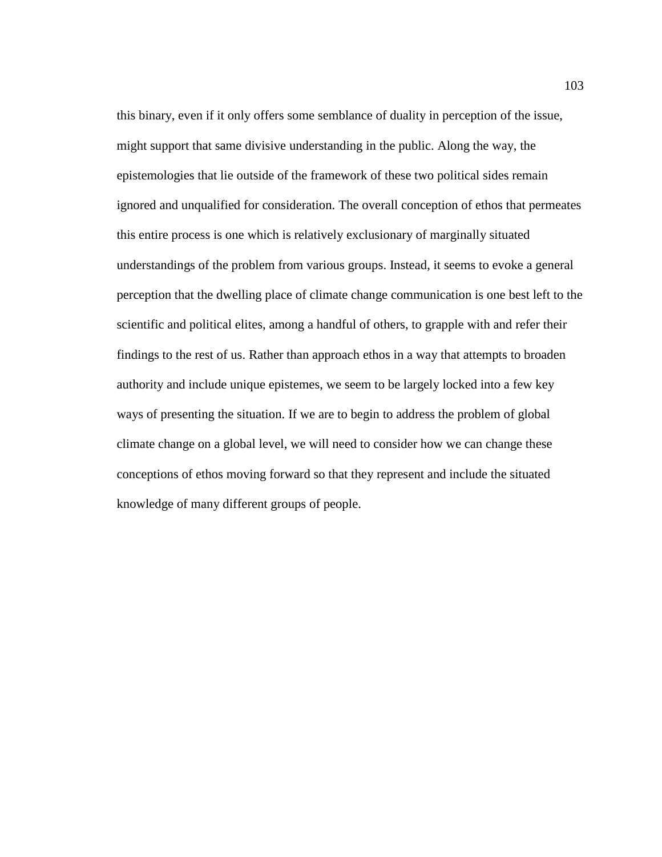this binary, even if it only offers some semblance of duality in perception of the issue, might support that same divisive understanding in the public. Along the way, the epistemologies that lie outside of the framework of these two political sides remain ignored and unqualified for consideration. The overall conception of ethos that permeates this entire process is one which is relatively exclusionary of marginally situated understandings of the problem from various groups. Instead, it seems to evoke a general perception that the dwelling place of climate change communication is one best left to the scientific and political elites, among a handful of others, to grapple with and refer their findings to the rest of us. Rather than approach ethos in a way that attempts to broaden authority and include unique epistemes, we seem to be largely locked into a few key ways of presenting the situation. If we are to begin to address the problem of global climate change on a global level, we will need to consider how we can change these conceptions of ethos moving forward so that they represent and include the situated knowledge of many different groups of people.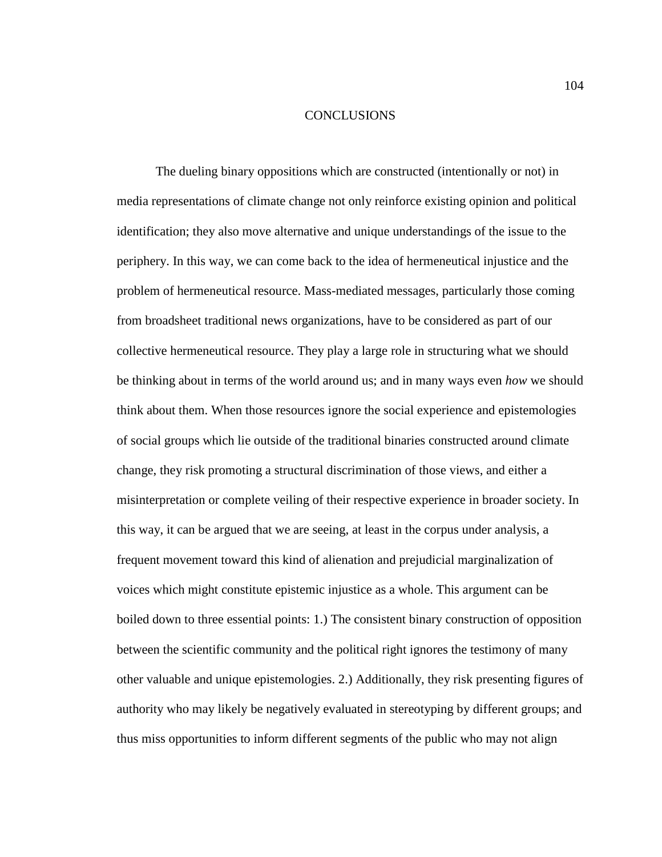## **CONCLUSIONS**

The dueling binary oppositions which are constructed (intentionally or not) in media representations of climate change not only reinforce existing opinion and political identification; they also move alternative and unique understandings of the issue to the periphery. In this way, we can come back to the idea of hermeneutical injustice and the problem of hermeneutical resource. Mass-mediated messages, particularly those coming from broadsheet traditional news organizations, have to be considered as part of our collective hermeneutical resource. They play a large role in structuring what we should be thinking about in terms of the world around us; and in many ways even *how* we should think about them. When those resources ignore the social experience and epistemologies of social groups which lie outside of the traditional binaries constructed around climate change, they risk promoting a structural discrimination of those views, and either a misinterpretation or complete veiling of their respective experience in broader society. In this way, it can be argued that we are seeing, at least in the corpus under analysis, a frequent movement toward this kind of alienation and prejudicial marginalization of voices which might constitute epistemic injustice as a whole. This argument can be boiled down to three essential points: 1.) The consistent binary construction of opposition between the scientific community and the political right ignores the testimony of many other valuable and unique epistemologies. 2.) Additionally, they risk presenting figures of authority who may likely be negatively evaluated in stereotyping by different groups; and thus miss opportunities to inform different segments of the public who may not align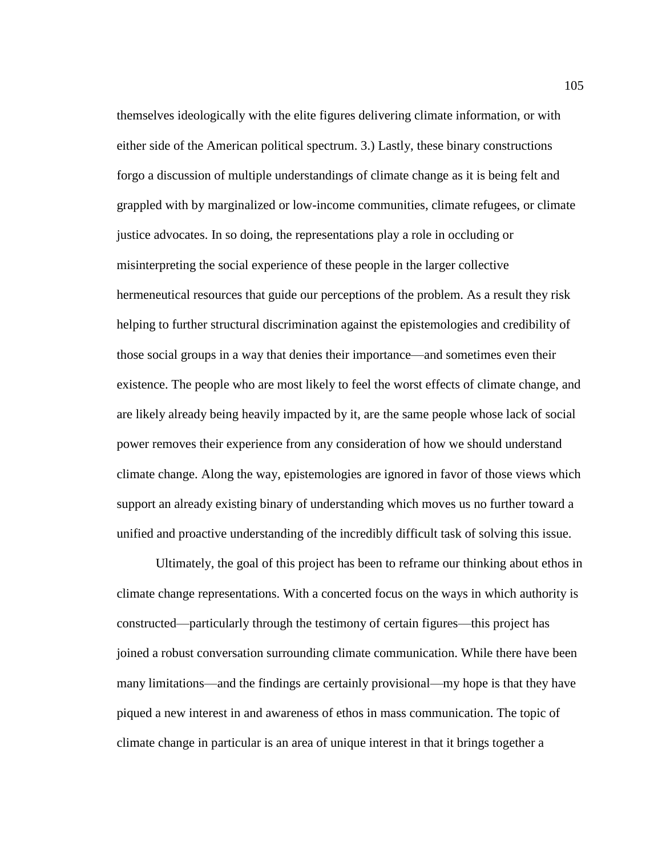themselves ideologically with the elite figures delivering climate information, or with either side of the American political spectrum. 3.) Lastly, these binary constructions forgo a discussion of multiple understandings of climate change as it is being felt and grappled with by marginalized or low-income communities, climate refugees, or climate justice advocates. In so doing, the representations play a role in occluding or misinterpreting the social experience of these people in the larger collective hermeneutical resources that guide our perceptions of the problem. As a result they risk helping to further structural discrimination against the epistemologies and credibility of those social groups in a way that denies their importance—and sometimes even their existence. The people who are most likely to feel the worst effects of climate change, and are likely already being heavily impacted by it, are the same people whose lack of social power removes their experience from any consideration of how we should understand climate change. Along the way, epistemologies are ignored in favor of those views which support an already existing binary of understanding which moves us no further toward a unified and proactive understanding of the incredibly difficult task of solving this issue.

Ultimately, the goal of this project has been to reframe our thinking about ethos in climate change representations. With a concerted focus on the ways in which authority is constructed—particularly through the testimony of certain figures—this project has joined a robust conversation surrounding climate communication. While there have been many limitations—and the findings are certainly provisional—my hope is that they have piqued a new interest in and awareness of ethos in mass communication. The topic of climate change in particular is an area of unique interest in that it brings together a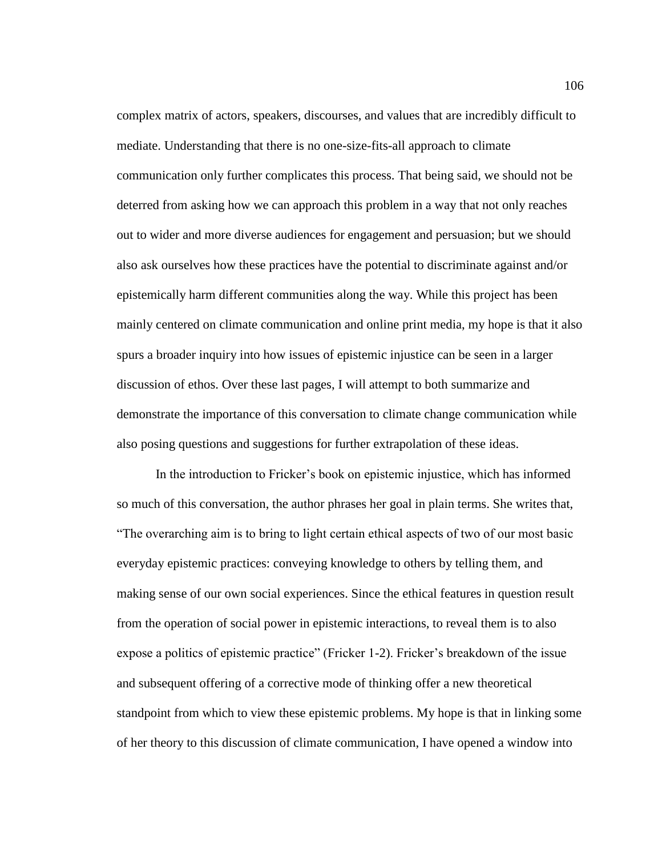complex matrix of actors, speakers, discourses, and values that are incredibly difficult to mediate. Understanding that there is no one-size-fits-all approach to climate communication only further complicates this process. That being said, we should not be deterred from asking how we can approach this problem in a way that not only reaches out to wider and more diverse audiences for engagement and persuasion; but we should also ask ourselves how these practices have the potential to discriminate against and/or epistemically harm different communities along the way. While this project has been mainly centered on climate communication and online print media, my hope is that it also spurs a broader inquiry into how issues of epistemic injustice can be seen in a larger discussion of ethos. Over these last pages, I will attempt to both summarize and demonstrate the importance of this conversation to climate change communication while also posing questions and suggestions for further extrapolation of these ideas.

In the introduction to Fricker's book on epistemic injustice, which has informed so much of this conversation, the author phrases her goal in plain terms. She writes that, "The overarching aim is to bring to light certain ethical aspects of two of our most basic everyday epistemic practices: conveying knowledge to others by telling them, and making sense of our own social experiences. Since the ethical features in question result from the operation of social power in epistemic interactions, to reveal them is to also expose a politics of epistemic practice" (Fricker 1-2). Fricker's breakdown of the issue and subsequent offering of a corrective mode of thinking offer a new theoretical standpoint from which to view these epistemic problems. My hope is that in linking some of her theory to this discussion of climate communication, I have opened a window into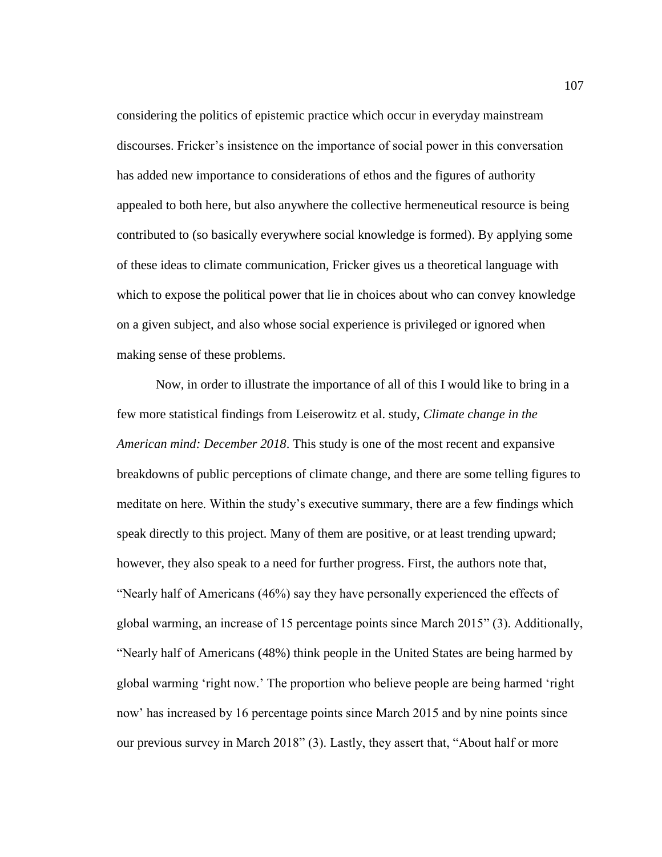considering the politics of epistemic practice which occur in everyday mainstream discourses. Fricker's insistence on the importance of social power in this conversation has added new importance to considerations of ethos and the figures of authority appealed to both here, but also anywhere the collective hermeneutical resource is being contributed to (so basically everywhere social knowledge is formed). By applying some of these ideas to climate communication, Fricker gives us a theoretical language with which to expose the political power that lie in choices about who can convey knowledge on a given subject, and also whose social experience is privileged or ignored when making sense of these problems.

Now, in order to illustrate the importance of all of this I would like to bring in a few more statistical findings from Leiserowitz et al. study, *Climate change in the American mind: December 2018*. This study is one of the most recent and expansive breakdowns of public perceptions of climate change, and there are some telling figures to meditate on here. Within the study's executive summary, there are a few findings which speak directly to this project. Many of them are positive, or at least trending upward; however, they also speak to a need for further progress. First, the authors note that, "Nearly half of Americans (46%) say they have personally experienced the effects of global warming, an increase of 15 percentage points since March 2015" (3). Additionally, "Nearly half of Americans (48%) think people in the United States are being harmed by global warming 'right now.' The proportion who believe people are being harmed 'right now' has increased by 16 percentage points since March 2015 and by nine points since our previous survey in March 2018" (3). Lastly, they assert that, "About half or more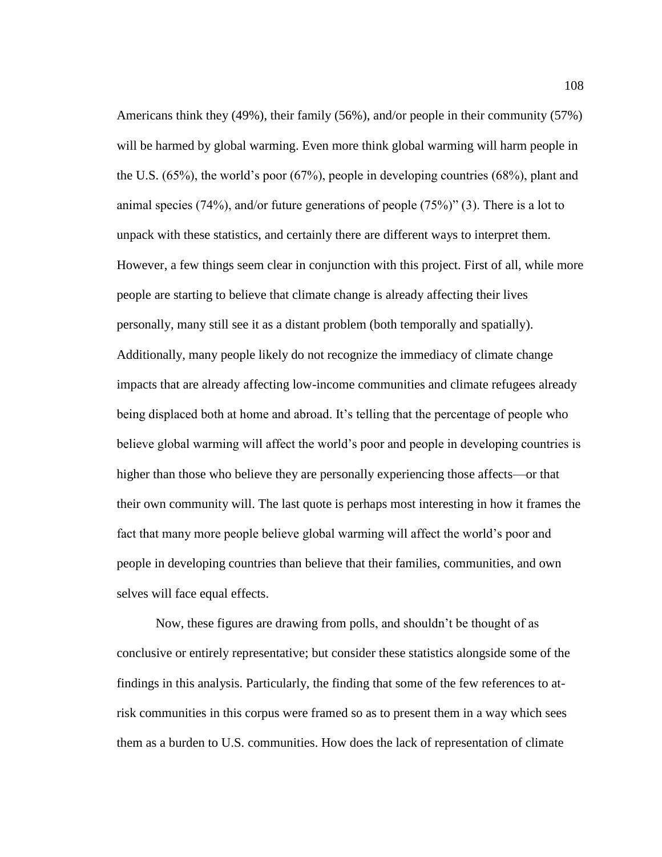Americans think they (49%), their family (56%), and/or people in their community (57%) will be harmed by global warming. Even more think global warming will harm people in the U.S. (65%), the world's poor (67%), people in developing countries (68%), plant and animal species (74%), and/or future generations of people (75%)" (3). There is a lot to unpack with these statistics, and certainly there are different ways to interpret them. However, a few things seem clear in conjunction with this project. First of all, while more people are starting to believe that climate change is already affecting their lives personally, many still see it as a distant problem (both temporally and spatially). Additionally, many people likely do not recognize the immediacy of climate change impacts that are already affecting low-income communities and climate refugees already being displaced both at home and abroad. It's telling that the percentage of people who believe global warming will affect the world's poor and people in developing countries is higher than those who believe they are personally experiencing those affects—or that their own community will. The last quote is perhaps most interesting in how it frames the fact that many more people believe global warming will affect the world's poor and people in developing countries than believe that their families, communities, and own selves will face equal effects.

Now, these figures are drawing from polls, and shouldn't be thought of as conclusive or entirely representative; but consider these statistics alongside some of the findings in this analysis. Particularly, the finding that some of the few references to atrisk communities in this corpus were framed so as to present them in a way which sees them as a burden to U.S. communities. How does the lack of representation of climate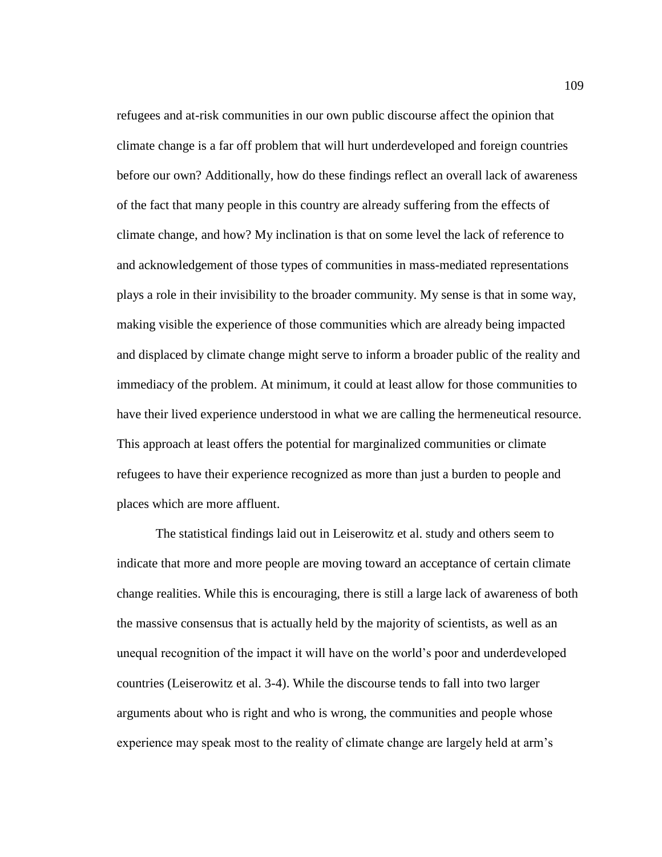refugees and at-risk communities in our own public discourse affect the opinion that climate change is a far off problem that will hurt underdeveloped and foreign countries before our own? Additionally, how do these findings reflect an overall lack of awareness of the fact that many people in this country are already suffering from the effects of climate change, and how? My inclination is that on some level the lack of reference to and acknowledgement of those types of communities in mass-mediated representations plays a role in their invisibility to the broader community. My sense is that in some way, making visible the experience of those communities which are already being impacted and displaced by climate change might serve to inform a broader public of the reality and immediacy of the problem. At minimum, it could at least allow for those communities to have their lived experience understood in what we are calling the hermeneutical resource. This approach at least offers the potential for marginalized communities or climate refugees to have their experience recognized as more than just a burden to people and places which are more affluent.

The statistical findings laid out in Leiserowitz et al. study and others seem to indicate that more and more people are moving toward an acceptance of certain climate change realities. While this is encouraging, there is still a large lack of awareness of both the massive consensus that is actually held by the majority of scientists, as well as an unequal recognition of the impact it will have on the world's poor and underdeveloped countries (Leiserowitz et al. 3-4). While the discourse tends to fall into two larger arguments about who is right and who is wrong, the communities and people whose experience may speak most to the reality of climate change are largely held at arm's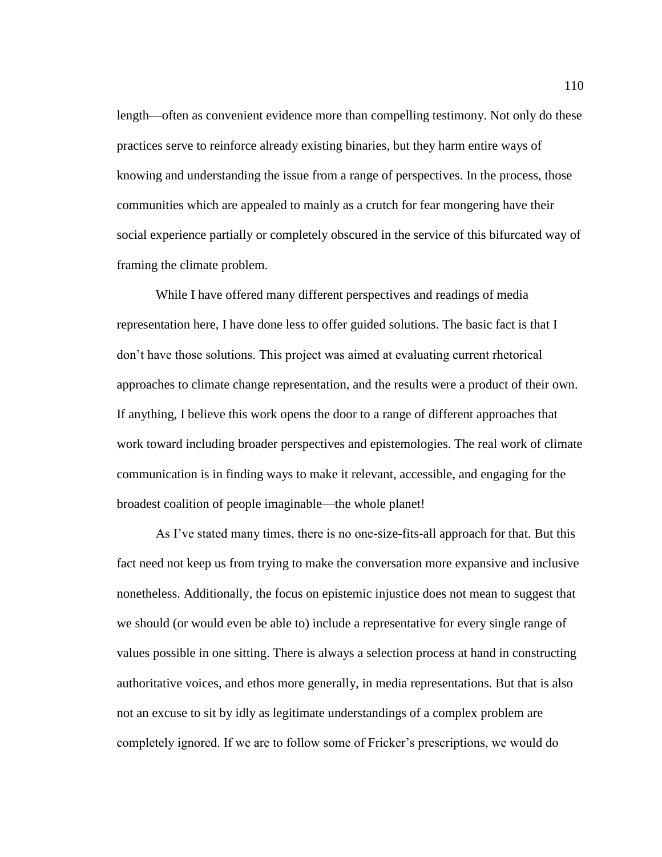length—often as convenient evidence more than compelling testimony. Not only do these practices serve to reinforce already existing binaries, but they harm entire ways of knowing and understanding the issue from a range of perspectives. In the process, those communities which are appealed to mainly as a crutch for fear mongering have their social experience partially or completely obscured in the service of this bifurcated way of framing the climate problem.

While I have offered many different perspectives and readings of media representation here, I have done less to offer guided solutions. The basic fact is that I don't have those solutions. This project was aimed at evaluating current rhetorical approaches to climate change representation, and the results were a product of their own. If anything, I believe this work opens the door to a range of different approaches that work toward including broader perspectives and epistemologies. The real work of climate communication is in finding ways to make it relevant, accessible, and engaging for the broadest coalition of people imaginable—the whole planet!

As I've stated many times, there is no one-size-fits-all approach for that. But this fact need not keep us from trying to make the conversation more expansive and inclusive nonetheless. Additionally, the focus on epistemic injustice does not mean to suggest that we should (or would even be able to) include a representative for every single range of values possible in one sitting. There is always a selection process at hand in constructing authoritative voices, and ethos more generally, in media representations. But that is also not an excuse to sit by idly as legitimate understandings of a complex problem are completely ignored. If we are to follow some of Fricker's prescriptions, we would do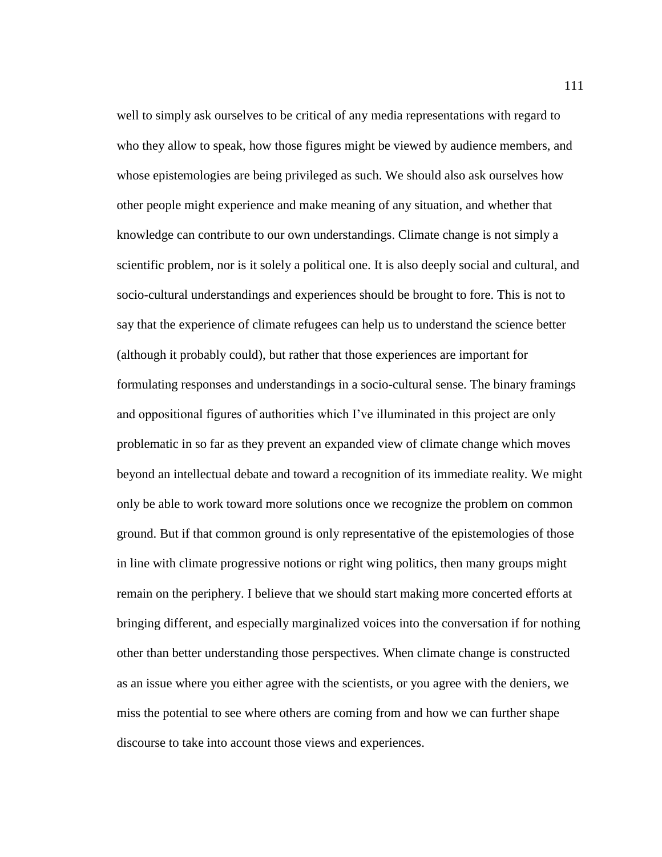well to simply ask ourselves to be critical of any media representations with regard to who they allow to speak, how those figures might be viewed by audience members, and whose epistemologies are being privileged as such. We should also ask ourselves how other people might experience and make meaning of any situation, and whether that knowledge can contribute to our own understandings. Climate change is not simply a scientific problem, nor is it solely a political one. It is also deeply social and cultural, and socio-cultural understandings and experiences should be brought to fore. This is not to say that the experience of climate refugees can help us to understand the science better (although it probably could), but rather that those experiences are important for formulating responses and understandings in a socio-cultural sense. The binary framings and oppositional figures of authorities which I've illuminated in this project are only problematic in so far as they prevent an expanded view of climate change which moves beyond an intellectual debate and toward a recognition of its immediate reality. We might only be able to work toward more solutions once we recognize the problem on common ground. But if that common ground is only representative of the epistemologies of those in line with climate progressive notions or right wing politics, then many groups might remain on the periphery. I believe that we should start making more concerted efforts at bringing different, and especially marginalized voices into the conversation if for nothing other than better understanding those perspectives. When climate change is constructed as an issue where you either agree with the scientists, or you agree with the deniers, we miss the potential to see where others are coming from and how we can further shape discourse to take into account those views and experiences.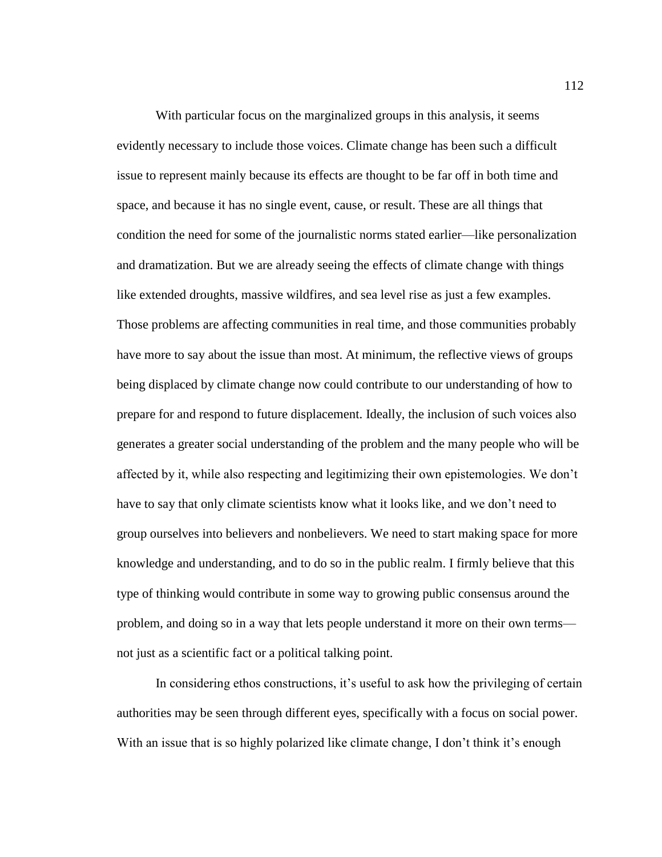With particular focus on the marginalized groups in this analysis, it seems evidently necessary to include those voices. Climate change has been such a difficult issue to represent mainly because its effects are thought to be far off in both time and space, and because it has no single event, cause, or result. These are all things that condition the need for some of the journalistic norms stated earlier—like personalization and dramatization. But we are already seeing the effects of climate change with things like extended droughts, massive wildfires, and sea level rise as just a few examples. Those problems are affecting communities in real time, and those communities probably have more to say about the issue than most. At minimum, the reflective views of groups being displaced by climate change now could contribute to our understanding of how to prepare for and respond to future displacement. Ideally, the inclusion of such voices also generates a greater social understanding of the problem and the many people who will be affected by it, while also respecting and legitimizing their own epistemologies. We don't have to say that only climate scientists know what it looks like, and we don't need to group ourselves into believers and nonbelievers. We need to start making space for more knowledge and understanding, and to do so in the public realm. I firmly believe that this type of thinking would contribute in some way to growing public consensus around the problem, and doing so in a way that lets people understand it more on their own terms not just as a scientific fact or a political talking point.

In considering ethos constructions, it's useful to ask how the privileging of certain authorities may be seen through different eyes, specifically with a focus on social power. With an issue that is so highly polarized like climate change, I don't think it's enough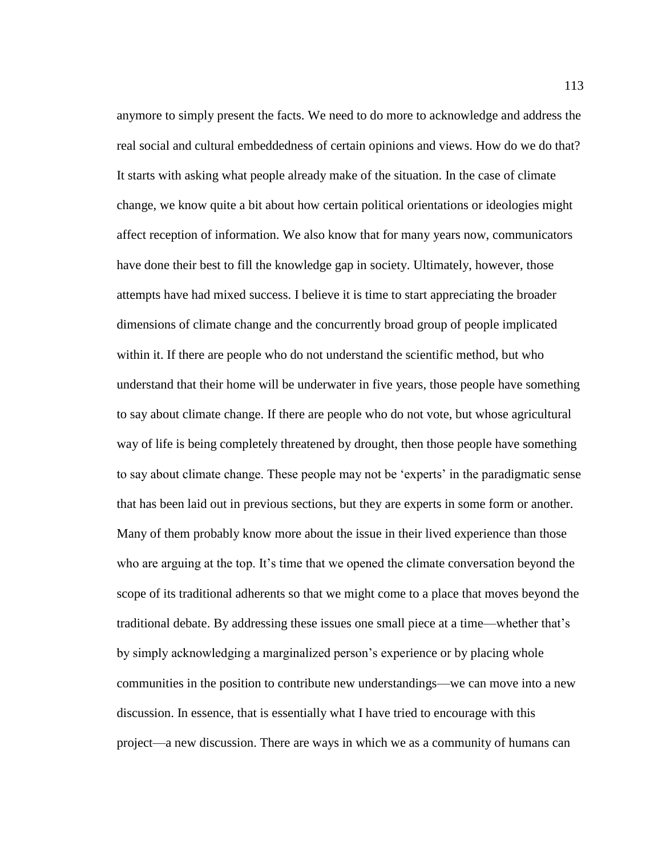anymore to simply present the facts. We need to do more to acknowledge and address the real social and cultural embeddedness of certain opinions and views. How do we do that? It starts with asking what people already make of the situation. In the case of climate change, we know quite a bit about how certain political orientations or ideologies might affect reception of information. We also know that for many years now, communicators have done their best to fill the knowledge gap in society. Ultimately, however, those attempts have had mixed success. I believe it is time to start appreciating the broader dimensions of climate change and the concurrently broad group of people implicated within it. If there are people who do not understand the scientific method, but who understand that their home will be underwater in five years, those people have something to say about climate change. If there are people who do not vote, but whose agricultural way of life is being completely threatened by drought, then those people have something to say about climate change. These people may not be 'experts' in the paradigmatic sense that has been laid out in previous sections, but they are experts in some form or another. Many of them probably know more about the issue in their lived experience than those who are arguing at the top. It's time that we opened the climate conversation beyond the scope of its traditional adherents so that we might come to a place that moves beyond the traditional debate. By addressing these issues one small piece at a time—whether that's by simply acknowledging a marginalized person's experience or by placing whole communities in the position to contribute new understandings—we can move into a new discussion. In essence, that is essentially what I have tried to encourage with this project—a new discussion. There are ways in which we as a community of humans can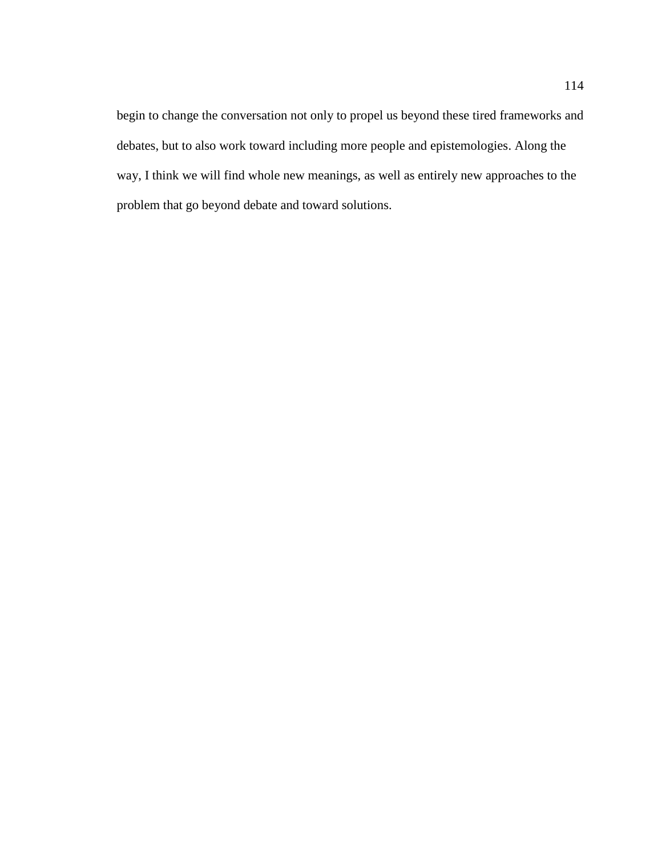begin to change the conversation not only to propel us beyond these tired frameworks and debates, but to also work toward including more people and epistemologies. Along the way, I think we will find whole new meanings, as well as entirely new approaches to the problem that go beyond debate and toward solutions.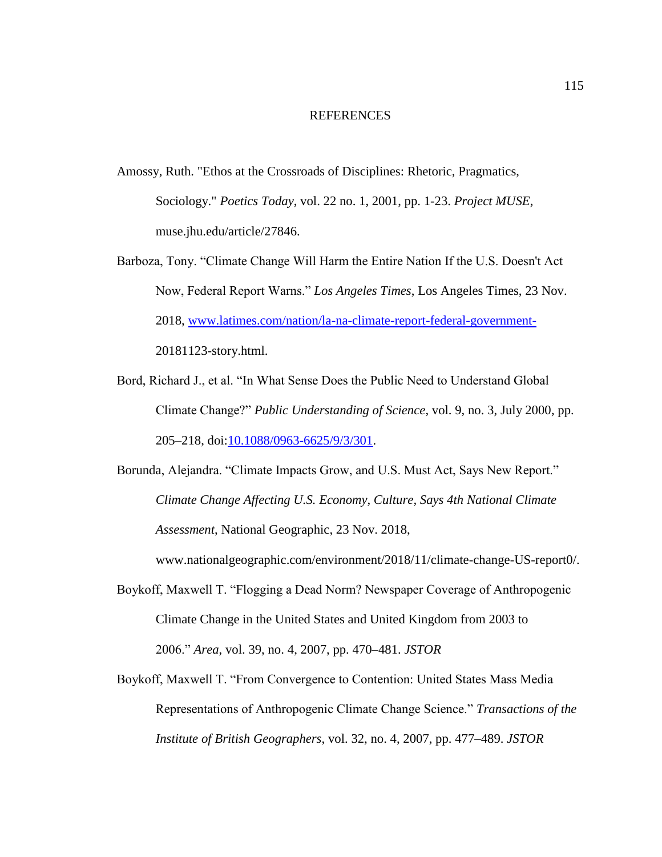## REFERENCES

- Amossy, Ruth. "Ethos at the Crossroads of Disciplines: Rhetoric, Pragmatics, Sociology." *Poetics Today*, vol. 22 no. 1, 2001, pp. 1-23. *Project MUSE*, muse.jhu.edu/article/27846.
- Barboza, Tony. "Climate Change Will Harm the Entire Nation If the U.S. Doesn't Act Now, Federal Report Warns." *Los Angeles Times*, Los Angeles Times, 23 Nov. 2018, [www.latimes.com/nation/la-na-climate-report-federal-government-](http://www.latimes.com/nation/la-na-climate-report-federal-government-)20181123-story.html.
- Bord, Richard J., et al. "In What Sense Does the Public Need to Understand Global Climate Change?" *Public Understanding of Science*, vol. 9, no. 3, July 2000, pp. 205–218, doi[:10.1088/0963-6625/9/3/301.](https://doi.org/10.1088/0963-6625/9/3/301)
- Borunda, Alejandra. "Climate Impacts Grow, and U.S. Must Act, Says New Report." *Climate Change Affecting U.S. Economy, Culture, Says 4th National Climate Assessment*, National Geographic, 23 Nov. 2018,

www.nationalgeographic.com/environment/2018/11/climate-change-US-report0/.

- Boykoff, Maxwell T. "Flogging a Dead Norm? Newspaper Coverage of Anthropogenic Climate Change in the United States and United Kingdom from 2003 to 2006." *Area*, vol. 39, no. 4, 2007, pp. 470–481. *JSTOR*
- Boykoff, Maxwell T. "From Convergence to Contention: United States Mass Media Representations of Anthropogenic Climate Change Science." *Transactions of the Institute of British Geographers*, vol. 32, no. 4, 2007, pp. 477–489. *JSTOR*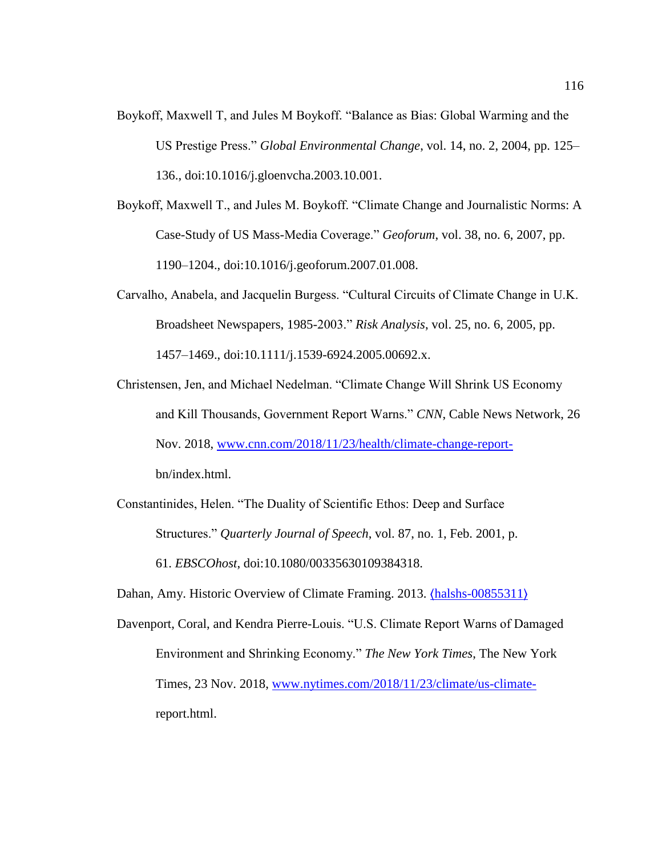- Boykoff, Maxwell T, and Jules M Boykoff. "Balance as Bias: Global Warming and the US Prestige Press." *Global Environmental Change*, vol. 14, no. 2, 2004, pp. 125– 136., doi:10.1016/j.gloenvcha.2003.10.001.
- Boykoff, Maxwell T., and Jules M. Boykoff. "Climate Change and Journalistic Norms: A Case-Study of US Mass-Media Coverage." *Geoforum*, vol. 38, no. 6, 2007, pp. 1190–1204., doi:10.1016/j.geoforum.2007.01.008.
- Carvalho, Anabela, and Jacquelin Burgess. "Cultural Circuits of Climate Change in U.K. Broadsheet Newspapers, 1985-2003." *Risk Analysis*, vol. 25, no. 6, 2005, pp. 1457–1469., doi:10.1111/j.1539-6924.2005.00692.x.
- Christensen, Jen, and Michael Nedelman. "Climate Change Will Shrink US Economy and Kill Thousands, Government Report Warns." *CNN*, Cable News Network, 26 Nov. 2018, [www.cnn.com/2018/11/23/health/climate-change-report](http://www.cnn.com/2018/11/23/health/climate-change-report-)bn/index.html.
- Constantinides, Helen. "The Duality of Scientific Ethos: Deep and Surface Structures." *Quarterly Journal of Speech*, vol. 87, no. 1, Feb. 2001, p. 61. *EBSCOhost*, doi:10.1080/00335630109384318.
- Dahan, Amy. Historic Overview of Climate Framing. 2013.  $\langle \text{halshs-00855311} \rangle$  $\langle \text{halshs-00855311} \rangle$  $\langle \text{halshs-00855311} \rangle$
- Davenport, Coral, and Kendra Pierre-Louis. "U.S. Climate Report Warns of Damaged Environment and Shrinking Economy." *The New York Times*, The New York Times, 23 Nov. 2018, [www.nytimes.com/2018/11/23/climate/us-climate](http://www.nytimes.com/2018/11/23/climate/us-climate-)report.html.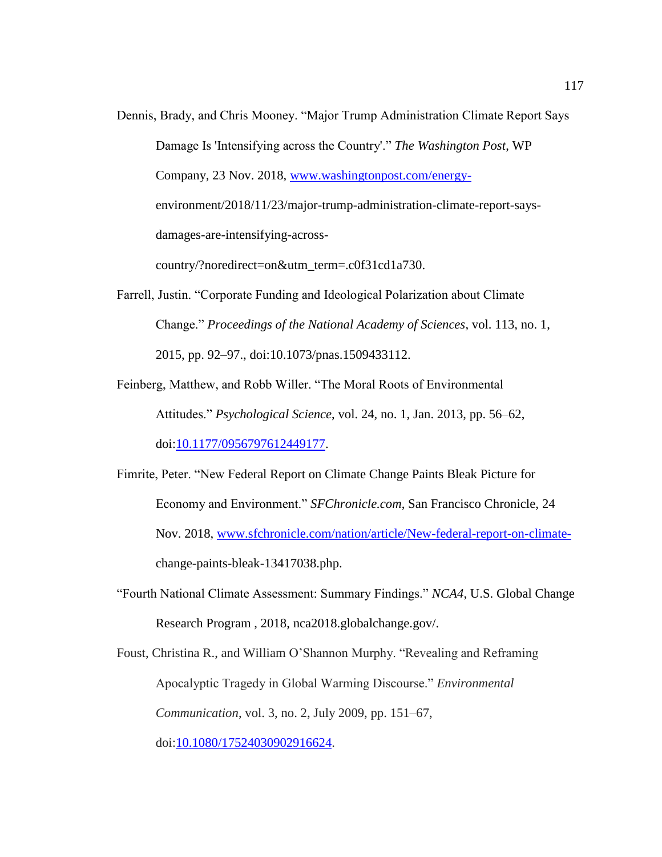- Dennis, Brady, and Chris Mooney. "Major Trump Administration Climate Report Says Damage Is 'Intensifying across the Country'." *The Washington Post*, WP Company, 23 Nov. 2018, [www.washingtonpost.com/energy](http://www.washingtonpost.com/energy-)environment/2018/11/23/major-trump-administration-climate-report-saysdamages-are-intensifying-acrosscountry/?noredirect=on&utm\_term=.c0f31cd1a730.
- Farrell, Justin. "Corporate Funding and Ideological Polarization about Climate Change." *Proceedings of the National Academy of Sciences*, vol. 113, no. 1, 2015, pp. 92–97., doi:10.1073/pnas.1509433112.
- Feinberg, Matthew, and Robb Willer. "The Moral Roots of Environmental Attitudes." *Psychological Science*, vol. 24, no. 1, Jan. 2013, pp. 56–62, doi[:10.1177/0956797612449177.](https://doi.org/10.1177/0956797612449177)
- Fimrite, Peter. "New Federal Report on Climate Change Paints Bleak Picture for Economy and Environment." *SFChronicle.com*, San Francisco Chronicle, 24 Nov. 2018, [www.sfchronicle.com/nation/article/New-federal-report-on-climate](http://www.sfchronicle.com/nation/article/New-federal-report-on-climate-)change-paints-bleak-13417038.php.
- "Fourth National Climate Assessment: Summary Findings." *NCA4*, U.S. Global Change Research Program , 2018, nca2018.globalchange.gov/.

Foust, Christina R., and William O'Shannon Murphy. "Revealing and Reframing Apocalyptic Tragedy in Global Warming Discourse." *Environmental Communication*, vol. 3, no. 2, July 2009, pp. 151–67, doi[:10.1080/17524030902916624.](http://dx.doi.org/10.1080/17524030902916624)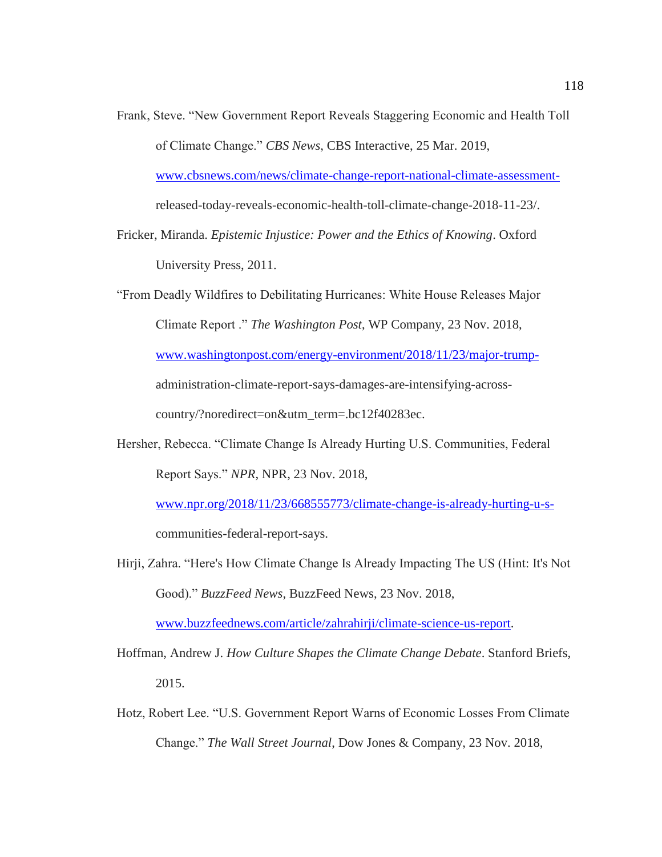- Frank, Steve. "New Government Report Reveals Staggering Economic and Health Toll of Climate Change." *CBS News*, CBS Interactive, 25 Mar. 2019, [www.cbsnews.com/news/climate-change-report-national-climate-assessment](http://www.cbsnews.com/news/climate-change-report-national-climate-assessment-)released-today-reveals-economic-health-toll-climate-change-2018-11-23/.
- Fricker, Miranda. *Epistemic Injustice: Power and the Ethics of Knowing*. Oxford University Press, 2011.

"From Deadly Wildfires to Debilitating Hurricanes: White House Releases Major Climate Report ." *The Washington Post*, WP Company, 23 Nov. 2018, [www.washingtonpost.com/energy-environment/2018/11/23/major-trump](http://www.washingtonpost.com/energy-environment/2018/11/23/major-trump-)administration-climate-report-says-damages-are-intensifying-acrosscountry/?noredirect=on&utm\_term=.bc12f40283ec.

Hersher, Rebecca. "Climate Change Is Already Hurting U.S. Communities, Federal Report Says." *NPR*, NPR, 23 Nov. 2018,

[www.npr.org/2018/11/23/668555773/climate-change-is-already-hurting-u-s](http://www.npr.org/2018/11/23/668555773/climate-change-is-already-hurting-u-s-)communities-federal-report-says.

Hirji, Zahra. "Here's How Climate Change Is Already Impacting The US (Hint: It's Not Good)." *BuzzFeed News*, BuzzFeed News, 23 Nov. 2018,

[www.buzzfeednews.com/article/zahrahirji/climate-science-us-report.](http://www.buzzfeednews.com/article/zahrahirji/climate-science-us-report)

- Hoffman, Andrew J. *How Culture Shapes the Climate Change Debate*. Stanford Briefs, 2015.
- Hotz, Robert Lee. "U.S. Government Report Warns of Economic Losses From Climate Change." *The Wall Street Journal*, Dow Jones & Company, 23 Nov. 2018,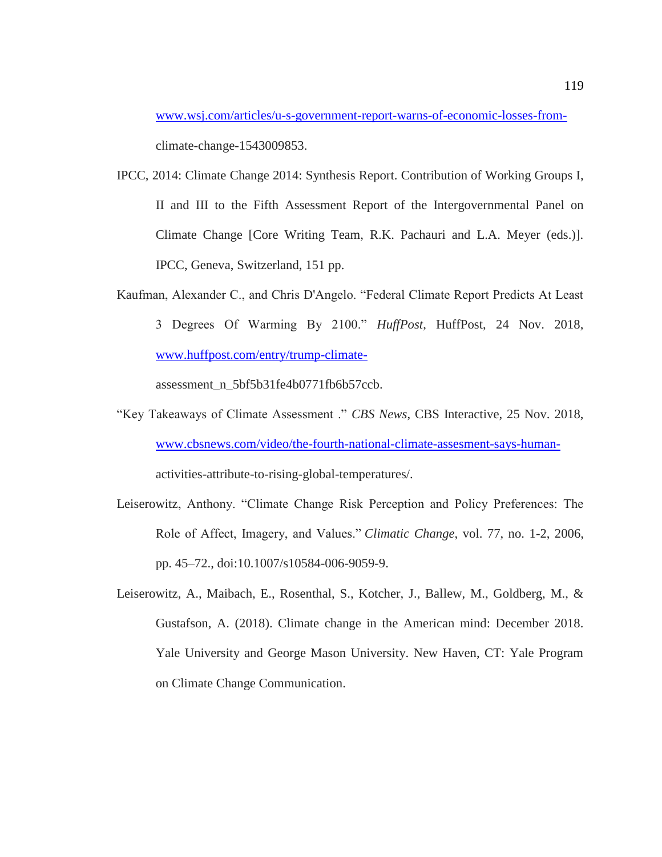[www.wsj.com/articles/u-s-government-report-warns-of-economic-losses-from](http://www.wsj.com/articles/u-s-government-report-warns-of-economic-losses-from-)climate-change-1543009853.

- IPCC, 2014: Climate Change 2014: Synthesis Report. Contribution of Working Groups I, II and III to the Fifth Assessment Report of the Intergovernmental Panel on Climate Change [Core Writing Team, R.K. Pachauri and L.A. Meyer (eds.)]. IPCC, Geneva, Switzerland, 151 pp.
- Kaufman, Alexander C., and Chris D'Angelo. "Federal Climate Report Predicts At Least 3 Degrees Of Warming By 2100." *HuffPost*, HuffPost, 24 Nov. 2018, [www.huffpost.com/entry/trump-climate-](http://www.huffpost.com/entry/trump-climate-)

assessment\_n\_5bf5b31fe4b0771fb6b57ccb.

- "Key Takeaways of Climate Assessment ." *CBS News*, CBS Interactive, 25 Nov. 2018, [www.cbsnews.com/video/the-fourth-national-climate-assesment-says-human](http://www.cbsnews.com/video/the-fourth-national-climate-assesment-says-human-)activities-attribute-to-rising-global-temperatures/.
- Leiserowitz, Anthony. "Climate Change Risk Perception and Policy Preferences: The Role of Affect, Imagery, and Values." *Climatic Change*, vol. 77, no. 1-2, 2006, pp. 45–72., doi:10.1007/s10584-006-9059-9.
- Leiserowitz, A., Maibach, E., Rosenthal, S., Kotcher, J., Ballew, M., Goldberg, M., & Gustafson, A. (2018). Climate change in the American mind: December 2018. Yale University and George Mason University. New Haven, CT: Yale Program on Climate Change Communication.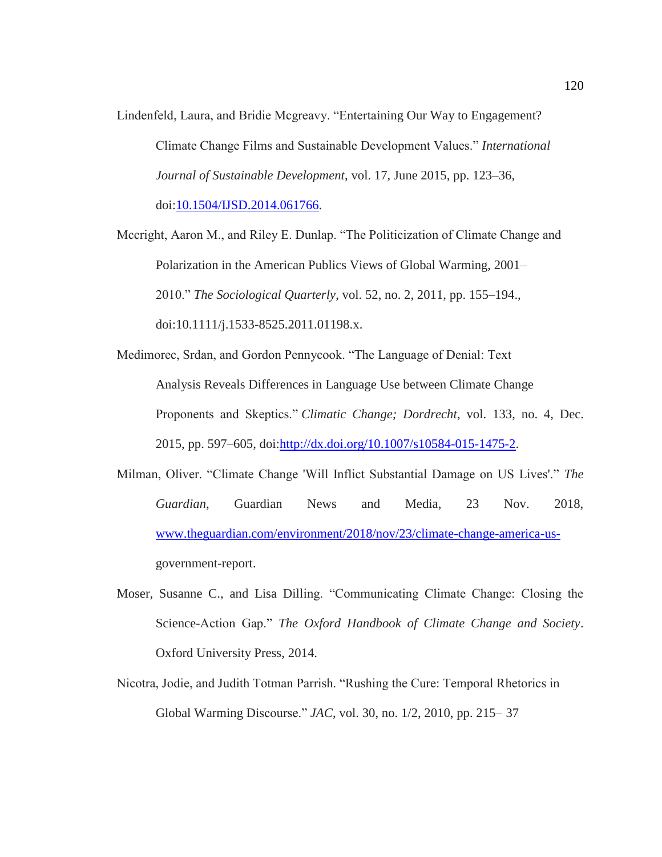Lindenfeld, Laura, and Bridie Mcgreavy. "Entertaining Our Way to Engagement? Climate Change Films and Sustainable Development Values." *International Journal of Sustainable Development*, vol. 17, June 2015, pp. 123–36, doi[:10.1504/IJSD.2014.061766.](http://dx.doi.org/10.1504/IJSD.2014.061766)

Mccright, Aaron M., and Riley E. Dunlap. "The Politicization of Climate Change and Polarization in the American Publics Views of Global Warming, 2001– 2010." *The Sociological Quarterly*, vol. 52, no. 2, 2011, pp. 155–194., doi:10.1111/j.1533-8525.2011.01198.x.

- Medimorec, Srdan, and Gordon Pennycook. "The Language of Denial: Text Analysis Reveals Differences in Language Use between Climate Change Proponents and Skeptics." *Climatic Change; Dordrecht*, vol. 133, no. 4, Dec. 2015, pp. 597–605, doi[:http://dx.doi.org/10.1007/s10584-015-1475-2.](http://dx.doi.org/http:/dx.doi.org/10.1007/s10584-015-1475-2)
- Milman, Oliver. "Climate Change 'Will Inflict Substantial Damage on US Lives'." *The Guardian*, Guardian News and Media, 23 Nov. 2018, [www.theguardian.com/environment/2018/nov/23/climate-change-america-us](http://www.theguardian.com/environment/2018/nov/23/climate-change-america-us-)government-report.
- Moser, Susanne C., and Lisa Dilling. "Communicating Climate Change: Closing the Science-Action Gap." *The Oxford Handbook of Climate Change and Society*. Oxford University Press, 2014.
- Nicotra, Jodie, and Judith Totman Parrish. "Rushing the Cure: Temporal Rhetorics in Global Warming Discourse." *JAC*, vol. 30, no. 1/2, 2010, pp. 215– 37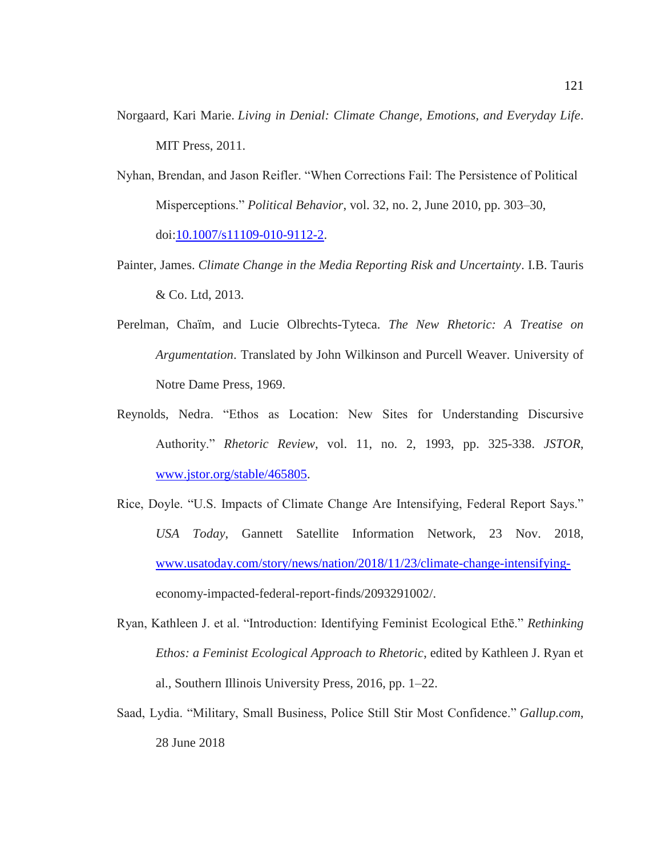- Norgaard, Kari Marie. *Living in Denial: Climate Change, Emotions, and Everyday Life*. MIT Press, 2011.
- Nyhan, Brendan, and Jason Reifler. "When Corrections Fail: The Persistence of Political Misperceptions." *Political Behavior*, vol. 32, no. 2, June 2010, pp. 303–30, doi[:10.1007/s11109-010-9112-2.](http://dx.doi.org/10.1007/s11109-010-9112-2)
- Painter, James. *Climate Change in the Media Reporting Risk and Uncertainty*. I.B. Tauris & Co. Ltd, 2013.
- Perelman, Chaïm, and Lucie Olbrechts-Tyteca. *The New Rhetoric: A Treatise on Argumentation*. Translated by John Wilkinson and Purcell Weaver. University of Notre Dame Press, 1969.
- Reynolds, Nedra. "Ethos as Location: New Sites for Understanding Discursive Authority." *Rhetoric Review*, vol. 11, no. 2, 1993, pp. 325-338. *JSTOR*, [www.jstor.org/stable/465805.](http://www.jstor.org/stable/465805)
- Rice, Doyle. "U.S. Impacts of Climate Change Are Intensifying, Federal Report Says." *USA Today*, Gannett Satellite Information Network, 23 Nov. 2018, [www.usatoday.com/story/news/nation/2018/11/23/climate-change-intensifying](http://www.usatoday.com/story/news/nation/2018/11/23/climate-change-intensifying-)economy-impacted-federal-report-finds/2093291002/.
- Ryan, Kathleen J. et al. "Introduction: Identifying Feminist Ecological Ethē." *Rethinking Ethos: a Feminist Ecological Approach to Rhetoric*, edited by Kathleen J. Ryan et al., Southern Illinois University Press, 2016, pp. 1–22.
- Saad, Lydia. "Military, Small Business, Police Still Stir Most Confidence." *Gallup.com*, 28 June 2018